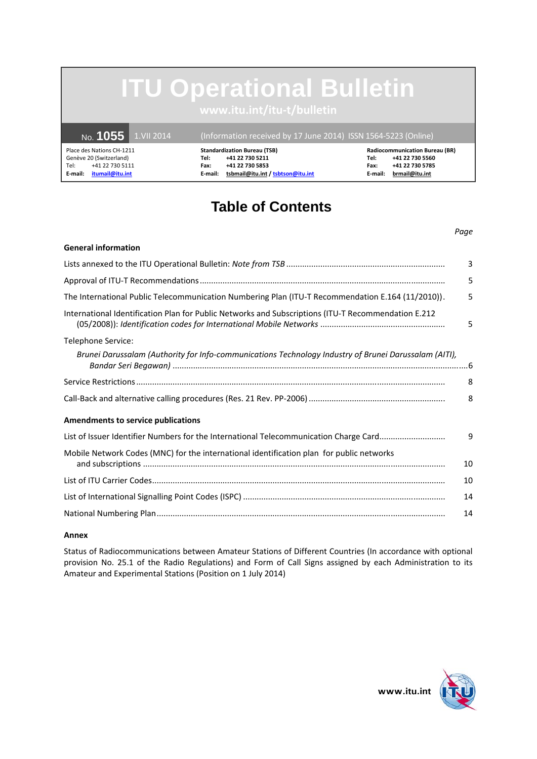# **ITU Operational Bulletin**

|         |                           | No. <b>1055</b> 1.VII 2014 | (Information received by 17 June 2014) ISSN 1564-5223 (Online) |                                     |         |                                       |
|---------|---------------------------|----------------------------|----------------------------------------------------------------|-------------------------------------|---------|---------------------------------------|
|         | Place des Nations CH-1211 |                            |                                                                | <b>Standardization Bureau (TSB)</b> |         | <b>Radiocommunication Bureau (BR)</b> |
|         | Genève 20 (Switzerland)   |                            | Tel:                                                           | +41 22 730 5211                     | Tel:    | +41 22 730 5560                       |
| Tel:    | +41 22 730 5111           |                            | Fax:                                                           | +41 22 730 5853                     | Fax:    | +41 22 730 5785                       |
| E-mail: | itumail@itu.int           |                            | E-mail:                                                        | tsbmail@itu.int / tsbtson@itu.int   | E-mail: | brmail@itu.int                        |

## **Table of Contents**

### **General information**  Lists annexed to the ITU Operational Bulletin: *Note from TSB* ...................................................................... 3 Approval of ITU-T Recommendations ............................................................................................................ 5 The International Public Telecommunication Numbering Plan (ITU-T Recommendation E.164 (11/2010)) . 5 International Identification Plan for Public Networks and Subscriptions (ITU-T Recommendation E.212 (05/2008)): *Identification codes for International Mobile Networks* ....................................................... 5 Telephone Service: *Brunei Darussalam (Authority for Info-communications Technology Industry of Brunei Darussalam (AITI), Bandar Seri Begawan)* .................................................................................................................................. 6 Service Restrictions ........................................................................................................................................ 8 Call-Back and alternative calling procedures (Res. 21 Rev. PP-2006) ............................................................ 8 **Amendments to service publications**  List of Issuer Identifier Numbers for the International Telecommunication Charge Card ............................. 9 Mobile Network Codes (MNC) for the international identification plan for public networks and subscriptions ..................................................................................................................................... 10 List of ITU Carrier Codes ................................................................................................................................. 10 List of International Signalling Point Codes (ISPC) ......................................................................................... 14 National Numbering Plan ............................................................................................................................... 14

### **Annex**

Status of Radiocommunications between Amateur Stations of Different Countries (In accordance with optional provision No. 25.1 of the Radio Regulations) and Form of Call Signs assigned by each Administration to its Amateur and Experimental Stations (Position on 1 July 2014)



*Page*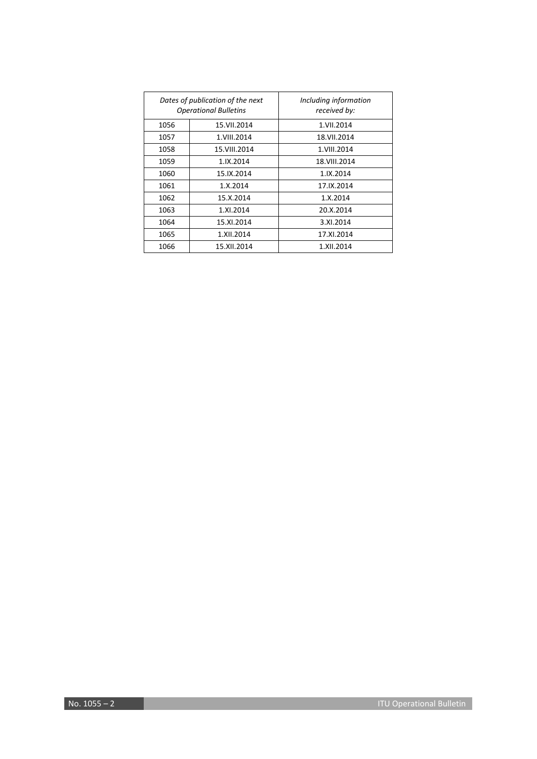|      | Dates of publication of the next<br><b>Operational Bulletins</b> | Including information<br>received by: |
|------|------------------------------------------------------------------|---------------------------------------|
| 1056 | 15.VII.2014                                                      | 1.VII.2014                            |
| 1057 | 1.VIII.2014                                                      | 18.VII.2014                           |
| 1058 | 15.VIII.2014                                                     | 1.VIII.2014                           |
| 1059 | 1.IX.2014                                                        | 18.VIII.2014                          |
| 1060 | 15.IX.2014                                                       | 1.IX.2014                             |
| 1061 | 1.X.2014                                                         | 17.IX.2014                            |
| 1062 | 15.X.2014                                                        | 1.X.2014                              |
| 1063 | 1.XI.2014                                                        | 20.X.2014                             |
| 1064 | 15.XI.2014                                                       | 3.XI.2014                             |
| 1065 | 1.XII.2014                                                       | 17.XI.2014                            |
| 1066 | 15.XII.2014                                                      | 1.XII.2014                            |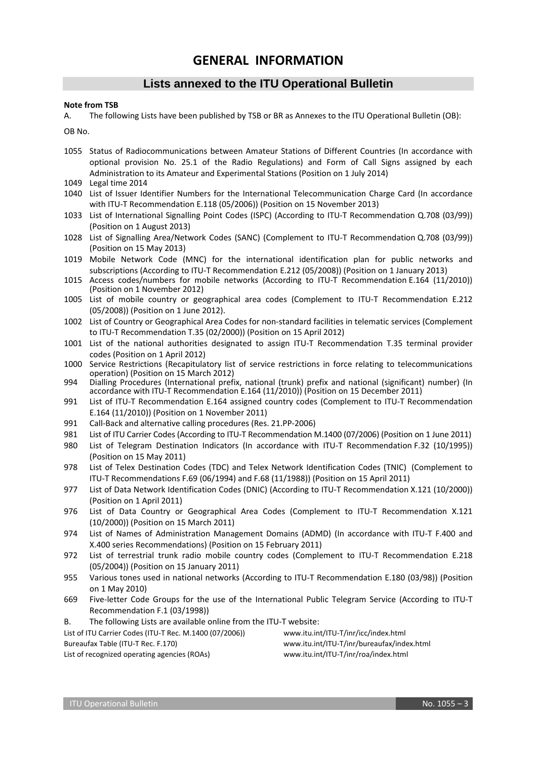### **GENERAL INFORMATION**

### **Lists annexed to the ITU Operational Bulletin**

#### **Note from TSB**

A. The following Lists have been published by TSB or BR as Annexes to the ITU Operational Bulletin (OB):

OB No.

- 1055 Status of Radiocommunications between Amateur Stations of Different Countries (In accordance with optional provision No. 25.1 of the Radio Regulations) and Form of Call Signs assigned by each Administration to its Amateur and Experimental Stations (Position on 1 July 2014)
- 1049 Legal time 2014
- 1040 List of Issuer Identifier Numbers for the International Telecommunication Charge Card (In accordance with ITU-T Recommendation E.118 (05/2006)) (Position on 15 November 2013)
- 1033 List of International Signalling Point Codes (ISPC) (According to ITU-T Recommendation Q.708 (03/99)) (Position on 1 August 2013)
- 1028 List of Signalling Area/Network Codes (SANC) (Complement to ITU-T Recommendation Q.708 (03/99)) (Position on 15 May 2013)
- 1019 Mobile Network Code (MNC) for the international identification plan for public networks and subscriptions (According to ITU-T Recommendation E.212 (05/2008)) (Position on 1 January 2013)
- 1015 Access codes/numbers for mobile networks (According to ITU-T Recommendation E.164 (11/2010)) (Position on 1 November 2012)
- 1005 List of mobile country or geographical area codes (Complement to ITU-T Recommendation E.212 (05/2008)) (Position on 1 June 2012).
- 1002 List of Country or Geographical Area Codes for non-standard facilities in telematic services (Complement to ITU-T Recommendation T.35 (02/2000)) (Position on 15 April 2012)
- 1001 List of the national authorities designated to assign ITU-T Recommendation T.35 terminal provider codes (Position on 1 April 2012)
- 1000 Service Restrictions (Recapitulatory list of service restrictions in force relating to telecommunications operation) (Position on 15 March 2012)
- 994 Dialling Procedures (International prefix, national (trunk) prefix and national (significant) number) (In accordance with ITU-T Recommendation E.164 (11/2010)) (Position on 15 December 2011)
- 991 List of ITU-T Recommendation E.164 assigned country codes (Complement to ITU-T Recommendation E.164 (11/2010)) (Position on 1 November 2011)
- 991 Call-Back and alternative calling procedures (Res. 21.PP-2006)
- 981 List of ITU Carrier Codes (According to ITU-T Recommendation M.1400 (07/2006) (Position on 1 June 2011)
- 980 List of Telegram Destination Indicators (In accordance with ITU-T Recommendation F.32 (10/1995)) (Position on 15 May 2011)
- 978 List of Telex Destination Codes (TDC) and Telex Network Identification Codes (TNIC) (Complement to ITU-T Recommendations F.69 (06/1994) and F.68 (11/1988)) (Position on 15 April 2011)
- 977 List of Data Network Identification Codes (DNIC) (According to ITU-T Recommendation X.121 (10/2000)) (Position on 1 April 2011)
- 976 List of Data Country or Geographical Area Codes (Complement to ITU-T Recommendation X.121 (10/2000)) (Position on 15 March 2011)
- 974 List of Names of Administration Management Domains (ADMD) (In accordance with ITU-T F.400 and X.400 series Recommendations) (Position on 15 February 2011)
- 972 List of terrestrial trunk radio mobile country codes (Complement to ITU-T Recommendation E.218 (05/2004)) (Position on 15 January 2011)
- 955 Various tones used in national networks (According to ITU-T Recommendation E.180 (03/98)) (Position on 1 May 2010)
- 669 Five-letter Code Groups for the use of the International Public Telegram Service (According to ITU-T Recommendation F.1 (03/1998))
- B. The following Lists are available online from the ITU-T website:

| List of ITU Carrier Codes (ITU-T Rec. M.1400 (07/2006)) | www.itu.int/ITU-T/inr/icc/index.html       |
|---------------------------------------------------------|--------------------------------------------|
| Bureaufax Table (ITU-T Rec. F.170)                      | www.itu.int/ITU-T/inr/bureaufax/index.html |
| List of recognized operating agencies (ROAs)            | www.itu.int/ITU-T/inr/roa/index.html       |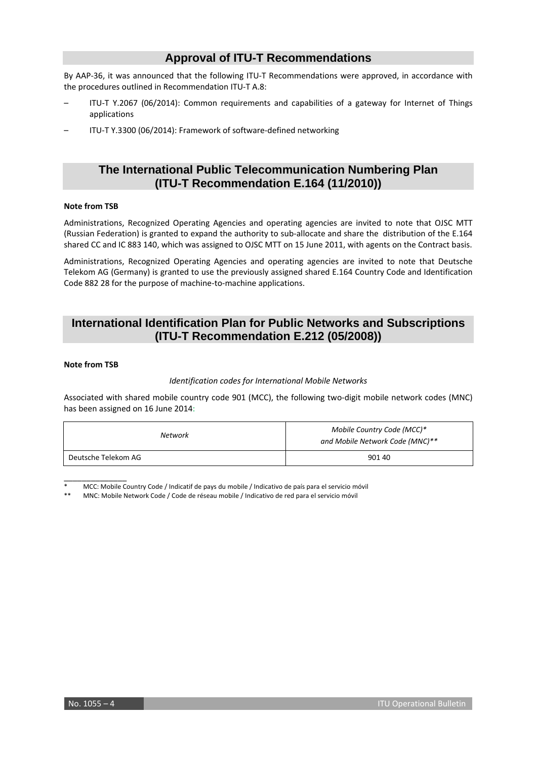### **Approval of ITU-T Recommendations**

By AAP-36, it was announced that the following ITU-T Recommendations were approved, in accordance with the procedures outlined in Recommendation ITU-T A.8:

- ITU-T Y.2067 (06/2014): Common requirements and capabilities of a gateway for Internet of Things applications
- ITU-T Y.3300 (06/2014): Framework of software-defined networking

### **The International Public Telecommunication Numbering Plan (ITU-T Recommendation E.164 (11/2010))**

#### **Note from TSB**

Administrations, Recognized Operating Agencies and operating agencies are invited to note that OJSC MTT (Russian Federation) is granted to expand the authority to sub-allocate and share the distribution of the E.164 shared CC and IC 883 140, which was assigned to OJSC MTT on 15 June 2011, with agents on the Contract basis.

Administrations, Recognized Operating Agencies and operating agencies are invited to note that Deutsche Telekom AG (Germany) is granted to use the previously assigned shared E.164 Country Code and Identification Code 882 28 for the purpose of machine-to-machine applications.

### **International Identification Plan for Public Networks and Subscriptions (ITU-T Recommendation E.212 (05/2008))**

#### **Note from TSB**

#### *Identification codes for International Mobile Networks*

Associated with shared mobile country code 901 (MCC), the following two-digit mobile network codes (MNC) has been assigned on 16 June 2014:

| Network             | Mobile Country Code (MCC)*<br>and Mobile Network Code (MNC)** |
|---------------------|---------------------------------------------------------------|
| Deutsche Telekom AG | 901 40                                                        |

\_\_\_\_\_\_\_\_\_\_\_\_\_\_ MCC: Mobile Country Code / Indicatif de pays du mobile / Indicativo de país para el servicio móvil

\*\* MNC: Mobile Network Code / Code de réseau mobile / Indicativo de red para el servicio móvil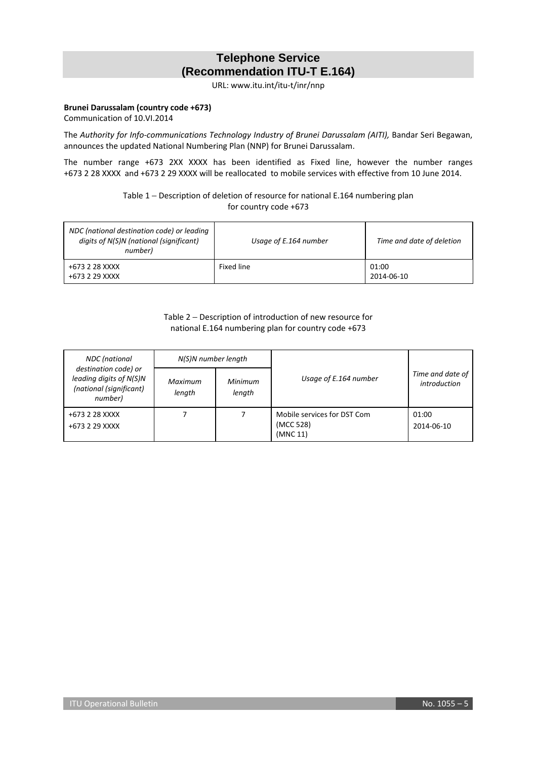### **Telephone Service (Recommendation ITU-T E.164)**

URL: [www.itu.int/itu-t/inr/nnp](http://www.itu.int/itu-t/inr/nnp)

### **Brunei Darussalam (country code +673)**

Communication of 10.VI.2014

The *Authority for Info-communications Technology Industry of Brunei Darussalam (AITI),* Bandar Seri Begawan, announces the updated National Numbering Plan (NNP) for Brunei Darussalam.

The number range +673 2XX XXXX has been identified as Fixed line, however the number ranges +673 2 28 XXXX and +673 2 29 XXXX will be reallocated to mobile services with effective from 10 June 2014.

> Table 1 − Description of deletion of resource for national E.164 numbering plan for country code +673

| NDC (national destination code) or leading<br>digits of N(S)N (national (significant)<br>number) | Usage of E.164 number | Time and date of deletion |
|--------------------------------------------------------------------------------------------------|-----------------------|---------------------------|
| +673 2 28 XXXX<br>+673 2 29 XXXX                                                                 | Fixed line            | 01:00<br>2014-06-10       |

### Table 2 − Description of introduction of new resource for national E.164 numbering plan for country code +673

| <b>NDC</b> (national                                                                  | N(S)N number length |                   |                                                      |                                  |
|---------------------------------------------------------------------------------------|---------------------|-------------------|------------------------------------------------------|----------------------------------|
| destination code) or<br>leading digits of N(S)N<br>(national (significant)<br>number) | Maximum<br>length   | Minimum<br>length | Usage of E.164 number                                | Time and date of<br>introduction |
| +673 2 28 XXXX<br>+673 2 29 XXXX                                                      |                     |                   | Mobile services for DST Com<br>(MCC 528)<br>(MNC 11) | 01:00<br>2014-06-10              |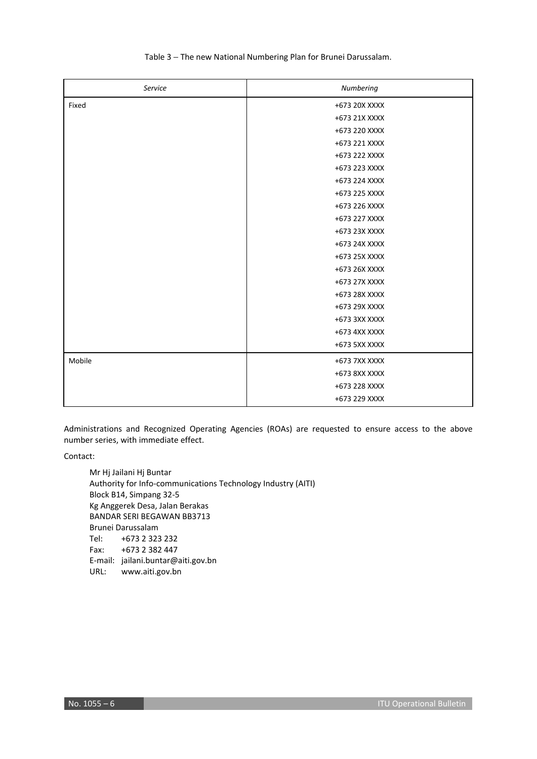| Service | Numbering     |
|---------|---------------|
| Fixed   | +673 20X XXXX |
|         | +673 21X XXXX |
|         | +673 220 XXXX |
|         | +673 221 XXXX |
|         | +673 222 XXXX |
|         | +673 223 XXXX |
|         | +673 224 XXXX |
|         | +673 225 XXXX |
|         | +673 226 XXXX |
|         | +673 227 XXXX |
|         | +673 23X XXXX |
|         | +673 24X XXXX |
|         | +673 25X XXXX |
|         | +673 26X XXXX |
|         | +673 27X XXXX |
|         | +673 28X XXXX |
|         | +673 29X XXXX |
|         | +673 3XX XXXX |
|         | +673 4XX XXXX |
|         | +673 5XX XXXX |
| Mobile  | +673 7XX XXXX |
|         | +673 8XX XXXX |
|         | +673 228 XXXX |
|         | +673 229 XXXX |

### Table 3 − The new National Numbering Plan for Brunei Darussalam.

Administrations and Recognized Operating Agencies (ROAs) are requested to ensure access to the above number series, with immediate effect.

Contact:

 Mr Hj Jailani Hj Buntar Authority for Info-communications Technology Industry (AITI) Block B14, Simpang 32-5 Kg Anggerek Desa, Jalan Berakas BANDAR SERI BEGAWAN BB3713 Brunei Darussalam Tel: +673 2 323 232 Fax: +673 2 382 447 E-mail: [jailani.buntar@aiti.gov.bn](mailto:jailani.buntar@aiti.gov.bn) URL: [www.aiti.gov.bn](http://www.aiti.gov.bn/)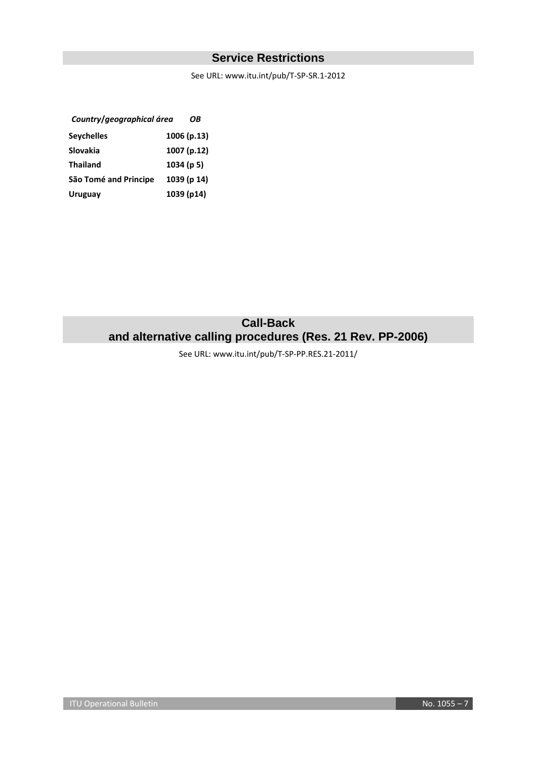### **Service Restrictions**

See URL: [www.itu.int/pub/T-SP-SR.1-2012](http://www.itu.int/pub/T-SP-SR.1-2012)

| Country/geographical área |            | OΒ          |
|---------------------------|------------|-------------|
| <b>Seychelles</b>         |            | 1006 (p.13) |
| Slovakia                  |            | 1007 (p.12) |
| <b>Thailand</b>           | 1034 (p 5) |             |
| São Tomé and Principe     |            | 1039 (p 14) |
| Uruguay                   |            | 1039 (p14)  |
|                           |            |             |

### **Call-Back and alternative calling procedures (Res. 21 Rev. PP-2006)**

See URL: www.itu.int/pub/T-SP-PP.RES.21-2011/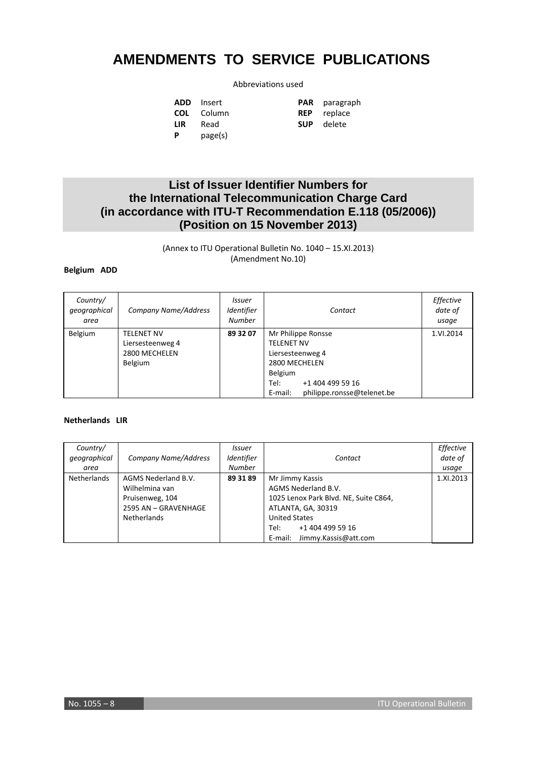## **AMENDMENTS TO SERVICE PUBLICATIONS**

### Abbreviations used

|          | <b>ADD</b> Insert | <b>PAR</b> paragra |
|----------|-------------------|--------------------|
|          | <b>COL</b> Column | <b>REP</b> replace |
| LIR.     | Read              | <b>SUP</b> delete  |
| <b>P</b> | page(s)           |                    |

**PAR** paragraph

### **List of Issuer Identifier Numbers for the International Telecommunication Charge Card (in accordance with ITU-T Recommendation E.118 (05/2006)) (Position on 15 November 2013)**

(Annex to ITU Operational Bulletin No. 1040 – 15.XI.2013) (Amendment No.10)

#### **Belgium ADD**

| Country/<br>qeographical<br>area | <b>Company Name/Address</b>                                              | <i><b>Issuer</b></i><br>Identifier<br><b>Number</b> | Contact                                                                                                                                                      | Effective<br>date of<br>usage |
|----------------------------------|--------------------------------------------------------------------------|-----------------------------------------------------|--------------------------------------------------------------------------------------------------------------------------------------------------------------|-------------------------------|
| Belgium                          | <b>TELENET NV</b><br>Liersesteenweg 4<br>2800 MECHELEN<br><b>Belgium</b> | 89 32 07                                            | Mr Philippe Ronsse<br><b>TELENET NV</b><br>Liersesteenweg 4<br>2800 MECHELEN<br>Belgium<br>Tel:<br>+1 404 499 59 16<br>philippe.ronsse@telenet.be<br>E-mail: | 1.VI.2014                     |

#### **Netherlands LIR**

| Country/<br>qeographical<br>area | <b>Company Name/Address</b>                                                                            | Issuer<br>Identifier<br><b>Number</b> | Contact                                                                                                                                                                                      | Effective<br>date of<br>usage |
|----------------------------------|--------------------------------------------------------------------------------------------------------|---------------------------------------|----------------------------------------------------------------------------------------------------------------------------------------------------------------------------------------------|-------------------------------|
| <b>Netherlands</b>               | AGMS Nederland B.V.<br>Wilhelmina van<br>Pruisenweg, 104<br>2595 AN - GRAVENHAGE<br><b>Netherlands</b> | 89 31 89                              | Mr Jimmy Kassis<br>AGMS Nederland B.V.<br>1025 Lenox Park Blvd. NE, Suite C864,<br>ATLANTA, GA, 30319<br><b>United States</b><br>Tel:<br>+1 404 499 59 16<br>Jimmy.Kassis@att.com<br>E-mail: | 1.XI.2013                     |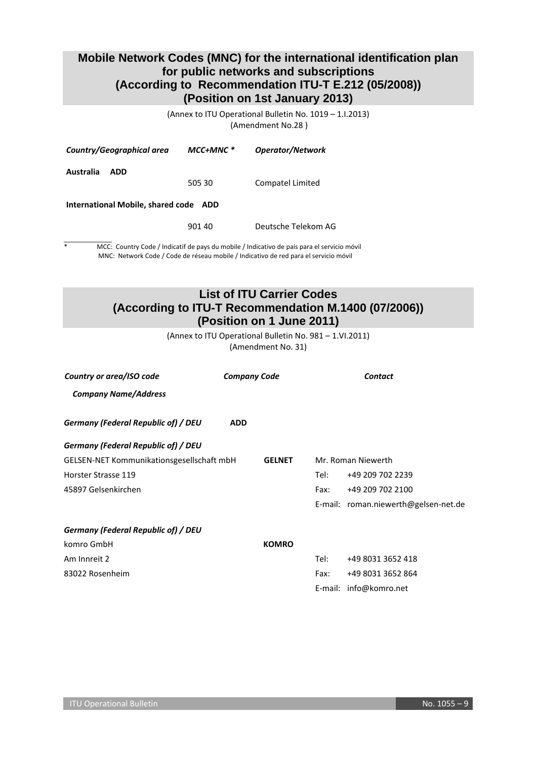### **Mobile Network Codes (MNC) for the international identification plan for public networks and subscriptions (According to Recommendation ITU-T E.212 (05/2008)) (Position on 1st January 2013)**

(Annex to ITU Operational Bulletin No. 1019 – 1.I.2013) (Amendment No.28 )

| Country/Geographical area                | $MCC+MNC$ * | <b>Operator/Network</b> |  |  |  |
|------------------------------------------|-------------|-------------------------|--|--|--|
| Australia<br>ADD                         | 505 30      | Compatel Limited        |  |  |  |
| International Mobile, shared code<br>ADD |             |                         |  |  |  |
|                                          | 901 40      | Deutsche Telekom AG     |  |  |  |

 $\overline{\phantom{a}}$ MCC: Country Code / Indicatif de pays du mobile / Indicativo de país para el servicio móvil MNC: Network Code / Code de réseau mobile / Indicativo de red para el servicio móvil

### **List of ITU Carrier Codes (According to ITU-T Recommendation M.1400 (07/2006)) (Position on 1 June 2011)**

(Annex to ITU Operational Bulletin No. 981 – 1.VI.2011) (Amendment No. 31)

| Country or area/ISO code                  | <b>Company Code</b> |               |      | Contact                              |
|-------------------------------------------|---------------------|---------------|------|--------------------------------------|
| <b>Company Name/Address</b>               |                     |               |      |                                      |
| Germany (Federal Republic of) / DEU       | <b>ADD</b>          |               |      |                                      |
| Germany (Federal Republic of) / DEU       |                     |               |      |                                      |
| GELSEN-NET Kommunikationsgesellschaft mbH |                     | <b>GELNET</b> |      | Mr. Roman Niewerth                   |
| Horster Strasse 119                       |                     |               | Tel: | +49 209 702 2239                     |
| 45897 Gelsenkirchen                       |                     |               | Fax: | +49 209 702 2100                     |
|                                           |                     |               |      | E-mail: roman.niewerth@gelsen-net.de |
| Germany (Federal Republic of) / DEU       |                     |               |      |                                      |
| komro GmbH                                |                     | <b>KOMRO</b>  |      |                                      |
| Am Innreit 2                              |                     |               | Tel: | +49 8031 3652 418                    |
| 83022 Rosenheim                           |                     |               | Fax: | +49 8031 3652 864                    |
|                                           |                     |               |      | E-mail: info@komro.net               |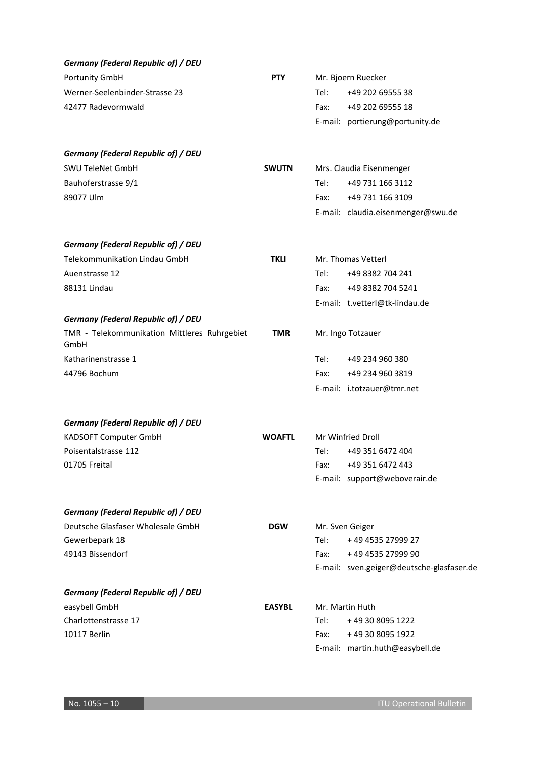| <b>Germany (Federal Republic of) / DEU</b>           |               |      |                                           |
|------------------------------------------------------|---------------|------|-------------------------------------------|
| Portunity GmbH                                       | <b>PTY</b>    |      | Mr. Bjoern Ruecker                        |
| Werner-Seelenbinder-Strasse 23                       |               | Tel: | +49 202 69555 38                          |
| 42477 Radevormwald                                   |               | Fax: | +49 202 69555 18                          |
|                                                      |               |      | E-mail: portierung@portunity.de           |
| <b>Germany (Federal Republic of) / DEU</b>           |               |      |                                           |
| <b>SWU TeleNet GmbH</b>                              | <b>SWUTN</b>  |      | Mrs. Claudia Eisenmenger                  |
| Bauhoferstrasse 9/1                                  |               | Tel: | +49 731 166 3112                          |
| 89077 Ulm                                            |               | Fax: | +49 731 166 3109                          |
|                                                      |               |      | E-mail: claudia.eisenmenger@swu.de        |
| <b>Germany (Federal Republic of) / DEU</b>           |               |      |                                           |
| Telekommunikation Lindau GmbH                        | <b>TKLI</b>   |      | Mr. Thomas Vetterl                        |
| Auenstrasse 12                                       |               | Tel: | +49 8382 704 241                          |
| 88131 Lindau                                         |               | Fax: | +49 8382 704 5241                         |
|                                                      |               |      | E-mail: t.vetterl@tk-lindau.de            |
| <b>Germany (Federal Republic of) / DEU</b>           |               |      |                                           |
| TMR - Telekommunikation Mittleres Ruhrgebiet<br>GmbH | <b>TMR</b>    |      | Mr. Ingo Totzauer                         |
| Katharinenstrasse 1                                  |               | Tel: | +49 234 960 380                           |
| 44796 Bochum                                         |               | Fax: | +49 234 960 3819                          |
|                                                      |               |      | E-mail: i.totzauer@tmr.net                |
| <b>Germany (Federal Republic of) / DEU</b>           |               |      |                                           |
| KADSOFT Computer GmbH                                | <b>WOAFTL</b> |      | Mr Winfried Droll                         |
| Poisentalstrasse 112                                 |               | Tel: | +49 351 6472 404                          |
| 01705 Freital                                        |               | Fax: | +49 351 6472 443                          |
|                                                      |               |      | E-mail: support@weboverair.de             |
| <b>Germany (Federal Republic of) / DEU</b>           |               |      |                                           |
| Deutsche Glasfaser Wholesale GmbH                    | <b>DGW</b>    |      | Mr. Sven Geiger                           |
| Gewerbepark 18                                       |               | Tel: | +49 4535 27999 27                         |
| 49143 Bissendorf                                     |               | Fax: | +49 4535 27999 90                         |
|                                                      |               |      | E-mail: sven.geiger@deutsche-glasfaser.de |
| <b>Germany (Federal Republic of) / DEU</b>           |               |      |                                           |
| easybell GmbH                                        | <b>EASYBL</b> |      | Mr. Martin Huth                           |
| Charlottenstrasse 17                                 |               | Tel: | +49 30 8095 1222                          |
| 10117 Berlin                                         |               | Fax: | +49 30 8095 1922                          |
|                                                      |               |      | E-mail: martin.huth@easybell.de           |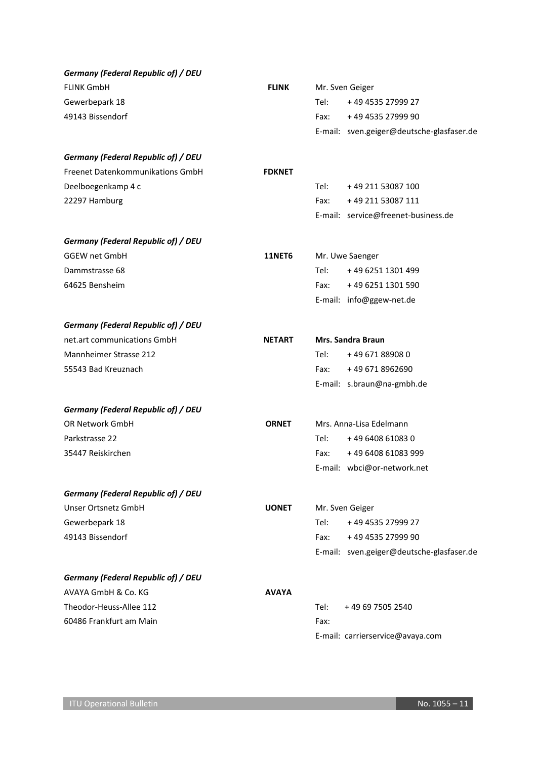| <b>Germany (Federal Republic of) / DEU</b> |               |      |                                           |
|--------------------------------------------|---------------|------|-------------------------------------------|
| <b>FLINK GmbH</b>                          | <b>FLINK</b>  |      | Mr. Sven Geiger                           |
| Gewerbepark 18                             |               | Tel: | +49 4535 27999 27                         |
| 49143 Bissendorf                           |               | Fax: | +49 4535 27999 90                         |
|                                            |               |      | E-mail: sven.geiger@deutsche-glasfaser.de |
| <b>Germany (Federal Republic of) / DEU</b> |               |      |                                           |
| Freenet Datenkommunikations GmbH           | <b>FDKNET</b> |      |                                           |
| Deelboegenkamp 4 c                         |               | Tel: | +49 211 53087 100                         |
| 22297 Hamburg                              |               | Fax: | +49 211 53087 111                         |
|                                            |               |      | E-mail: service@freenet-business.de       |
| <b>Germany (Federal Republic of) / DEU</b> |               |      |                                           |
| <b>GGEW net GmbH</b>                       | <b>11NET6</b> |      | Mr. Uwe Saenger                           |
| Dammstrasse 68                             |               | Tel: | +49 6251 1301 499                         |
| 64625 Bensheim                             |               | Fax: | +49 6251 1301 590                         |
|                                            |               |      | E-mail: info@ggew-net.de                  |
| <b>Germany (Federal Republic of) / DEU</b> |               |      |                                           |
| net.art communications GmbH                | <b>NETART</b> |      | <b>Mrs. Sandra Braun</b>                  |
| Mannheimer Strasse 212                     |               | Tel: | +49 671 889080                            |
| 55543 Bad Kreuznach                        |               | Fax: | +49 671 8962690                           |
|                                            |               |      | E-mail: s.braun@na-gmbh.de                |
| <b>Germany (Federal Republic of) / DEU</b> |               |      |                                           |
| OR Network GmbH                            | <b>ORNET</b>  |      | Mrs. Anna-Lisa Edelmann                   |
| Parkstrasse 22                             |               | Tel: | +49 6408 61083 0                          |
| 35447 Reiskirchen                          |               | Fax: | +49 6408 61083 999                        |
|                                            |               |      | E-mail: wbci@or-network.net               |
| <b>Germany (Federal Republic of) / DEU</b> |               |      |                                           |
| Unser Ortsnetz GmbH                        | <b>UONET</b>  |      | Mr. Sven Geiger                           |
| Gewerbepark 18                             |               | Tel: | +49 4535 27999 27                         |
| 49143 Bissendorf                           |               | Fax: | +49 4535 27999 90                         |
|                                            |               |      | E-mail: sven.geiger@deutsche-glasfaser.de |
| <b>Germany (Federal Republic of) / DEU</b> |               |      |                                           |
| AVAYA GmbH & Co. KG                        | <b>AVAYA</b>  |      |                                           |
| Theodor-Heuss-Allee 112                    |               | Tel: | +49 69 7505 2540                          |
| 60486 Frankfurt am Main                    |               | Fax: |                                           |
|                                            |               |      | E-mail: carrierservice@avaya.com          |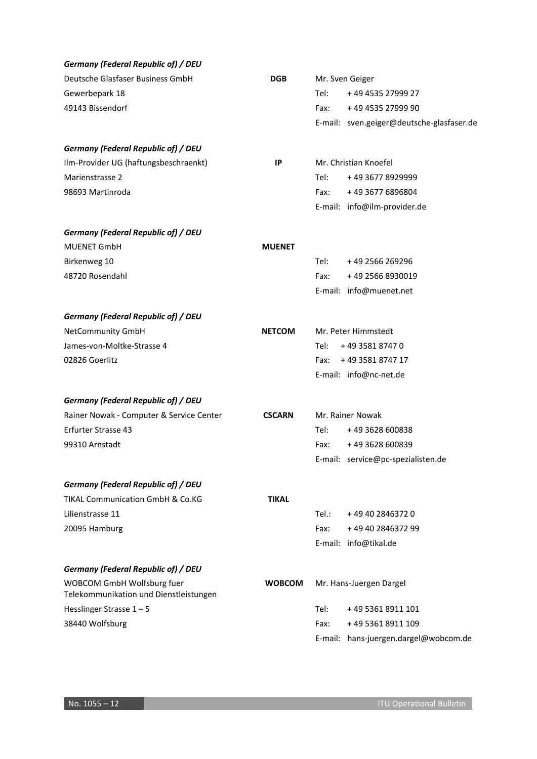| <b>Germany (Federal Republic of) / DEU</b>                           |               |       |                                           |
|----------------------------------------------------------------------|---------------|-------|-------------------------------------------|
| Deutsche Glasfaser Business GmbH                                     | <b>DGB</b>    |       | Mr. Sven Geiger                           |
| Gewerbepark 18                                                       |               | Tel:  | +49 4535 27999 27                         |
| 49143 Bissendorf                                                     |               | Fax:  | +49 4535 27999 90                         |
|                                                                      |               |       | E-mail: sven.geiger@deutsche-glasfaser.de |
| <b>Germany (Federal Republic of) / DEU</b>                           |               |       |                                           |
| Ilm-Provider UG (haftungsbeschraenkt)                                | IP            |       | Mr. Christian Knoefel                     |
| Marienstrasse 2                                                      |               | Tel:  | +49 3677 8929999                          |
| 98693 Martinroda                                                     |               | Fax:  | +49 3677 6896804                          |
|                                                                      |               |       | E-mail: info@ilm-provider.de              |
| <b>Germany (Federal Republic of) / DEU</b>                           |               |       |                                           |
| <b>MUENET GmbH</b>                                                   | <b>MUENET</b> |       |                                           |
| Birkenweg 10                                                         |               | Tel:  | +49 2566 269296                           |
| 48720 Rosendahl                                                      |               | Fax:  | +49 2566 8930019                          |
|                                                                      |               |       | E-mail: info@muenet.net                   |
| <b>Germany (Federal Republic of) / DEU</b>                           |               |       |                                           |
| NetCommunity GmbH                                                    | <b>NETCOM</b> |       | Mr. Peter Himmstedt                       |
| James-von-Moltke-Strasse 4                                           |               | Tel:  | +49 3581 8747 0                           |
| 02826 Goerlitz                                                       |               | Fax:  | +49 3581 8747 17                          |
|                                                                      |               |       | E-mail: info@nc-net.de                    |
| <b>Germany (Federal Republic of) / DEU</b>                           |               |       |                                           |
| Rainer Nowak - Computer & Service Center                             | <b>CSCARN</b> |       | Mr. Rainer Nowak                          |
| <b>Erfurter Strasse 43</b>                                           |               | Tel:  | +49 3628 600838                           |
| 99310 Arnstadt                                                       |               | Fax:  | +49 3628 600839                           |
|                                                                      |               |       | E-mail: service@pc-spezialisten.de        |
| <b>Germany (Federal Republic of) / DEU</b>                           |               |       |                                           |
| <b>TIKAL Communication GmbH &amp; Co.KG</b>                          | <b>TIKAL</b>  |       |                                           |
| Lilienstrasse 11                                                     |               | Tel.: | +49 40 2846372 0                          |
| 20095 Hamburg                                                        |               | Fax:  | +49 40 2846372 99                         |
|                                                                      |               |       | E-mail: info@tikal.de                     |
| <b>Germany (Federal Republic of) / DEU</b>                           |               |       |                                           |
| WOBCOM GmbH Wolfsburg fuer<br>Telekommunikation und Dienstleistungen | <b>WOBCOM</b> |       | Mr. Hans-Juergen Dargel                   |
| Hesslinger Strasse $1 - 5$                                           |               | Tel:  | +49 5361 8911 101                         |
| 38440 Wolfsburg                                                      |               | Fax:  | +49 5361 8911 109                         |
|                                                                      |               |       | E-mail: hans-juergen.dargel@wobcom.de     |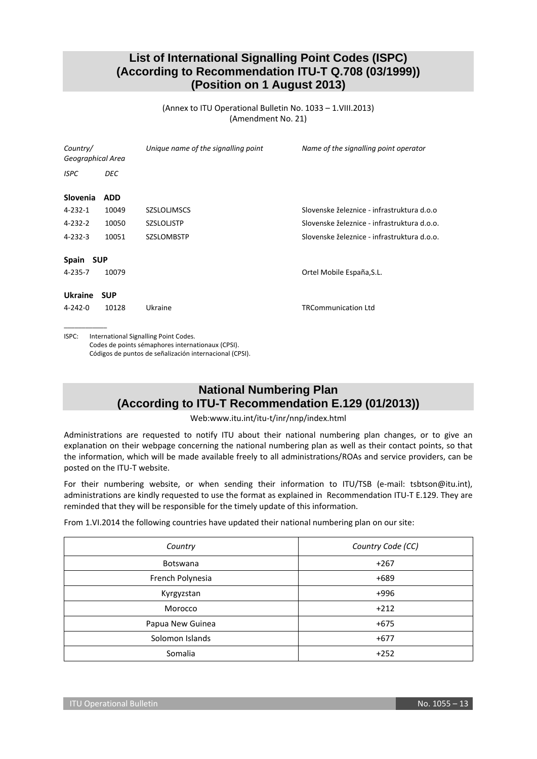### **List of International Signalling Point Codes (ISPC) (According to Recommendation ITU-T Q.708 (03/1999)) (Position on 1 August 2013)**

(Annex to ITU Operational Bulletin No. 1033 – 1.VIII.2013) (Amendment No. 21)

| Country/<br>Geographical Area |            | Unique name of the signalling point   | Name of the signalling point operator       |
|-------------------------------|------------|---------------------------------------|---------------------------------------------|
| <b>ISPC</b>                   | DEC        |                                       |                                             |
| <b>Slovenia</b>               | <b>ADD</b> |                                       |                                             |
| 4-232-1                       | 10049      | <b>SZSLOLJMSCS</b>                    | Slovenske železnice - infrastruktura d.o.o  |
| 4-232-2                       | 10050      | <b>SZSLOLJSTP</b>                     | Slovenske železnice - infrastruktura d.o.o. |
| $4 - 232 - 3$                 | 10051      | <b>SZSLOMBSTP</b>                     | Slovenske železnice - infrastruktura d.o.o. |
| Spain SUP                     |            |                                       |                                             |
| 4-235-7                       | 10079      |                                       | Ortel Mobile España, S.L.                   |
| <b>Ukraine</b>                | <b>SUP</b> |                                       |                                             |
| 4-242-0                       | 10128      | Ukraine                               | <b>TRCommunication Ltd</b>                  |
| ISPC:                         |            | International Signalling Point Codes. |                                             |

ISPC: International Signalling Point Codes. Codes de points sémaphores internationaux (CPSI). Códigos de puntos de señalización internacional (CPSI).

### **National Numbering Plan (According to ITU-T Recommendation E.129 (01/2013))**

Web[:www.itu.int/itu-t/inr/nnp/index.html](http://www.itu.int/itu-t/inr/nnp/index.html)

Administrations are requested to notify ITU about their national numbering plan changes, or to give an explanation on their webpage concerning the national numbering plan as well as their contact points, so that the information, which will be made available freely to all administrations/ROAs and service providers, can be posted on the ITU-T website.

For their numbering website, or when sending their information to ITU/TSB (e-mail: [tsbtson@itu.int\)](mailto:tsbtson@itu/.int), administrations are kindly requested to use the format as explained in Recommendation ITU-T E.129. They are reminded that they will be responsible for the timely update of this information.

From 1.VI.2014 the following countries have updated their national numbering plan on our site:

| Country          | Country Code (CC) |
|------------------|-------------------|
| <b>Botswana</b>  | $+267$            |
| French Polynesia | $+689$            |
| Kyrgyzstan       | $+996$            |
| Morocco          | $+212$            |
| Papua New Guinea | $+675$            |
| Solomon Islands  | $+677$            |
| Somalia          | $+252$            |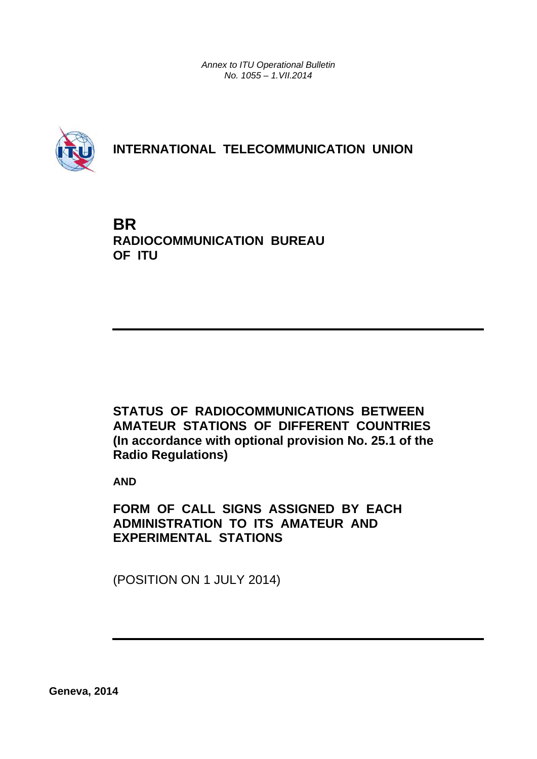*Annex to ITU Operational Bulletin No. 1055 – 1.VII.2014* 



### **INTERNATIONAL TELECOMMUNICATION UNION**

**BR RADIOCOMMUNICATION BUREAU OF ITU**

**STATUS OF RADIOCOMMUNICATIONS BETWEEN AMATEUR STATIONS OF DIFFERENT COUNTRIES (In accordance with optional provision No. 25.1 of the Radio Regulations)** 

**AND** 

**FORM OF CALL SIGNS ASSIGNED BY EACH ADMINISTRATION TO ITS AMATEUR AND EXPERIMENTAL STATIONS** 

(POSITION ON 1 JULY 2014)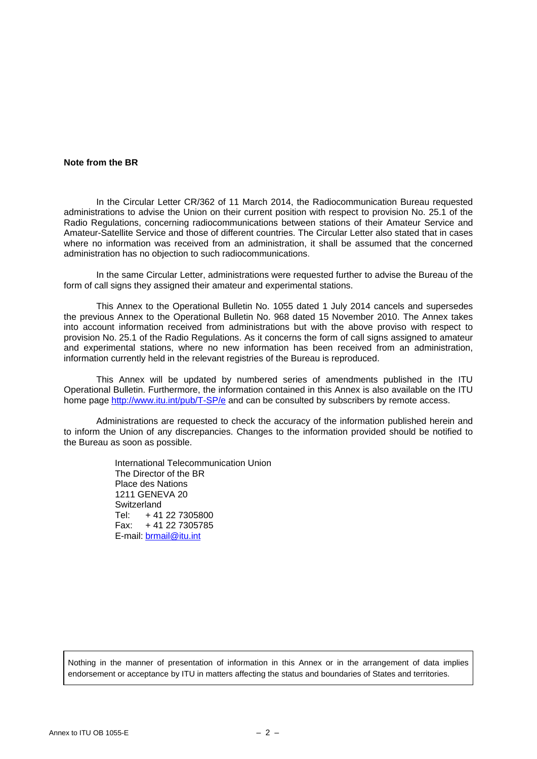### **Note from the BR**

In the Circular Letter CR/362 of 11 March 2014, the Radiocommunication Bureau requested administrations to advise the Union on their current position with respect to provision No. 25.1 of the Radio Regulations, concerning radiocommunications between stations of their Amateur Service and Amateur-Satellite Service and those of different countries. The Circular Letter also stated that in cases where no information was received from an administration, it shall be assumed that the concerned administration has no objection to such radiocommunications.

 In the same Circular Letter, administrations were requested further to advise the Bureau of the form of call signs they assigned their amateur and experimental stations.

 This Annex to the Operational Bulletin No. 1055 dated 1 July 2014 cancels and supersedes the previous Annex to the Operational Bulletin No. 968 dated 15 November 2010. The Annex takes into account information received from administrations but with the above proviso with respect to provision No. 25.1 of the Radio Regulations. As it concerns the form of call signs assigned to amateur and experimental stations, where no new information has been received from an administration, information currently held in the relevant registries of the Bureau is reproduced.

 This Annex will be updated by numbered series of amendments published in the ITU Operational Bulletin. Furthermore, the information contained in this Annex is also available on the ITU home page<http://www.itu.int/pub/T-SP/e> and can be consulted by subscribers by remote access.

 Administrations are requested to check the accuracy of the information published herein and to inform the Union of any discrepancies. Changes to the information provided should be notified to the Bureau as soon as possible.

> International Telecommunication Union The Director of the BR Place des Nations 1211 GENEVA 20 **Switzerland** Tel: + 41 22 7305800 Fax: + 41 22 7305785 E-mail: brmail@itu.int

Nothing in the manner of presentation of information in this Annex or in the arrangement of data implies endorsement or acceptance by ITU in matters affecting the status and boundaries of States and territories.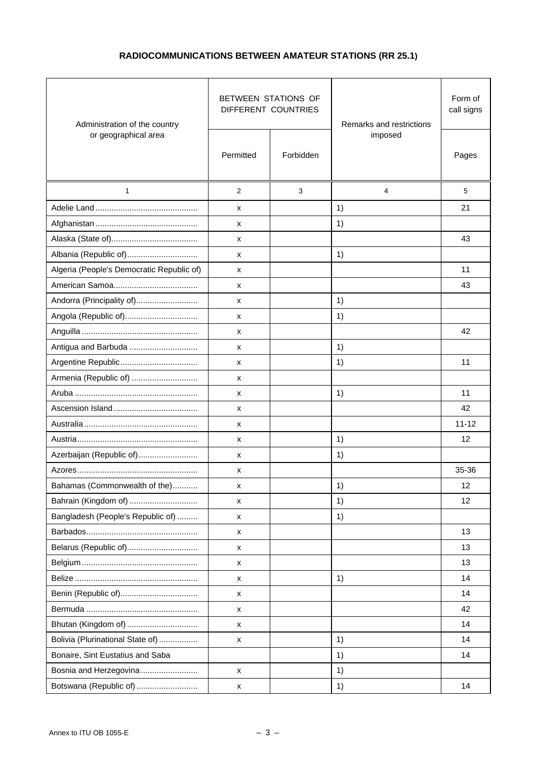### **RADIOCOMMUNICATIONS BETWEEN AMATEUR STATIONS (RR 25.1)**

| Administration of the country             |                    | BETWEEN STATIONS OF<br>DIFFERENT COUNTRIES | Remarks and restrictions | Form of<br>call signs |
|-------------------------------------------|--------------------|--------------------------------------------|--------------------------|-----------------------|
| or geographical area                      | Permitted          | Forbidden                                  | imposed                  | Pages                 |
| $\mathbf{1}$                              | 2                  | 3                                          | 4                        | 5                     |
|                                           | x                  |                                            | 1)                       | 21                    |
|                                           | x                  |                                            | 1)                       |                       |
|                                           | x                  |                                            |                          | 43                    |
| Albania (Republic of)                     | x                  |                                            | 1)                       |                       |
| Algeria (People's Democratic Republic of) | x                  |                                            |                          | 11                    |
|                                           | x                  |                                            |                          | 43                    |
| Andorra (Principality of)                 | х                  |                                            | 1)                       |                       |
| Angola (Republic of)                      | x                  |                                            | 1)                       |                       |
|                                           | x                  |                                            |                          | 42                    |
| Antigua and Barbuda                       | x                  |                                            | 1)                       |                       |
|                                           | x                  |                                            | 1)                       | 11                    |
| Armenia (Republic of)                     | х                  |                                            |                          |                       |
|                                           | x                  |                                            | 1)                       | 11                    |
|                                           | x                  |                                            |                          | 42                    |
|                                           | x                  |                                            |                          | $11 - 12$             |
| Austria……………………………………………                  | x                  |                                            | 1)                       | 12                    |
| Azerbaijan (Republic of)                  | x                  |                                            | 1)                       |                       |
|                                           | x                  |                                            |                          | 35-36                 |
| Bahamas (Commonwealth of the)             | $\pmb{\times}$     |                                            | 1)                       | 12                    |
| Bahrain (Kingdom of)                      | x                  |                                            | 1)                       | 12                    |
| Bangladesh (People's Republic of)         | x                  |                                            | 1)                       |                       |
|                                           | x                  |                                            |                          | 13                    |
| Belarus (Republic of)                     | x                  |                                            |                          | 13                    |
|                                           | x                  |                                            |                          | 13                    |
|                                           | x                  |                                            | 1)                       | 14                    |
|                                           | x                  |                                            |                          | 14                    |
|                                           | x                  |                                            |                          | 42                    |
| Bhutan (Kingdom of)                       | x                  |                                            |                          | 14                    |
| Bolivia (Plurinational State of)          | x                  |                                            | 1)                       | 14                    |
| Bonaire, Sint Eustatius and Saba          |                    |                                            | 1)                       | 14                    |
| Bosnia and Herzegovina                    | $\pmb{\mathsf{x}}$ |                                            | 1)                       |                       |
| Botswana (Republic of)                    | x                  |                                            | 1)                       | 14                    |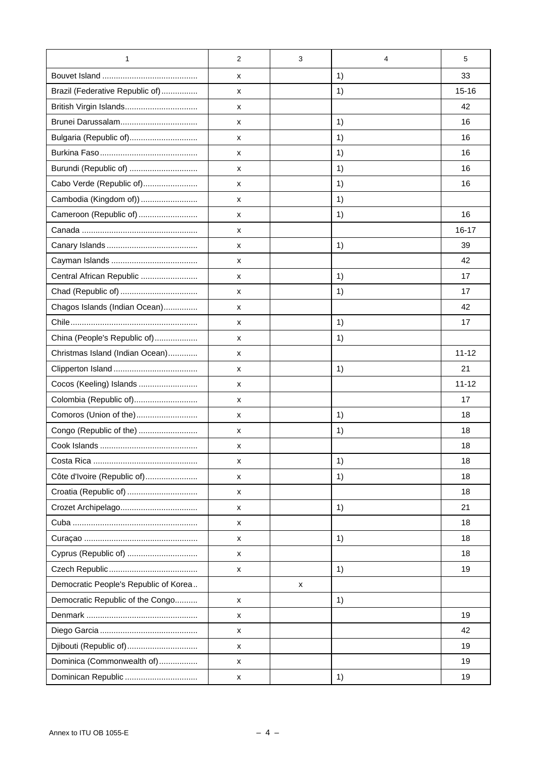| 1                                     | $\overline{2}$ | 3 | 4  | 5         |
|---------------------------------------|----------------|---|----|-----------|
|                                       | x              |   | 1) | 33        |
| Brazil (Federative Republic of)       | x              |   | 1) | $15 - 16$ |
| British Virgin Islands                | x              |   |    | 42        |
|                                       | x              |   | 1) | 16        |
| Bulgaria (Republic of)                | х              |   | 1) | 16        |
|                                       | x              |   | 1) | 16        |
| Burundi (Republic of)                 | x              |   | 1) | 16        |
| Cabo Verde (Republic of)              | x              |   | 1) | 16        |
| Cambodia (Kingdom of))                | x              |   | 1) |           |
| Cameroon (Republic of)                | x              |   | 1) | 16        |
|                                       | x              |   |    | $16 - 17$ |
|                                       | х              |   | 1) | 39        |
|                                       | x              |   |    | 42        |
| Central African Republic              | x              |   | 1) | 17        |
|                                       | x              |   | 1) | 17        |
| Chagos Islands (Indian Ocean)         | x              |   |    | 42        |
|                                       | х              |   | 1) | 17        |
| China (People's Republic of)          | x              |   | 1) |           |
| Christmas Island (Indian Ocean)       | x              |   |    | $11 - 12$ |
|                                       | x              |   | 1) | 21        |
| Cocos (Keeling) Islands               | X              |   |    | $11 - 12$ |
| Colombia (Republic of)                | х              |   |    | 17        |
| Comoros (Union of the)                | х              |   | 1) | 18        |
| Congo (Republic of the)               | x              |   | 1) | 18        |
|                                       | х              |   |    | 18        |
|                                       | x              |   | 1) | 18        |
| Côte d'Ivoire (Republic of)           | x              |   | 1) | 18        |
| Croatia (Republic of)                 | x              |   |    | 18        |
| Crozet Archipelago                    | x              |   | 1) | 21        |
|                                       | X              |   |    | 18        |
|                                       | x              |   | 1) | 18        |
| Cyprus (Republic of)                  | х              |   |    | 18        |
|                                       | x              |   | 1) | 19        |
| Democratic People's Republic of Korea |                | х |    |           |
| Democratic Republic of the Congo      | x              |   | 1) |           |
|                                       | x              |   |    | 19        |
|                                       | x              |   |    | 42        |
| Djibouti (Republic of)                | x              |   |    | 19        |
| Dominica (Commonwealth of)            | х              |   |    | 19        |
| Dominican Republic                    | х              |   | 1) | 19        |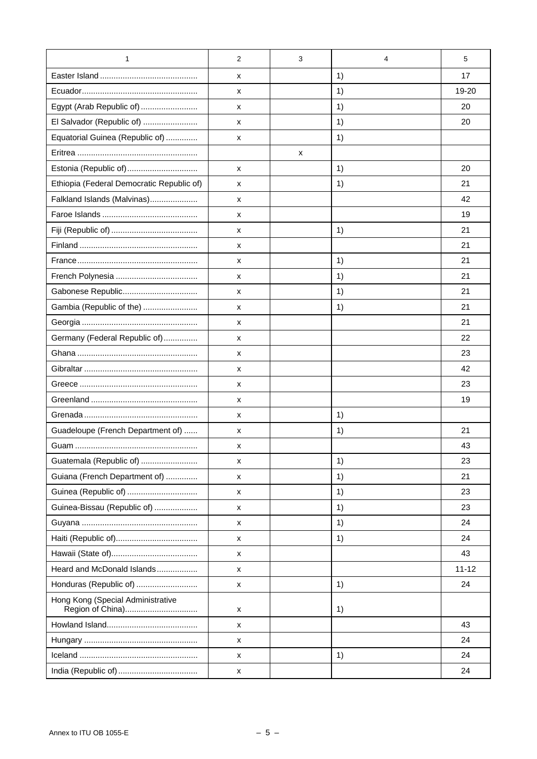| 1                                                     | $\overline{2}$ | 3 | 4  | 5         |
|-------------------------------------------------------|----------------|---|----|-----------|
|                                                       | x              |   | 1) | 17        |
|                                                       | x              |   | 1) | 19-20     |
| Egypt (Arab Republic of)                              | X              |   | 1) | 20        |
| El Salvador (Republic of)                             | X              |   | 1) | 20        |
| Equatorial Guinea (Republic of)                       | X              |   | 1) |           |
|                                                       |                | x |    |           |
| Estonia (Republic of)                                 | X              |   | 1) | 20        |
| Ethiopia (Federal Democratic Republic of)             | x              |   | 1) | 21        |
| Falkland Islands (Malvinas)                           | x              |   |    | 42        |
|                                                       | X              |   |    | 19        |
|                                                       | X              |   | 1) | 21        |
|                                                       | х              |   |    | 21        |
|                                                       | х              |   | 1) | 21        |
|                                                       | х              |   | 1) | 21        |
| Gabonese Republic                                     | X              |   | 1) | 21        |
| Gambia (Republic of the)                              | X              |   | 1) | 21        |
|                                                       | X              |   |    | 21        |
| Germany (Federal Republic of)                         | X              |   |    | 22        |
|                                                       | х              |   |    | 23        |
|                                                       | х              |   |    | 42        |
|                                                       | X              |   |    | 23        |
|                                                       | х              |   |    | 19        |
|                                                       | х              |   | 1) |           |
| Guadeloupe (French Department of)                     | X              |   | 1) | 21        |
|                                                       | х              |   |    | 43        |
| Guatemala (Republic of)                               | X              |   | 1) | 23        |
| Guiana (French Department of)                         | х              |   | 1) | 21        |
| Guinea (Republic of)                                  | X              |   | 1) | 23        |
| Guinea-Bissau (Republic of)                           | X              |   | 1) | 23        |
|                                                       | X              |   | 1) | 24        |
|                                                       | X              |   | 1) | 24        |
|                                                       | х              |   |    | 43        |
| Heard and McDonald Islands                            | X              |   |    | $11 - 12$ |
| Honduras (Republic of)                                | х              |   | 1) | 24        |
| Hong Kong (Special Administrative<br>Region of China) | X              |   | 1) |           |
|                                                       | X              |   |    | 43        |
|                                                       | х              |   |    | 24        |
|                                                       | х              |   | 1) | 24        |
|                                                       | х              |   |    | 24        |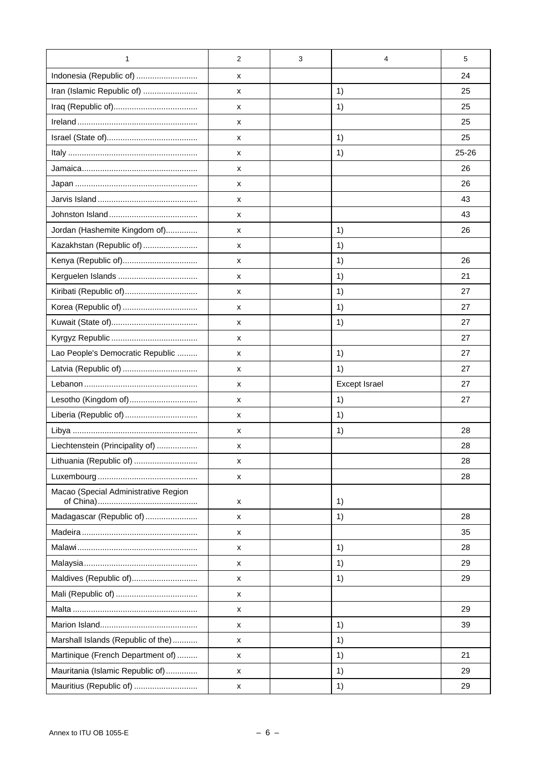| 1                                    | 2 | 3 | 4                    | 5         |
|--------------------------------------|---|---|----------------------|-----------|
| Indonesia (Republic of)              | x |   |                      | 24        |
| Iran (Islamic Republic of)           | X |   | 1)                   | 25        |
|                                      | x |   | 1)                   | 25        |
|                                      | X |   |                      | 25        |
|                                      | х |   | 1)                   | 25        |
|                                      | X |   | 1)                   | $25 - 26$ |
|                                      | X |   |                      | 26        |
|                                      | x |   |                      | 26        |
|                                      | X |   |                      | 43        |
|                                      | X |   |                      | 43        |
| Jordan (Hashemite Kingdom of)        | X |   | 1)                   | 26        |
| Kazakhstan (Republic of)             | X |   | 1)                   |           |
| Kenya (Republic of)                  | X |   | 1)                   | 26        |
|                                      | X |   | 1)                   | 21        |
| Kiribati (Republic of)               | X |   | 1)                   | 27        |
|                                      | X |   | 1)                   | 27        |
|                                      | X |   | 1)                   | 27        |
|                                      | X |   |                      | 27        |
| Lao People's Democratic Republic     | X |   | 1)                   | 27        |
|                                      | х |   | 1)                   | 27        |
|                                      | X |   | <b>Except Israel</b> | 27        |
| Lesotho (Kingdom of)                 | x |   | 1)                   | 27        |
| Liberia (Republic of)                | X |   | 1)                   |           |
|                                      | X |   | 1)                   | 28        |
| Liechtenstein (Principality of)      | х |   |                      | 28        |
| Lithuania (Republic of)              | X |   |                      | 28        |
|                                      | х |   |                      | 28        |
| Macao (Special Administrative Region | x |   | 1)                   |           |
| Madagascar (Republic of)             | X |   | 1)                   | 28        |
|                                      | х |   |                      | 35        |
|                                      | X |   | 1)                   | 28        |
|                                      | X |   | 1)                   | 29        |
| Maldives (Republic of)               | X |   | 1)                   | 29        |
|                                      | x |   |                      |           |
|                                      | x |   |                      | 29        |
|                                      | X |   | 1)                   | 39        |
| Marshall Islands (Republic of the)   | X |   | 1)                   |           |
| Martinique (French Department of)    | X |   | 1)                   | 21        |
| Mauritania (Islamic Republic of)     | X |   | 1)                   | 29        |
| Mauritius (Republic of)              | х |   | 1)                   | 29        |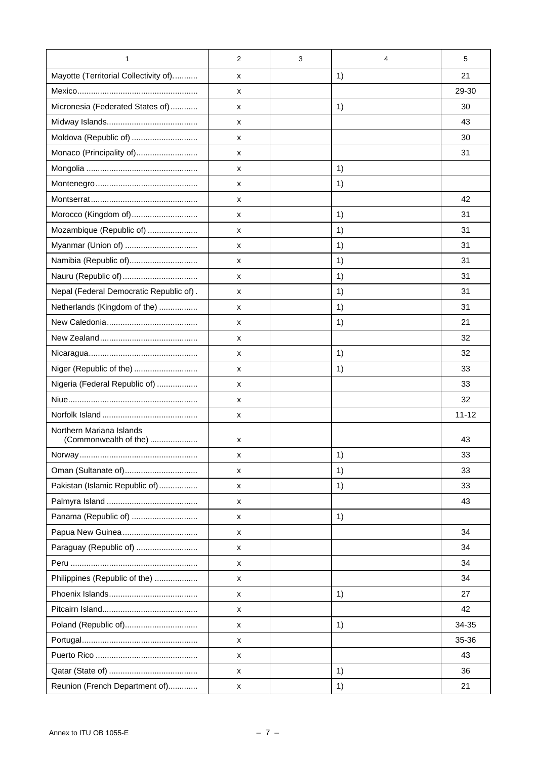| 1                                                 | $\overline{2}$ | 3 | 4  | 5         |
|---------------------------------------------------|----------------|---|----|-----------|
| Mayotte (Territorial Collectivity of)             | X              |   | 1) | 21        |
|                                                   | X              |   |    | 29-30     |
| Micronesia (Federated States of)                  | X              |   | 1) | 30        |
|                                                   | X              |   |    | 43        |
| Moldova (Republic of)                             | X              |   |    | 30        |
| Monaco (Principality of)                          | X              |   |    | 31        |
|                                                   | х              |   | 1) |           |
|                                                   | X              |   | 1) |           |
|                                                   | X              |   |    | 42        |
| Morocco (Kingdom of)                              | X              |   | 1) | 31        |
| Mozambique (Republic of)                          | X              |   | 1) | 31        |
| Myanmar (Union of)                                | х              |   | 1) | 31        |
| Namibia (Republic of)                             | х              |   | 1) | 31        |
| Nauru (Republic of)                               | X              |   | 1) | 31        |
| Nepal (Federal Democratic Republic of).           | X              |   | 1) | 31        |
| Netherlands (Kingdom of the)                      | X              |   | 1) | 31        |
|                                                   | х              |   | 1) | 21        |
|                                                   | X              |   |    | 32        |
|                                                   | х              |   | 1) | 32        |
| Niger (Republic of the)                           | х              |   | 1) | 33        |
| Nigeria (Federal Republic of)                     | X              |   |    | 33        |
|                                                   | x              |   |    | 32        |
|                                                   | X              |   |    | $11 - 12$ |
| Northern Mariana Islands<br>(Commonwealth of the) | X              |   |    | 43        |
|                                                   | х              |   | 1) | 33        |
| Oman (Sultanate of)                               | X              |   | 1) | 33        |
| Pakistan (Islamic Republic of)                    | X              |   | 1) | 33        |
|                                                   | X              |   |    | 43        |
| Panama (Republic of)                              | X              |   | 1) |           |
| Papua New Guinea                                  | X              |   |    | 34        |
| Paraguay (Republic of)                            | X              |   |    | 34        |
|                                                   | х              |   |    | 34        |
| Philippines (Republic of the)                     | X              |   |    | 34        |
|                                                   | X              |   | 1) | 27        |
|                                                   | X              |   |    | 42        |
| Poland (Republic of)                              | X              |   | 1) | 34-35     |
|                                                   | х              |   |    | 35-36     |
|                                                   | х              |   |    | 43        |
|                                                   | X              |   | 1) | 36        |
| Reunion (French Department of)                    | X              |   | 1) | 21        |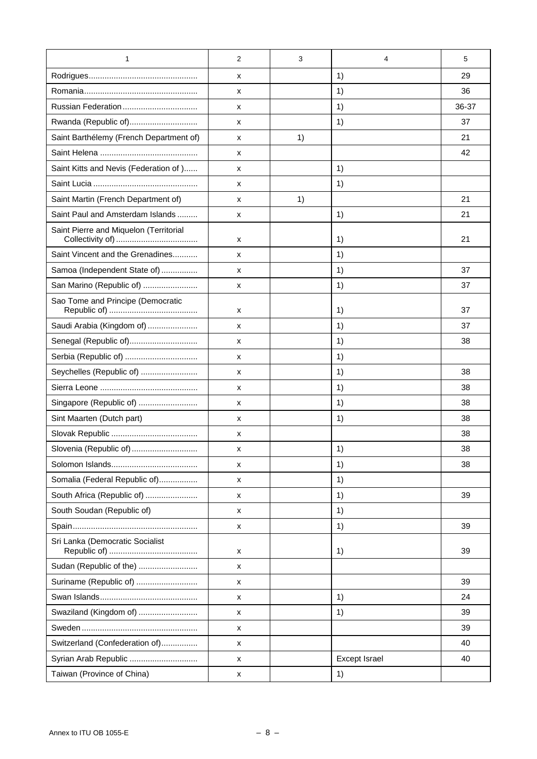| 1                                       | 2 | 3  | 4             | 5     |
|-----------------------------------------|---|----|---------------|-------|
|                                         | x |    | 1)            | 29    |
|                                         | х |    | 1)            | 36    |
|                                         | x |    | 1)            | 36-37 |
| Rwanda (Republic of)                    | x |    | 1)            | 37    |
| Saint Barthélemy (French Department of) | x | 1) |               | 21    |
|                                         | х |    |               | 42    |
| Saint Kitts and Nevis (Federation of )  | х |    | 1)            |       |
|                                         | x |    | 1)            |       |
| Saint Martin (French Department of)     | x | 1) |               | 21    |
| Saint Paul and Amsterdam Islands        | x |    | 1)            | 21    |
| Saint Pierre and Miquelon (Territorial  | x |    | 1)            | 21    |
| Saint Vincent and the Grenadines        | x |    | 1)            |       |
| Samoa (Independent State of)            | x |    | 1)            | 37    |
| San Marino (Republic of)                | x |    | 1)            | 37    |
| Sao Tome and Principe (Democratic       | х |    | 1)            | 37    |
| Saudi Arabia (Kingdom of)               | х |    | 1)            | 37    |
| Senegal (Republic of)                   | x |    | 1)            | 38    |
| Serbia (Republic of)                    | х |    | 1)            |       |
| Seychelles (Republic of)                | x |    | 1)            | 38    |
|                                         | x |    | 1)            | 38    |
| Singapore (Republic of)                 | x |    | 1)            | 38    |
| Sint Maarten (Dutch part)               | x |    | 1)            | 38    |
|                                         | х |    |               | 38    |
| Slovenia (Republic of)                  | х |    | 1)            | 38    |
|                                         | х |    | 1)            | 38    |
| Somalia (Federal Republic of)           | x |    | 1)            |       |
| South Africa (Republic of)              | x |    | 1)            | 39    |
| South Soudan (Republic of)              | х |    | 1)            |       |
|                                         | x |    | 1)            | 39    |
| Sri Lanka (Democratic Socialist         | x |    | 1)            | 39    |
| Sudan (Republic of the)                 | x |    |               |       |
| Suriname (Republic of)                  | x |    |               | 39    |
|                                         | х |    | 1)            | 24    |
| Swaziland (Kingdom of)                  | x |    | 1)            | 39    |
|                                         | x |    |               | 39    |
| Switzerland (Confederation of)          | x |    |               | 40    |
| Syrian Arab Republic                    | x |    | Except Israel | 40    |
| Taiwan (Province of China)              | х |    | 1)            |       |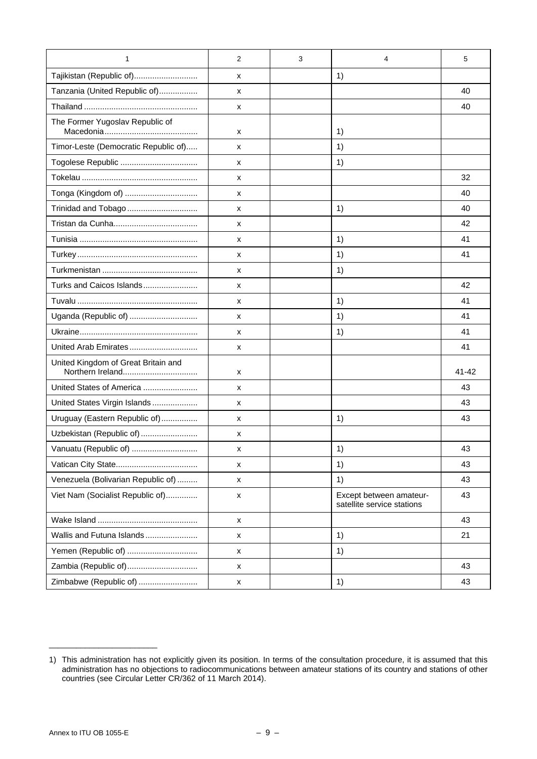| $\mathbf{1}$                         | $\overline{2}$     | 3 | 4                                                     | 5     |
|--------------------------------------|--------------------|---|-------------------------------------------------------|-------|
| Tajikistan (Republic of)             | x                  |   | 1)                                                    |       |
| Tanzania (United Republic of)        | x                  |   |                                                       | 40    |
|                                      | x                  |   |                                                       | 40    |
| The Former Yugoslav Republic of      | x                  |   | 1)                                                    |       |
| Timor-Leste (Democratic Republic of) | х                  |   | 1)                                                    |       |
|                                      | x                  |   | 1)                                                    |       |
|                                      | x                  |   |                                                       | 32    |
| Tonga (Kingdom of)                   | x                  |   |                                                       | 40    |
| Trinidad and Tobago                  | x                  |   | 1)                                                    | 40    |
|                                      | х                  |   |                                                       | 42    |
|                                      | х                  |   | 1)                                                    | 41    |
|                                      | х                  |   | 1)                                                    | 41    |
|                                      | x                  |   | 1)                                                    |       |
| Turks and Caicos Islands             | x                  |   |                                                       | 42    |
|                                      | х                  |   | 1)                                                    | 41    |
| Uganda (Republic of)                 | x                  |   | 1)                                                    | 41    |
|                                      | х                  |   | 1)                                                    | 41    |
| United Arab Emirates                 | х                  |   |                                                       | 41    |
| United Kingdom of Great Britain and  | x                  |   |                                                       | 41-42 |
| United States of America             | х                  |   |                                                       | 43    |
| United States Virgin Islands         | x                  |   |                                                       | 43    |
| Uruguay (Eastern Republic of)        | х                  |   | 1)                                                    | 43    |
| Uzbekistan (Republic of)             | х                  |   |                                                       |       |
| Vanuatu (Republic of)                | х                  |   | 1)                                                    | 43    |
|                                      | x                  |   | 1)                                                    | 43    |
| Venezuela (Bolivarian Republic of)   | x                  |   | 1)                                                    | 43    |
| Viet Nam (Socialist Republic of)     | $\pmb{\mathsf{x}}$ |   | Except between amateur-<br>satellite service stations | 43    |
|                                      | x                  |   |                                                       | 43    |
| Wallis and Futuna Islands            | x                  |   | 1)                                                    | 21    |
| Yemen (Republic of)                  | x                  |   | 1)                                                    |       |
| Zambia (Republic of)                 | x                  |   |                                                       | 43    |
| Zimbabwe (Republic of)               | x                  |   | 1)                                                    | 43    |

\_\_\_\_\_\_\_\_\_\_\_\_\_\_\_\_\_\_\_\_\_\_\_\_

<sup>1)</sup> This administration has not explicitly given its position. In terms of the consultation procedure, it is assumed that this administration has no objections to radiocommunications between amateur stations of its country and stations of other countries (see Circular Letter CR/362 of 11 March 2014).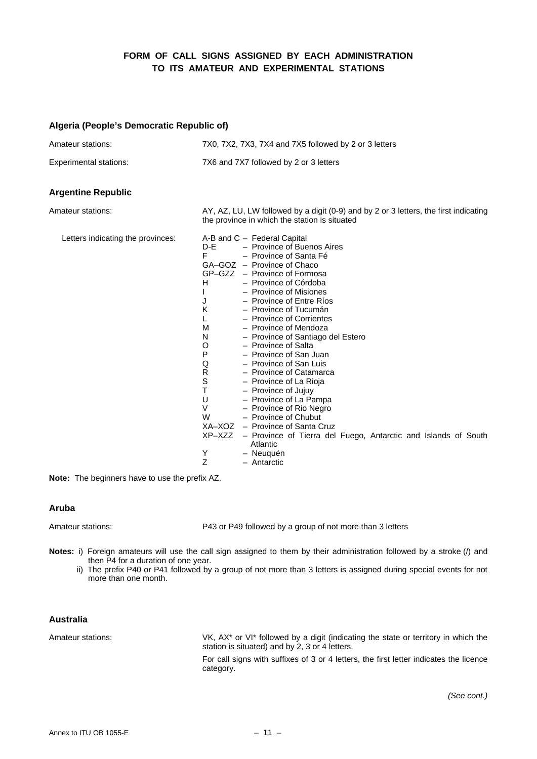### **FORM OF CALL SIGNS ASSIGNED BY EACH ADMINISTRATION TO ITS AMATEUR AND EXPERIMENTAL STATIONS**

### **Algeria (People's Democratic Republic of)**

| Amateur stations:                 | 7X0, 7X2, 7X3, 7X4 and 7X5 followed by 2 or 3 letters                                                                                                                                                                                                                                                                                                                                                                                                                                                                                                                                                                                                                                                                                                                                                                                        |
|-----------------------------------|----------------------------------------------------------------------------------------------------------------------------------------------------------------------------------------------------------------------------------------------------------------------------------------------------------------------------------------------------------------------------------------------------------------------------------------------------------------------------------------------------------------------------------------------------------------------------------------------------------------------------------------------------------------------------------------------------------------------------------------------------------------------------------------------------------------------------------------------|
| <b>Experimental stations:</b>     | 7X6 and 7X7 followed by 2 or 3 letters                                                                                                                                                                                                                                                                                                                                                                                                                                                                                                                                                                                                                                                                                                                                                                                                       |
| <b>Argentine Republic</b>         |                                                                                                                                                                                                                                                                                                                                                                                                                                                                                                                                                                                                                                                                                                                                                                                                                                              |
| Amateur stations:                 | AY, AZ, LU, LW followed by a digit (0-9) and by 2 or 3 letters, the first indicating<br>the province in which the station is situated                                                                                                                                                                                                                                                                                                                                                                                                                                                                                                                                                                                                                                                                                                        |
| Letters indicating the provinces: | A-B and C - Federal Capital<br>D-E<br>- Province of Buenos Aires<br>F<br>- Province of Santa Fé<br>GA-GOZ - Province of Chaco<br>GP-GZZ - Province of Formosa<br>H<br>- Province of Córdoba<br>- Province of Misiones<br>- Province of Entre Ríos<br>J<br>Κ<br>- Province of Tucumán<br>L<br>- Province of Corrientes<br>М<br>- Province of Mendoza<br>N<br>- Province of Santiago del Estero<br>O<br>- Province of Salta<br>Ρ<br>- Province of San Juan<br>Q<br>- Province of San Luis<br>R<br>- Province of Catamarca<br>S<br>- Province of La Rioja<br>T<br>- Province of Jujuy<br>U<br>- Province of La Pampa<br>V<br>- Province of Rio Negro<br>W<br>- Province of Chubut<br>XA-XOZ - Province of Santa Cruz<br>XP-XZZ - Province of Tierra del Fuego, Antarctic and Islands of South<br>Atlantic<br>Y<br>- Neuquén<br>Ζ<br>- Antarctic |

**Note:** The beginners have to use the prefix AZ.

#### **Aruba**

Amateur stations: P43 or P49 followed by a group of not more than 3 letters

- **Notes:** i) Foreign amateurs will use the call sign assigned to them by their administration followed by a stroke (/) and then P4 for a duration of one year.
	- ii) The prefix P40 or P41 followed by a group of not more than 3 letters is assigned during special events for not more than one month.

#### **Australia**

Amateur stations: VK, AX\* or VI\* followed by a digit (indicating the state or territory in which the station is situated) and by 2, 3 or 4 letters.

> For call signs with suffixes of 3 or 4 letters, the first letter indicates the licence category.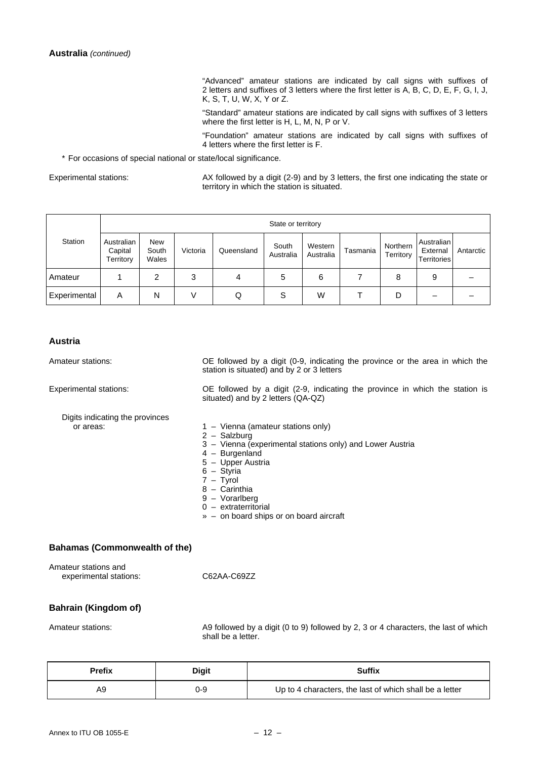"Advanced" amateur stations are indicated by call signs with suffixes of 2 letters and suffixes of 3 letters where the first letter is A, B, C, D, E, F, G, I, J, K, S, T, U, W, X, Y or Z.

 "Standard" amateur stations are indicated by call signs with suffixes of 3 letters where the first letter is H, L, M, N, P or V.

 "Foundation" amateur stations are indicated by call signs with suffixes of 4 letters where the first letter is F.

\* For occasions of special national or state/local significance.

Experimental stations: AX followed by a digit (2-9) and by 3 letters, the first one indicating the state or territory in which the station is situated.

|                     |                                    |                              |          |            | State or territory |                      |          |                       |                                              |           |
|---------------------|------------------------------------|------------------------------|----------|------------|--------------------|----------------------|----------|-----------------------|----------------------------------------------|-----------|
| Station             | Australian<br>Capital<br>Territory | <b>New</b><br>South<br>Wales | Victoria | Queensland | South<br>Australia | Western<br>Australia | Tasmania | Northern<br>Territory | Australian<br>External<br><b>Territories</b> | Antarctic |
| Amateur             |                                    | 2                            | 2<br>J   | 4          | 5                  | 6                    |          | 8                     | 9                                            |           |
| <b>Experimental</b> | Α                                  | N                            |          | Q          | S                  | W                    |          | D                     |                                              |           |

#### **Austria**

Amateur stations: OE followed by a digit (0-9, indicating the province or the area in which the station is situated) and by 2 or 3 letters

Experimental stations: OE followed by a digit (2-9, indicating the province in which the station is situated) and by 2 letters (QA-QZ)

- Digits indicating the provinces
- 2 Salzburg
- 3 Vienna (experimental stations only) and Lower Austria
- 4 Burgenland
- 5 Upper Austria
- 6 Styria
- 7 Tyrol
- 8 Carinthia
	- 9 Vorarlberg
	- 0 extraterritorial
	- » on board ships or on board aircraft

 $1 -$  Vienna (amateur stations only)

### **Bahamas (Commonwealth of the)**

Amateur stations and

experimental stations: C62AA-C69ZZ

#### **Bahrain (Kingdom of)**

Amateur stations: A9 followed by a digit (0 to 9) followed by 2, 3 or 4 characters, the last of which shall be a letter.

| <b>Prefix</b> | Digit | <b>Suffix</b>                                           |
|---------------|-------|---------------------------------------------------------|
| A9            | ე-9   | Up to 4 characters, the last of which shall be a letter |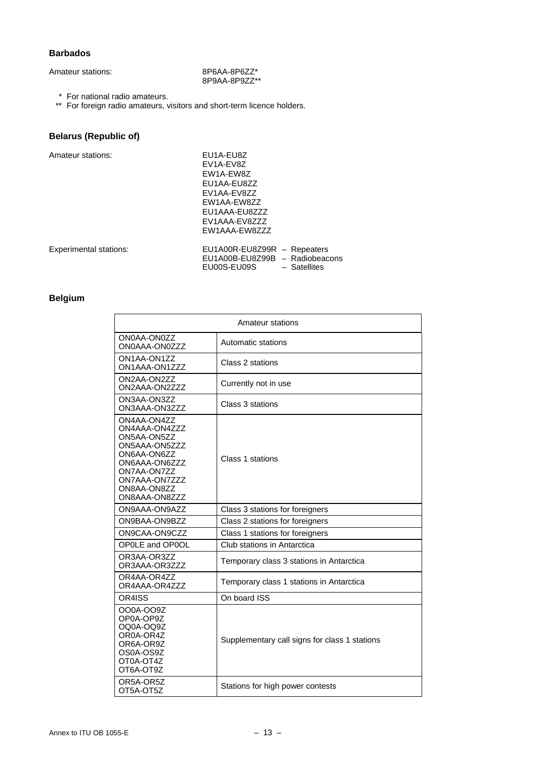### **Barbados**

8P9AA-8P9ZZ\*\*

\* For national radio amateurs.

\*\* For foreign radio amateurs, visitors and short-term licence holders.

### **Belarus (Republic of)**

| Amateur stations:             | EU1A-EU8Z<br>FV1A-FV87<br>EW1A-EW8Z                                                            |
|-------------------------------|------------------------------------------------------------------------------------------------|
|                               | EU1AA-EU8ZZ<br>EV1AA-EV8ZZ                                                                     |
|                               | EW1AA-EW8ZZ                                                                                    |
|                               | EU1AAA-EU8ZZZ<br>EV1AAA-EV8ZZZ                                                                 |
|                               | EW1AAA-EW8ZZZ                                                                                  |
| <b>Experimental stations:</b> | EU1A00R-EU8Z99R - Repeaters<br>EU1A00B-EU8Z99B - Radiobeacons<br>EU00S-EU09S<br>$-$ Satellites |

### **Belgium**

| Amateur stations                                                                                                                                             |                                               |  |
|--------------------------------------------------------------------------------------------------------------------------------------------------------------|-----------------------------------------------|--|
| ON0AA-ON0ZZ<br>ON0AAA-ON0ZZZ                                                                                                                                 | Automatic stations                            |  |
| ON1AA-ON1ZZ<br>ON1AAA-ON1ZZZ                                                                                                                                 | Class 2 stations                              |  |
| ON2AA-ON2ZZ<br>ON2AAA-ON2ZZZ                                                                                                                                 | Currently not in use                          |  |
| ON3AA-ON3ZZ<br>ON3AAA-ON3ZZZ                                                                                                                                 | Class 3 stations                              |  |
| ON4AA-ON4ZZ<br>ON4AAA-ON4ZZZ<br>ON5AA-ON5ZZ<br>ON5AAA-ON5ZZZ<br>ON6AA-ON6ZZ<br>ON6AAA-ON6ZZZ<br>ON7AA-ON7ZZ<br>ON7AAA-ON7ZZZ<br>ON8AA-ON8ZZ<br>ON8AAA-ON8ZZZ | Class 1 stations                              |  |
| ON9AAA-ON9AZZ                                                                                                                                                | Class 3 stations for foreigners               |  |
| ON9BAA-ON9BZZ                                                                                                                                                | Class 2 stations for foreigners               |  |
| ON9CAA-ON9CZZ                                                                                                                                                | Class 1 stations for foreigners               |  |
| OP0LE and OP0OL                                                                                                                                              | Club stations in Antarctica                   |  |
| OR3AA-OR3ZZ<br>OR3AAA-OR3ZZZ                                                                                                                                 | Temporary class 3 stations in Antarctica      |  |
| OR4AA-OR4ZZ<br>OR4AAA-OR4ZZZ                                                                                                                                 | Temporary class 1 stations in Antarctica      |  |
| OR4ISS                                                                                                                                                       | On board ISS                                  |  |
| OO0A-OO9Z<br>OP0A-OP9Z<br>OQ0A-OQ9Z<br>OR0A-OR4Z<br>OR6A-OR9Z<br>OS0A-OS9Z<br>OT0A-OT4Z<br>OT6A-OT9Z                                                         | Supplementary call signs for class 1 stations |  |
| OR5A-OR5Z<br>OT5A-OT5Z                                                                                                                                       | Stations for high power contests              |  |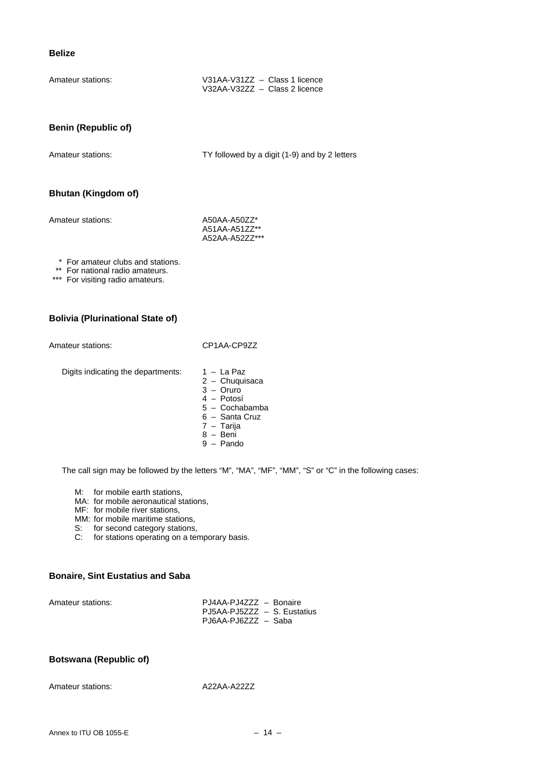#### **Belize**

| Amateur stations: | V31AA-V31ZZ - Class 1 licence |  |
|-------------------|-------------------------------|--|
|                   | V32AA-V32ZZ - Class 2 licence |  |

### **Benin (Republic of)**

Amateur stations: TY followed by a digit (1-9) and by 2 letters

### **Bhutan (Kingdom of)**

Amateur stations: A50AA-A50ZZ\*

 A51AA-A51ZZ\*\* A52AA-A52ZZ\*\*\*

\* For amateur clubs and stations.

\*\* For national radio amateurs.

\*\*\* For visiting radio amateurs.

#### **Bolivia (Plurinational State of)**

Amateur stations: CP1AA-CP9ZZ

Digits indicating the departments:  $1 - La Paz$ 

- 2 Chuquisaca 3 – Oruro
- 4 Potosí
- 5 Cochabamba
- 6 Santa Cruz
- 7 Tarija
- 8 Beni
- $9 -$  Pando

The call sign may be followed by the letters "M", "MA", "MF", "MM", "S" or "C" in the following cases:

M: for mobile earth stations,

MA: for mobile aeronautical stations,

MF: for mobile river stations,

- MM: for mobile maritime stations.
- S: for second category stations,
- C: for stations operating on a temporary basis.

### **Bonaire, Sint Eustatius and Saba**

| Amateur stations: | PJ4AA-PJ4ZZZ - Bonaire      |  |
|-------------------|-----------------------------|--|
|                   | PJ5AA-PJ5ZZZ - S. Eustatius |  |
|                   | PJ6AA-PJ6ZZZ - Saba         |  |

### **Botswana (Republic of)**

Amateur stations: A22AA-A22ZZ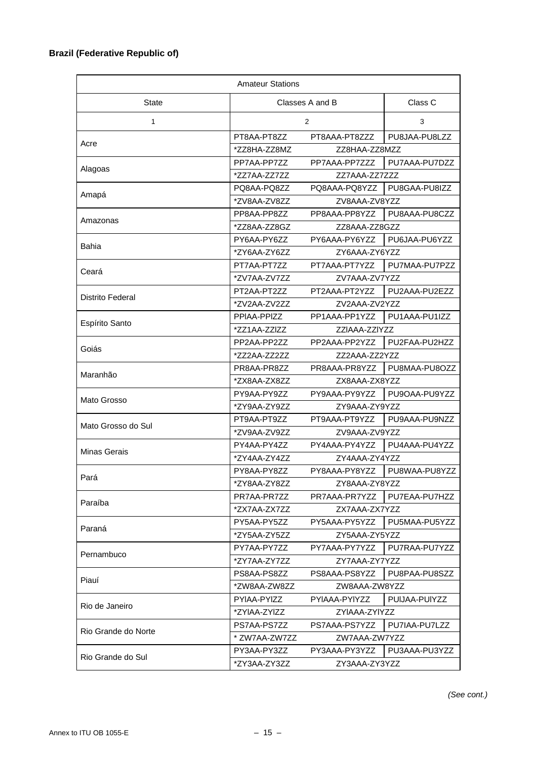### **Brazil (Federative Republic of)**

| <b>Amateur Stations</b> |               |                 |               |
|-------------------------|---------------|-----------------|---------------|
| <b>State</b>            |               | Classes A and B |               |
| 1                       |               | $\overline{2}$  | 3             |
|                         | PT8AA-PT8ZZ   | PT8AAA-PT8ZZZ   | PU8JAA-PU8LZZ |
| Acre                    | *ZZ8HA-ZZ8MZ  | ZZ8HAA-ZZ8MZZ   |               |
|                         | PP7AA-PP7ZZ   | PP7AAA-PP7ZZZ   | PU7AAA-PU7DZZ |
| Alagoas                 | *ZZ7AA-ZZ7ZZ  | ZZ7AAA-ZZ7ZZZ   |               |
|                         | PQ8AA-PQ8ZZ   | PQ8AAA-PQ8YZZ   | PU8GAA-PU8IZZ |
| Amapá                   | *ZV8AA-ZV8ZZ  | ZV8AAA-ZV8YZZ   |               |
|                         | PP8AA-PP8ZZ   | PP8AAA-PP8YZZ   | PU8AAA-PU8CZZ |
| Amazonas                | *ZZ8AA-ZZ8GZ  | ZZ8AAA-ZZ8GZZ   |               |
|                         | PY6AA-PY6ZZ   | PY6AAA-PY6YZZ   | PU6JAA-PU6YZZ |
| Bahia                   | *ZY6AA-ZY6ZZ  | ZY6AAA-ZY6YZZ   |               |
|                         | PT7AA-PT7ZZ   | PT7AAA-PT7YZZ   | PU7MAA-PU7PZZ |
| Ceará                   | *ZV7AA-ZV7ZZ  | ZV7AAA-ZV7YZZ   |               |
|                         | PT2AA-PT2ZZ   | PT2AAA-PT2YZZ   | PU2AAA-PU2EZZ |
| <b>Distrito Federal</b> | *ZV2AA-ZV2ZZ  | ZV2AAA-ZV2YZZ   |               |
|                         | PPIAA-PPIZZ   | PP1AAA-PP1YZZ   | PU1AAA-PU1IZZ |
| Espírito Santo          | *ZZ1AA-ZZIZZ  | ZZIAAA-ZZIYZZ   |               |
|                         | PP2AA-PP2ZZ   | PP2AAA-PP2YZZ   | PU2FAA-PU2HZZ |
| Goiás                   | *ZZ2AA-ZZ2ZZ  | ZZ2AAA-ZZ2YZZ   |               |
|                         | PR8AA-PR8ZZ   | PR8AAA-PR8YZZ   | PU8MAA-PU8OZZ |
| Maranhão                | *ZX8AA-ZX8ZZ  | ZX8AAA-ZX8YZZ   |               |
|                         | PY9AA-PY9ZZ   | PY9AAA-PY9YZZ   | PU9OAA-PU9YZZ |
| Mato Grosso             | *ZY9AA-ZY9ZZ  | ZY9AAA-ZY9YZZ   |               |
|                         | PT9AA-PT9ZZ   | PT9AAA-PT9YZZ   | PU9AAA-PU9NZZ |
| Mato Grosso do Sul      | *ZV9AA-ZV9ZZ  | ZV9AAA-ZV9YZZ   |               |
|                         | PY4AA-PY4ZZ   | PY4AAA-PY4YZZ   | PU4AAA-PU4YZZ |
| <b>Minas Gerais</b>     |               | ZY4AAA-ZY4YZZ   |               |
|                         | *ZY4AA-ZY4ZZ  |                 | PU8WAA-PU8YZZ |
| Pará                    | PY8AA-PY8ZZ   | PY8AAA-PY8YZZ   |               |
|                         | *ZY8AA-ZY8ZZ  | ZY8AAA-ZY8YZZ   |               |
| Paraíba                 | PR7AA-PR7ZZ   | PR7AAA-PR7YZZ   | PU7EAA-PU7HZZ |
|                         | *ZX7AA-ZX7ZZ  | ZX7AAA-ZX7YZZ   |               |
| Paraná                  | PY5AA-PY5ZZ   | PY5AAA-PY5YZZ   | PU5MAA-PU5YZZ |
|                         | *ZY5AA-ZY5ZZ  | ZY5AAA-ZY5YZZ   |               |
| Pernambuco              | PY7AA-PY7ZZ   | PY7AAA-PY7YZZ   | PU7RAA-PU7YZZ |
|                         | *ZY7AA-ZY7ZZ  | ZY7AAA-ZY7YZZ   |               |
| Piauí                   | PS8AA-PS8ZZ   | PS8AAA-PS8YZZ   | PU8PAA-PU8SZZ |
|                         | *ZW8AA-ZW8ZZ  | ZW8AAA-ZW8YZZ   |               |
| Rio de Janeiro          | PYIAA-PYIZZ   | PYIAAA-PYIYZZ   | PUIJAA-PUIYZZ |
|                         | *ZYIAA-ZYIZZ  | ZYIAAA-ZYIYZZ   |               |
| Rio Grande do Norte     | PS7AA-PS7ZZ   | PS7AAA-PS7YZZ   | PU7IAA-PU7LZZ |
|                         | * ZW7AA-ZW7ZZ | ZW7AAA-ZW7YZZ   |               |
|                         | PY3AA-PY3ZZ   | PY3AAA-PY3YZZ   | PU3AAA-PU3YZZ |
| Rio Grande do Sul       | *ZY3AA-ZY3ZZ  | ZY3AAA-ZY3YZZ   |               |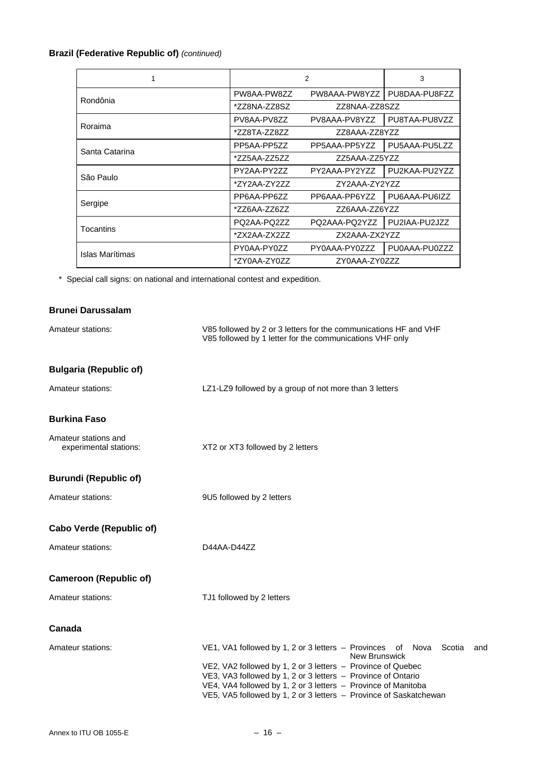### **Brazil (Federative Republic of)** *(continued)*

|                 |              | 2             | 3             |  |
|-----------------|--------------|---------------|---------------|--|
|                 | PW8AA-PW8ZZ  | PW8AAA-PW8YZZ | PU8DAA-PU8FZZ |  |
| Rondônia        | *ZZ8NA-ZZ8SZ | ZZ8NAA-ZZ8SZZ |               |  |
| Roraima         | PV8AA-PV8ZZ  | PV8AAA-PV8YZZ | PU8TAA-PU8VZZ |  |
|                 | *ZZ8TA-ZZ8ZZ | ZZ8AAA-ZZ8YZZ |               |  |
| Santa Catarina  | PP5AA-PP5ZZ  | PP5AAA-PP5YZZ | PU5AAA-PU5LZZ |  |
|                 | *ZZ5AA-ZZ5ZZ | ZZ5AAA-ZZ5YZZ |               |  |
| São Paulo       | PY2AA-PY2ZZ  | PY2AAA-PY2YZZ | PU2KAA-PU2YZZ |  |
|                 | *ZY2AA-ZY2ZZ | ZY2AAA-ZY2YZZ |               |  |
|                 | PP6AA-PP677  | PP6AAA-PP6YZZ | PU6AAA-PU6IZZ |  |
| Sergipe         | *ZZ6AA-ZZ6ZZ | ZZ6AAA-ZZ6YZZ |               |  |
| Tocantins       | PQ2AA-PQ2ZZ  | PQ2AAA-PQ2YZZ | PU2IAA-PU2JZZ |  |
|                 | *7X2AA-7X277 | ZX2AAA-ZX2YZZ |               |  |
| Islas Marítimas | PY0AA-PY0ZZ  | PY0AAA-PY0ZZZ | PU0AAA-PU0ZZZ |  |
|                 | *ZY0AA-ZY0ZZ | ZY0AAA-ZY0ZZZ |               |  |

\* Special call signs: on national and international contest and expedition.

### **Brunei Darussalam**

| Amateur stations:                              | V85 followed by 2 or 3 letters for the communications HF and VHF<br>V85 followed by 1 letter for the communications VHF only                                                                                                                                                                                                                                                   |  |
|------------------------------------------------|--------------------------------------------------------------------------------------------------------------------------------------------------------------------------------------------------------------------------------------------------------------------------------------------------------------------------------------------------------------------------------|--|
| <b>Bulgaria (Republic of)</b>                  |                                                                                                                                                                                                                                                                                                                                                                                |  |
| Amateur stations:                              | LZ1-LZ9 followed by a group of not more than 3 letters                                                                                                                                                                                                                                                                                                                         |  |
| <b>Burkina Faso</b>                            |                                                                                                                                                                                                                                                                                                                                                                                |  |
| Amateur stations and<br>experimental stations: | XT2 or XT3 followed by 2 letters                                                                                                                                                                                                                                                                                                                                               |  |
| <b>Burundi (Republic of)</b>                   |                                                                                                                                                                                                                                                                                                                                                                                |  |
| Amateur stations:                              | 9U5 followed by 2 letters                                                                                                                                                                                                                                                                                                                                                      |  |
| <b>Cabo Verde (Republic of)</b>                |                                                                                                                                                                                                                                                                                                                                                                                |  |
| Amateur stations:                              | D44AA-D44ZZ                                                                                                                                                                                                                                                                                                                                                                    |  |
| <b>Cameroon (Republic of)</b>                  |                                                                                                                                                                                                                                                                                                                                                                                |  |
| Amateur stations:                              | TJ1 followed by 2 letters                                                                                                                                                                                                                                                                                                                                                      |  |
| Canada                                         |                                                                                                                                                                                                                                                                                                                                                                                |  |
| Amateur stations:                              | VE1, VA1 followed by 1, 2 or 3 letters - Provinces<br>Scotia<br>of<br>Nova<br>and<br><b>New Brunswick</b><br>VE2, VA2 followed by 1, 2 or 3 letters - Province of Quebec<br>VE3, VA3 followed by 1, 2 or 3 letters - Province of Ontario<br>VE4, VA4 followed by 1, 2 or 3 letters - Province of Manitoba<br>VE5, VA5 followed by 1, 2 or 3 letters - Province of Saskatchewan |  |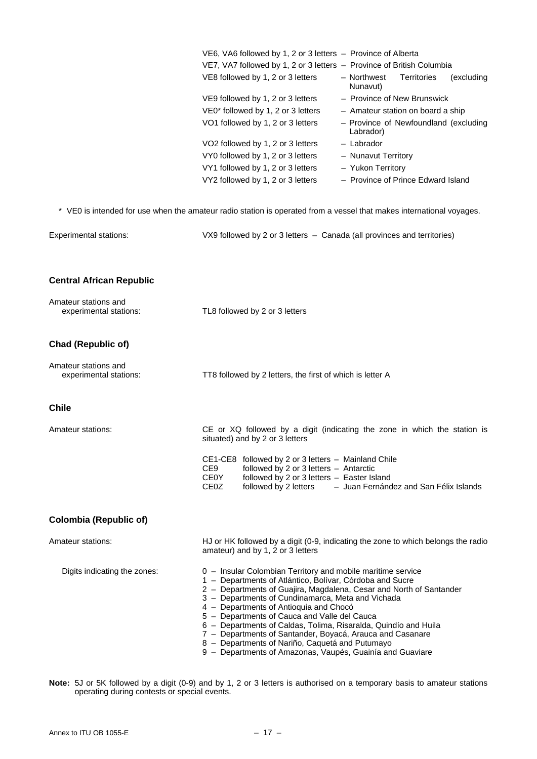|                                                | VE6, VA6 followed by 1, 2 or 3 letters - Province of Alberta<br>VE7, VA7 followed by 1, 2 or 3 letters - Province of British Columbia<br>VE8 followed by 1, 2 or 3 letters<br>- Northwest<br><b>Territories</b><br>(excluding<br>Nunavut)<br>- Province of New Brunswick<br>VE9 followed by 1, 2 or 3 letters<br>VE0* followed by 1, 2 or 3 letters<br>- Amateur station on board a ship<br>VO1 followed by 1, 2 or 3 letters<br>- Province of Newfoundland (excluding<br>Labrador)<br>- Labrador<br>VO2 followed by 1, 2 or 3 letters<br>VY0 followed by 1, 2 or 3 letters<br>- Nunavut Territory<br>VY1 followed by 1, 2 or 3 letters<br>- Yukon Territory<br>VY2 followed by 1, 2 or 3 letters<br>- Province of Prince Edward Island |  |
|------------------------------------------------|-----------------------------------------------------------------------------------------------------------------------------------------------------------------------------------------------------------------------------------------------------------------------------------------------------------------------------------------------------------------------------------------------------------------------------------------------------------------------------------------------------------------------------------------------------------------------------------------------------------------------------------------------------------------------------------------------------------------------------------------|--|
|                                                | * VE0 is intended for use when the amateur radio station is operated from a vessel that makes international voyages.                                                                                                                                                                                                                                                                                                                                                                                                                                                                                                                                                                                                                    |  |
| <b>Experimental stations:</b>                  | VX9 followed by 2 or 3 letters - Canada (all provinces and territories)                                                                                                                                                                                                                                                                                                                                                                                                                                                                                                                                                                                                                                                                 |  |
| <b>Central African Republic</b>                |                                                                                                                                                                                                                                                                                                                                                                                                                                                                                                                                                                                                                                                                                                                                         |  |
| Amateur stations and<br>experimental stations: | TL8 followed by 2 or 3 letters                                                                                                                                                                                                                                                                                                                                                                                                                                                                                                                                                                                                                                                                                                          |  |
| <b>Chad (Republic of)</b>                      |                                                                                                                                                                                                                                                                                                                                                                                                                                                                                                                                                                                                                                                                                                                                         |  |
| Amateur stations and<br>experimental stations: | TT8 followed by 2 letters, the first of which is letter A                                                                                                                                                                                                                                                                                                                                                                                                                                                                                                                                                                                                                                                                               |  |
| <b>Chile</b>                                   |                                                                                                                                                                                                                                                                                                                                                                                                                                                                                                                                                                                                                                                                                                                                         |  |
| Amateur stations:                              | CE or XQ followed by a digit (indicating the zone in which the station is<br>situated) and by 2 or 3 letters                                                                                                                                                                                                                                                                                                                                                                                                                                                                                                                                                                                                                            |  |
|                                                | CE1-CE8 followed by 2 or 3 letters - Mainland Chile<br>CE9<br>followed by 2 or 3 letters - Antarctic<br><b>CE0Y</b><br>followed by 2 or 3 letters - Easter Island<br>CE <sub>0</sub> Z<br>followed by 2 letters - Juan Fernández and San Félix Islands                                                                                                                                                                                                                                                                                                                                                                                                                                                                                  |  |
| <b>Colombia (Republic of)</b>                  |                                                                                                                                                                                                                                                                                                                                                                                                                                                                                                                                                                                                                                                                                                                                         |  |
| Amateur stations:                              | HJ or HK followed by a digit (0-9, indicating the zone to which belongs the radio<br>amateur) and by 1, 2 or 3 letters                                                                                                                                                                                                                                                                                                                                                                                                                                                                                                                                                                                                                  |  |
| Digits indicating the zones:                   | 0 - Insular Colombian Territory and mobile maritime service<br>1 - Departments of Atlántico, Bolívar, Córdoba and Sucre<br>2 - Departments of Guajira, Magdalena, Cesar and North of Santander<br>3 - Departments of Cundinamarca, Meta and Vichada<br>4 - Departments of Antioquia and Chocó<br>5 - Departments of Cauca and Valle del Cauca<br>6 - Departments of Caldas, Tolima, Risaralda, Quindío and Huila<br>7 - Departments of Santander, Boyacá, Arauca and Casanare<br>8 - Departments of Nariño, Caquetá and Putumayo<br>9 - Departments of Amazonas, Vaupés, Guainía and Guaviare                                                                                                                                           |  |

**Note:** 5J or 5K followed by a digit (0-9) and by 1, 2 or 3 letters is authorised on a temporary basis to amateur stations operating during contests or special events.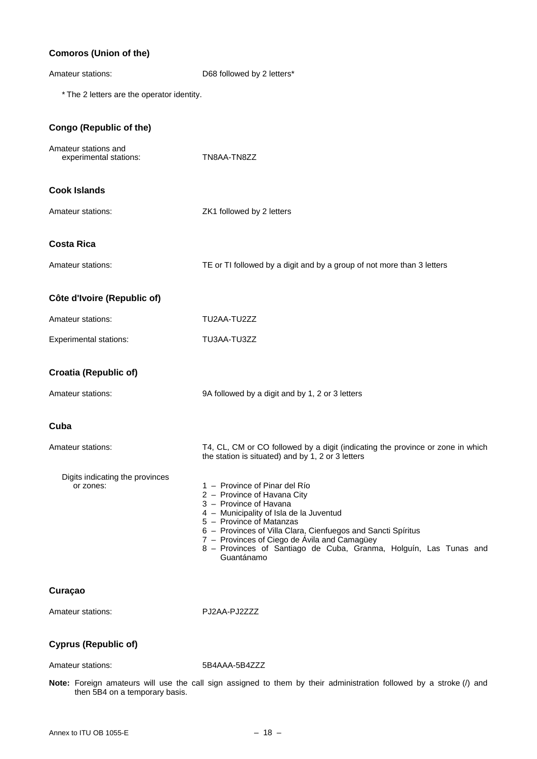### **Comoros (Union of the)**

| Amateur stations:                              | D68 followed by 2 letters*                                                                                                                                                                                                                                                                                                                                       |  |  |
|------------------------------------------------|------------------------------------------------------------------------------------------------------------------------------------------------------------------------------------------------------------------------------------------------------------------------------------------------------------------------------------------------------------------|--|--|
| * The 2 letters are the operator identity.     |                                                                                                                                                                                                                                                                                                                                                                  |  |  |
| <b>Congo (Republic of the)</b>                 |                                                                                                                                                                                                                                                                                                                                                                  |  |  |
| Amateur stations and<br>experimental stations: | TN8AA-TN8ZZ                                                                                                                                                                                                                                                                                                                                                      |  |  |
| <b>Cook Islands</b>                            |                                                                                                                                                                                                                                                                                                                                                                  |  |  |
| Amateur stations:                              | ZK1 followed by 2 letters                                                                                                                                                                                                                                                                                                                                        |  |  |
| <b>Costa Rica</b>                              |                                                                                                                                                                                                                                                                                                                                                                  |  |  |
| Amateur stations:                              | TE or TI followed by a digit and by a group of not more than 3 letters                                                                                                                                                                                                                                                                                           |  |  |
| Côte d'Ivoire (Republic of)                    |                                                                                                                                                                                                                                                                                                                                                                  |  |  |
| Amateur stations:                              | TU2AA-TU2ZZ                                                                                                                                                                                                                                                                                                                                                      |  |  |
| <b>Experimental stations:</b>                  | TU3AA-TU3ZZ                                                                                                                                                                                                                                                                                                                                                      |  |  |
| <b>Croatia (Republic of)</b>                   |                                                                                                                                                                                                                                                                                                                                                                  |  |  |
| Amateur stations:                              | 9A followed by a digit and by 1, 2 or 3 letters                                                                                                                                                                                                                                                                                                                  |  |  |
| Cuba                                           |                                                                                                                                                                                                                                                                                                                                                                  |  |  |
| Amateur stations:                              | T4, CL, CM or CO followed by a digit (indicating the province or zone in which<br>the station is situated) and by 1, 2 or 3 letters                                                                                                                                                                                                                              |  |  |
| Digits indicating the provinces<br>or zones:   | 1 - Province of Pinar del Río<br>2 - Province of Havana City<br>3 - Province of Havana<br>4 - Municipality of Isla de la Juventud<br>5 - Province of Matanzas<br>6 - Provinces of Villa Clara, Cienfuegos and Sancti Spíritus<br>7 - Provinces of Ciego de Ávila and Camagüey<br>8 - Provinces of Santiago de Cuba, Granma, Holguín, Las Tunas and<br>Guantánamo |  |  |
| Curaçao                                        |                                                                                                                                                                                                                                                                                                                                                                  |  |  |
| Amateur stations:                              | PJ2AA-PJ2ZZZ                                                                                                                                                                                                                                                                                                                                                     |  |  |
|                                                |                                                                                                                                                                                                                                                                                                                                                                  |  |  |

### **Cyprus (Republic of)**

Amateur stations: 5B4AAA-5B4ZZZ

**Note:** Foreign amateurs will use the call sign assigned to them by their administration followed by a stroke (/) and then 5B4 on a temporary basis.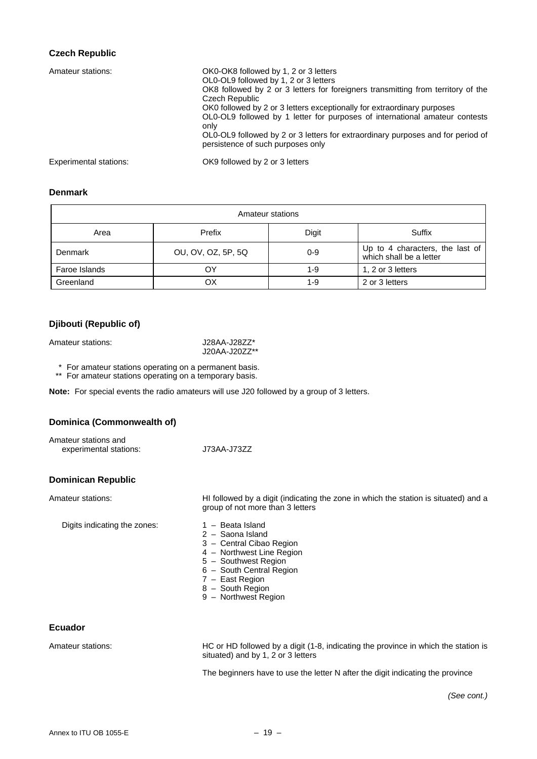### **Czech Republic**

| Amateur stations:             | OK0-OK8 followed by 1, 2 or 3 letters<br>OL0-OL9 followed by 1, 2 or 3 letters<br>OK8 followed by 2 or 3 letters for foreigners transmitting from territory of the<br>Czech Republic<br>OK0 followed by 2 or 3 letters exceptionally for extraordinary purposes<br>OL0-OL9 followed by 1 letter for purposes of international amateur contests<br>only<br>OL0-OL9 followed by 2 or 3 letters for extraordinary purposes and for period of<br>persistence of such purposes only |
|-------------------------------|--------------------------------------------------------------------------------------------------------------------------------------------------------------------------------------------------------------------------------------------------------------------------------------------------------------------------------------------------------------------------------------------------------------------------------------------------------------------------------|
| <b>Experimental stations:</b> | OK9 followed by 2 or 3 letters                                                                                                                                                                                                                                                                                                                                                                                                                                                 |

### **Denmark**

| Amateur stations |                    |       |                                                            |
|------------------|--------------------|-------|------------------------------------------------------------|
| Area             | Prefix             | Digit | Suffix                                                     |
| Denmark          | OU, OV, OZ, 5P, 5Q | 0-9   | Up to 4 characters, the last of<br>which shall be a letter |
| Faroe Islands    | OΥ                 | 1-9   | 1, 2 or 3 letters                                          |
| Greenland        | ОX                 | 1-9   | 2 or 3 letters                                             |

### **Djibouti (Republic of)**

Amateur stations: <br> J28AA-J28ZZ\*

J20AA-J20ZZ\*\*

\*\* For amateur stations operating on a permanent basis.

\*\* For amateur stations operating on a temporary basis.

**Note:** For special events the radio amateurs will use J20 followed by a group of 3 letters.

#### **Dominica (Commonwealth of)**

| Amateur stations and   |             |
|------------------------|-------------|
| experimental stations: | J73AA-J73ZZ |

#### **Dominican Republic**

Digits indicating the zones: 1 – Beata Island

- Amateur stations: HI followed by a digit (indicating the zone in which the station is situated) and a group of not more than 3 letters
	-
	- 2 Saona Island
	- 3 Central Cibao Region
	- 4 Northwest Line Region
	- 5 Southwest Region
	- 6 South Central Region
	- 7 East Region
	- 8 South Region
	- 9 Northwest Region

### **Ecuador**

Amateur stations: HC or HD followed by a digit (1-8, indicating the province in which the station is situated) and by 1, 2 or 3 letters

The beginners have to use the letter N after the digit indicating the province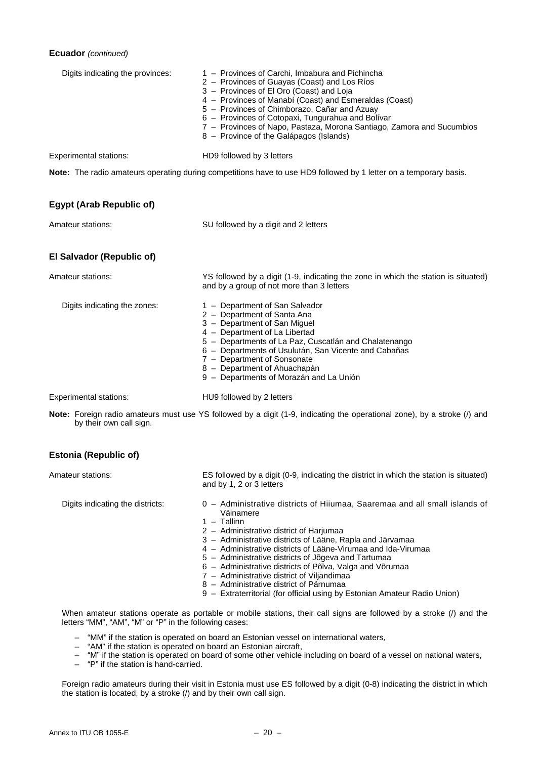### **Ecuador** *(continued)*

| Digits indicating the provinces: | 1 - Provinces of Carchi, Imbabura and Pichincha<br>2 - Provinces of Guayas (Coast) and Los Ríos<br>3 - Provinces of El Oro (Coast) and Loja<br>4 - Provinces of Manabí (Coast) and Esmeraldas (Coast)<br>5 - Provinces of Chimborazo, Cañar and Azuay<br>6 - Provinces of Cotopaxi, Tungurahua and Bolívar<br>7 - Provinces of Napo, Pastaza, Morona Santiago, Zamora and Sucumbios<br>8 - Province of the Galápagos (Islands) |
|----------------------------------|--------------------------------------------------------------------------------------------------------------------------------------------------------------------------------------------------------------------------------------------------------------------------------------------------------------------------------------------------------------------------------------------------------------------------------|
| <b>Experimental stations:</b>    | HD9 followed by 3 letters                                                                                                                                                                                                                                                                                                                                                                                                      |
|                                  | Note: The radio amateurs operating during competitions have to use HD9 followed by 1 letter on a temporary basis.                                                                                                                                                                                                                                                                                                              |
| <b>Egypt (Arab Republic of)</b>  |                                                                                                                                                                                                                                                                                                                                                                                                                                |
| Amateur stations:                | SU followed by a digit and 2 letters                                                                                                                                                                                                                                                                                                                                                                                           |
| El Salvador (Republic of)        |                                                                                                                                                                                                                                                                                                                                                                                                                                |
| Amateur stations:                | YS followed by a digit (1-9, indicating the zone in which the station is situated)<br>and by a group of not more than 3 letters                                                                                                                                                                                                                                                                                                |
| Digits indicating the zones:     | 1 - Department of San Salvador<br>2 - Department of Santa Ana<br>3 - Department of San Miguel<br>4 - Department of La Libertad<br>5 - Departments of La Paz, Cuscatlán and Chalatenango<br>6 - Departments of Usulután, San Vicente and Cabañas<br>7 - Department of Sonsonate<br>8 - Department of Ahuachapán<br>9 - Departments of Morazán and La Unión                                                                      |
| <b>Experimental stations:</b>    | HU9 followed by 2 letters                                                                                                                                                                                                                                                                                                                                                                                                      |

Note: Foreign radio amateurs must use YS followed by a digit (1-9, indicating the operational zone), by a stroke (/) and by their own call sign.

### **Estonia (Republic of)**

Amateur stations: ES followed by a digit (0-9, indicating the district in which the station is situated) and by 1, 2 or 3 letters

Digits indicating the districts: 0 – Administrative districts of Hiiumaa, Saaremaa and all small islands of

- Väinamere 1 – Tallinn
- 2 Administrative district of Harjumaa
- 3 Administrative districts of Lääne, Rapla and Järvamaa
- 4 Administrative districts of Lääne-Virumaa and Ida-Virumaa
- 5 Administrative districts of Jõgeva and Tartumaa
- 6 Administrative districts of Põlva, Valga and Võrumaa
	- 7 Administrative district of Viljandimaa
	- 8 Administrative district of Pärnumaa
	- 9 Extraterritorial (for official using by Estonian Amateur Radio Union)

When amateur stations operate as portable or mobile stations, their call signs are followed by a stroke (/) and the letters "MM", "AM", "M" or "P" in the following cases:

- "MM" if the station is operated on board an Estonian vessel on international waters,
- "AM" if the station is operated on board an Estonian aircraft,
- "M" if the station is operated on board of some other vehicle including on board of a vessel on national waters,
- "P" if the station is hand-carried.

 Foreign radio amateurs during their visit in Estonia must use ES followed by a digit (0-8) indicating the district in which the station is located, by a stroke (/) and by their own call sign.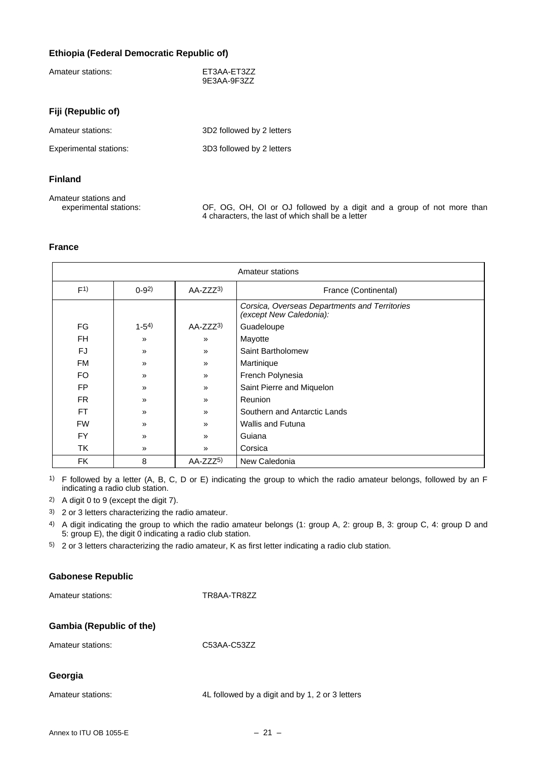### **Ethiopia (Federal Democratic Republic of)**

| Amateur stations:             | ET3AA-ET3ZZ<br>9E3AA-9F3ZZ |
|-------------------------------|----------------------------|
| Fiji (Republic of)            |                            |
| Amateur stations:             | 3D2 followed by 2 letters  |
| <b>Experimental stations:</b> | 3D3 followed by 2 letters  |
| <b>Finland</b>                |                            |

| Amateur stations and   |                                                                       |
|------------------------|-----------------------------------------------------------------------|
| experimental stations: | OF, OG, OH, OI or OJ followed by a digit and a group of not more than |
|                        | 4 characters, the last of which shall be a letter                     |

#### **France**

| Amateur stations |               |               |                                                                          |
|------------------|---------------|---------------|--------------------------------------------------------------------------|
| F <sup>1</sup>   | $0-92$        | $AA-ZZZ3$     | France (Continental)                                                     |
|                  |               |               | Corsica, Overseas Departments and Territories<br>(except New Caledonia): |
| FG               | $1-54$        | AA-ZZZ3)      | Guadeloupe                                                               |
| <b>FH</b>        | »             | $\mathcal{V}$ | Mayotte                                                                  |
| FJ.              | »             | »             | Saint Bartholomew                                                        |
| <b>FM</b>        | $\mathcal{V}$ | $\mathcal{V}$ | Martinique                                                               |
| FO.              | $\mathcal{V}$ | $\mathcal{P}$ | French Polynesia                                                         |
| <b>FP</b>        | $\mathcal{V}$ | $\mathcal{P}$ | Saint Pierre and Miquelon                                                |
| FR.              | $\mathcal{V}$ | $\mathcal{V}$ | Reunion                                                                  |
| <b>FT</b>        | $\mathcal{V}$ | $\mathcal{V}$ | Southern and Antarctic Lands                                             |
| <b>FW</b>        | $\mathcal{V}$ | $\mathcal{P}$ | <b>Wallis and Futuna</b>                                                 |
| <b>FY</b>        | $\mathcal{V}$ | $\mathcal{P}$ | Guiana                                                                   |
| <b>TK</b>        | $\mathcal{P}$ | $\mathcal{P}$ | Corsica                                                                  |
| <b>FK</b>        | 8             | AA-ZZZ5)      | New Caledonia                                                            |

1) F followed by a letter (A, B, C, D or E) indicating the group to which the radio amateur belongs, followed by an F indicating a radio club station.

2) A digit 0 to 9 (except the digit 7).

3) 2 or 3 letters characterizing the radio amateur.

4) A digit indicating the group to which the radio amateur belongs (1: group A, 2: group B, 3: group C, 4: group D and 5: group E), the digit 0 indicating a radio club station.

5) 2 or 3 letters characterizing the radio amateur, K as first letter indicating a radio club station.

### **Gabonese Republic**

Amateur stations: TR8AA-TR8ZZ

### **Gambia (Republic of the)**

| Amateur stations: | C53AA-C53ZZ |
|-------------------|-------------|
|                   |             |

### **Georgia**

Amateur stations: 4L followed by a digit and by 1, 2 or 3 letters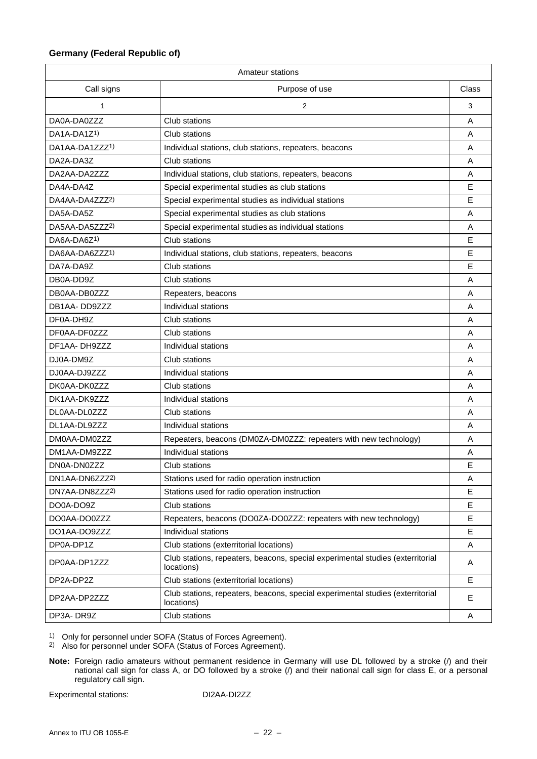### **Germany (Federal Republic of)**

| Amateur stations           |                                                                                              |              |  |
|----------------------------|----------------------------------------------------------------------------------------------|--------------|--|
| Call signs                 | Purpose of use                                                                               | <b>Class</b> |  |
| 1                          | 2                                                                                            |              |  |
| DA0A-DA0ZZZ                | Club stations                                                                                | A            |  |
| DA1A-DA1Z <sup>1)</sup>    | Club stations                                                                                | A            |  |
| DA1AA-DA1ZZZ <sup>1)</sup> | Individual stations, club stations, repeaters, beacons                                       | A            |  |
| DA2A-DA3Z                  | Club stations                                                                                | A            |  |
| DA2AA-DA2ZZZ               | Individual stations, club stations, repeaters, beacons                                       | A            |  |
| DA4A-DA4Z                  | Special experimental studies as club stations                                                | E            |  |
| DA4AA-DA4ZZZ2)             | Special experimental studies as individual stations                                          | E            |  |
| DA5A-DA5Z                  | Special experimental studies as club stations                                                | A            |  |
| DA5AA-DA5ZZZ2)             | Special experimental studies as individual stations                                          | A            |  |
| DA6A-DA6Z <sup>1)</sup>    | Club stations                                                                                | Е            |  |
| DA6AA-DA6ZZZ1)             | Individual stations, club stations, repeaters, beacons                                       | E            |  |
| DA7A-DA9Z                  | Club stations                                                                                | E            |  |
| DB0A-DD9Z                  | Club stations                                                                                | A            |  |
| DB0AA-DB0ZZZ               | Repeaters, beacons                                                                           | A            |  |
| DB1AA-DD9777               | Individual stations                                                                          | A            |  |
| DF0A-DH9Z                  | Club stations                                                                                | A            |  |
| DF0AA-DF0ZZZ               | Club stations                                                                                | A            |  |
| DF1AA-DH9ZZZ               | Individual stations                                                                          | A            |  |
| DJ0A-DM9Z                  | Club stations                                                                                | A            |  |
| DJ0AA-DJ9ZZZ               | Individual stations                                                                          | A            |  |
| DK0AA-DK0ZZZ               | Club stations                                                                                | A            |  |
| DK1AA-DK9ZZZ               | Individual stations                                                                          | A            |  |
| DL0AA-DL0ZZZ               | Club stations                                                                                | Α            |  |
| DL1AA-DL9ZZZ               | Individual stations                                                                          | A            |  |
| DM0AA-DM0ZZZ               | Repeaters, beacons (DM0ZA-DM0ZZZ: repeaters with new technology)                             | Α            |  |
| DM1AA-DM9ZZZ               | Individual stations                                                                          | Α            |  |
| DN0A-DN0ZZZ                | Club stations                                                                                | E            |  |
| DN1AA-DN6ZZZ2)             | Stations used for radio operation instruction                                                | A            |  |
| DN7AA-DN8ZZZ2)             | Stations used for radio operation instruction                                                | E.           |  |
| DO0A-DO9Z                  | Club stations                                                                                | Е            |  |
| DO0AA-DO0ZZZ               | Repeaters, beacons (DO0ZA-DO0ZZZ: repeaters with new technology)                             | E            |  |
| DO1AA-DO9ZZZ               | Individual stations                                                                          | E            |  |
| DP0A-DP1Z                  | Club stations (exterritorial locations)                                                      | A            |  |
| DP0AA-DP1ZZZ               | Club stations, repeaters, beacons, special experimental studies (exterritorial<br>locations) | A            |  |
| DP2A-DP2Z                  | Club stations (exterritorial locations)                                                      | E            |  |
| DP2AA-DP2ZZZ               | Club stations, repeaters, beacons, special experimental studies (exterritorial<br>locations) | E            |  |
| DP3A-DR9Z                  | Club stations                                                                                | Α            |  |

1) Only for personnel under SOFA (Status of Forces Agreement).

2) Also for personnel under SOFA (Status of Forces Agreement).

**Note:** Foreign radio amateurs without permanent residence in Germany will use DL followed by a stroke (/) and their national call sign for class A, or DO followed by a stroke (/) and their national call sign for class E, or a personal regulatory call sign.

Experimental stations: DI2AA-DI2ZZ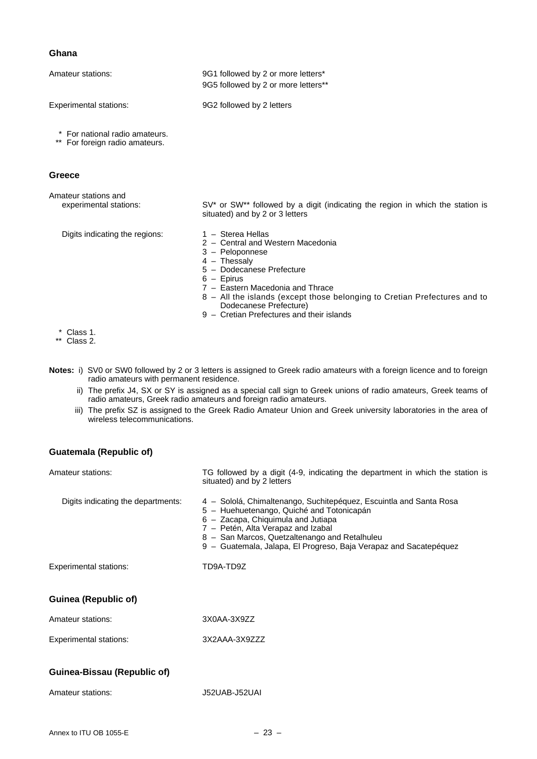#### **Ghana**

| Amateur stations:                                                | 9G1 followed by 2 or more letters*<br>9G5 followed by 2 or more letters**                                                                                                                                                                                                                                                                                                                                                                                                                                                     |
|------------------------------------------------------------------|-------------------------------------------------------------------------------------------------------------------------------------------------------------------------------------------------------------------------------------------------------------------------------------------------------------------------------------------------------------------------------------------------------------------------------------------------------------------------------------------------------------------------------|
| <b>Experimental stations:</b>                                    | 9G2 followed by 2 letters                                                                                                                                                                                                                                                                                                                                                                                                                                                                                                     |
| * For national radio amateurs.<br>** For foreign radio amateurs. |                                                                                                                                                                                                                                                                                                                                                                                                                                                                                                                               |
| Greece                                                           |                                                                                                                                                                                                                                                                                                                                                                                                                                                                                                                               |
| Amateur stations and<br>experimental stations:                   | SV* or SW** followed by a digit (indicating the region in which the station is<br>situated) and by 2 or 3 letters                                                                                                                                                                                                                                                                                                                                                                                                             |
| Digits indicating the regions:                                   | $1 -$ Sterea Hellas<br>2 - Central and Western Macedonia<br>3 - Peloponnese<br>$4 -$ Thessaly<br>5 - Dodecanese Prefecture<br>$6 -$ Epirus<br>7 - Eastern Macedonia and Thrace<br>8 - All the islands (except those belonging to Cretian Prefectures and to<br>Dodecanese Prefecture)<br>$\mathbf{r}$ and $\mathbf{r}$ are the set of the set of the set of the set of the set of the set of the set of the set of the set of the set of the set of the set of the set of the set of the set of the set of the set of the set |

9 – Cretian Prefectures and their islands

- \* Class 1.
- \*\* Class 2.
- **Notes:** i) SV0 or SW0 followed by 2 or 3 letters is assigned to Greek radio amateurs with a foreign licence and to foreign radio amateurs with permanent residence.
- ii) The prefix J4, SX or SY is assigned as a special call sign to Greek unions of radio amateurs, Greek teams of radio amateurs, Greek radio amateurs and foreign radio amateurs.
	- iii) The prefix SZ is assigned to the Greek Radio Amateur Union and Greek university laboratories in the area of wireless telecommunications.

### **Guatemala (Republic of)**

| Amateur stations:                  | TG followed by a digit (4-9, indicating the department in which the station is<br>situated) and by 2 letters                                                                                                                                                                                                      |
|------------------------------------|-------------------------------------------------------------------------------------------------------------------------------------------------------------------------------------------------------------------------------------------------------------------------------------------------------------------|
| Digits indicating the departments: | 4 - Sololá, Chimaltenango, Suchitepéquez, Escuintla and Santa Rosa<br>5 - Huehuetenango, Quiché and Totonicapán<br>6 - Zacapa, Chiquimula and Jutiapa<br>7 - Petén, Alta Verapaz and Izabal<br>8 - San Marcos, Quetzaltenango and Retalhuleu<br>9 - Guatemala, Jalapa, El Progreso, Baja Verapaz and Sacatepéquez |
| <b>Experimental stations:</b>      | TD9A-TD9Z                                                                                                                                                                                                                                                                                                         |
| <b>Guinea (Republic of)</b>        |                                                                                                                                                                                                                                                                                                                   |
| Amateur stations:                  | 3X0AA-3X9ZZ                                                                                                                                                                                                                                                                                                       |
| <b>Experimental stations:</b>      | 3X2AAA-3X9ZZZ                                                                                                                                                                                                                                                                                                     |
| Guinea-Bissau (Republic of)        |                                                                                                                                                                                                                                                                                                                   |
| Amateur stations:                  | J52UAB-J52UAI                                                                                                                                                                                                                                                                                                     |
|                                    |                                                                                                                                                                                                                                                                                                                   |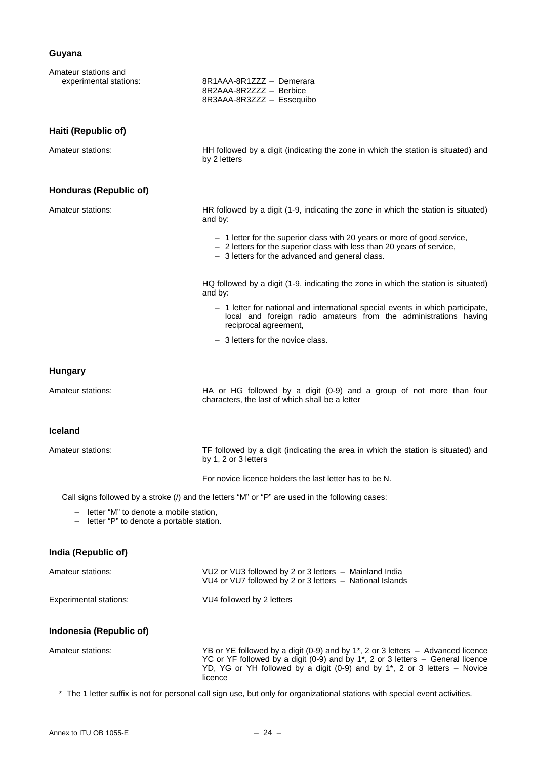### **Guyana**

| Amateur stations and<br>experimental stations:                                         | 8R1AAA-8R1ZZZ - Demerara<br>8R2AAA-8R2ZZZ - Berbice<br>8R3AAA-8R3ZZZ - Essequibo                                                                                                                                                                                                                 |
|----------------------------------------------------------------------------------------|--------------------------------------------------------------------------------------------------------------------------------------------------------------------------------------------------------------------------------------------------------------------------------------------------|
| Haiti (Republic of)                                                                    |                                                                                                                                                                                                                                                                                                  |
| Amateur stations:                                                                      | HH followed by a digit (indicating the zone in which the station is situated) and<br>by 2 letters                                                                                                                                                                                                |
| Honduras (Republic of)                                                                 |                                                                                                                                                                                                                                                                                                  |
| Amateur stations:                                                                      | HR followed by a digit (1-9, indicating the zone in which the station is situated)<br>and by:                                                                                                                                                                                                    |
|                                                                                        | - 1 letter for the superior class with 20 years or more of good service,<br>- 2 letters for the superior class with less than 20 years of service,<br>- 3 letters for the advanced and general class.                                                                                            |
|                                                                                        | HQ followed by a digit (1-9, indicating the zone in which the station is situated)<br>and by:                                                                                                                                                                                                    |
|                                                                                        | - 1 letter for national and international special events in which participate,<br>local and foreign radio amateurs from the administrations having<br>reciprocal agreement,                                                                                                                      |
|                                                                                        | - 3 letters for the novice class.                                                                                                                                                                                                                                                                |
| <b>Hungary</b>                                                                         |                                                                                                                                                                                                                                                                                                  |
| Amateur stations:                                                                      | HA or HG followed by a digit (0-9) and a group of not more than four<br>characters, the last of which shall be a letter                                                                                                                                                                          |
| Iceland                                                                                |                                                                                                                                                                                                                                                                                                  |
| Amateur stations:                                                                      | TF followed by a digit (indicating the area in which the station is situated) and<br>by 1, 2 or 3 letters                                                                                                                                                                                        |
|                                                                                        | For novice licence holders the last letter has to be N.                                                                                                                                                                                                                                          |
|                                                                                        | Call signs followed by a stroke (/) and the letters "M" or "P" are used in the following cases:                                                                                                                                                                                                  |
| - letter "M" to denote a mobile station,<br>- letter "P" to denote a portable station. |                                                                                                                                                                                                                                                                                                  |
| India (Republic of)                                                                    |                                                                                                                                                                                                                                                                                                  |
| Amateur stations:                                                                      | VU2 or VU3 followed by 2 or 3 letters - Mainland India<br>VU4 or VU7 followed by 2 or 3 letters - National Islands                                                                                                                                                                               |
| <b>Experimental stations:</b>                                                          | VU4 followed by 2 letters                                                                                                                                                                                                                                                                        |
| Indonesia (Republic of)                                                                |                                                                                                                                                                                                                                                                                                  |
| Amateur stations:                                                                      | YB or YE followed by a digit (0-9) and by 1 <sup>*</sup> , 2 or 3 letters - Advanced licence<br>YC or YF followed by a digit (0-9) and by 1 <sup>*</sup> , 2 or 3 letters - General licence<br>YD, YG or YH followed by a digit (0-9) and by 1 <sup>*</sup> , 2 or 3 letters - Novice<br>licence |
|                                                                                        | * The 1 letter suffix is not for personal call sign use, but only for organizational stations with special event activities.                                                                                                                                                                     |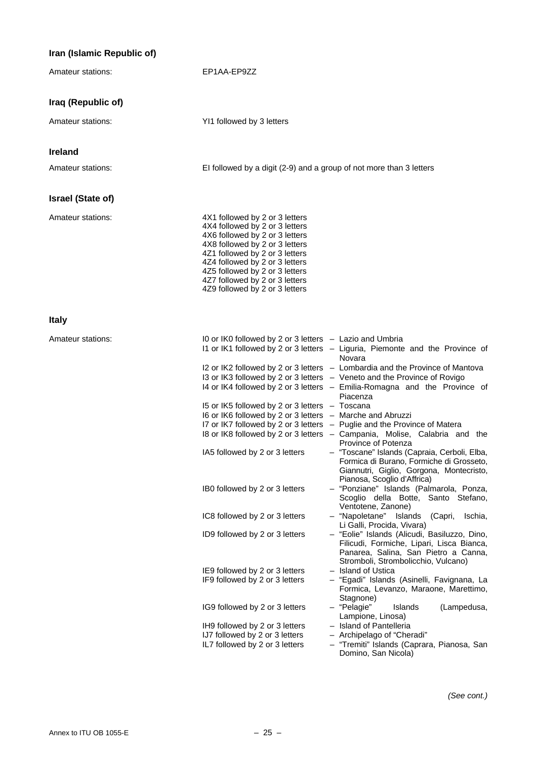### **Iran (Islamic Republic of)**

| Amateur stations:        | EP1AA-EP9ZZ                                                                                                                                                                                                                                                                                                                                                                                                                                                                                                                                                                                                                                                                                                                                                                                                                                                                                                                                                                                                                                                                                                                                                                                                                                                                                                                                                                                                                                                                                                                                                                                                                                                                                                                                                                                                                                                                                                              |
|--------------------------|--------------------------------------------------------------------------------------------------------------------------------------------------------------------------------------------------------------------------------------------------------------------------------------------------------------------------------------------------------------------------------------------------------------------------------------------------------------------------------------------------------------------------------------------------------------------------------------------------------------------------------------------------------------------------------------------------------------------------------------------------------------------------------------------------------------------------------------------------------------------------------------------------------------------------------------------------------------------------------------------------------------------------------------------------------------------------------------------------------------------------------------------------------------------------------------------------------------------------------------------------------------------------------------------------------------------------------------------------------------------------------------------------------------------------------------------------------------------------------------------------------------------------------------------------------------------------------------------------------------------------------------------------------------------------------------------------------------------------------------------------------------------------------------------------------------------------------------------------------------------------------------------------------------------------|
| Iraq (Republic of)       |                                                                                                                                                                                                                                                                                                                                                                                                                                                                                                                                                                                                                                                                                                                                                                                                                                                                                                                                                                                                                                                                                                                                                                                                                                                                                                                                                                                                                                                                                                                                                                                                                                                                                                                                                                                                                                                                                                                          |
| Amateur stations:        | YI1 followed by 3 letters                                                                                                                                                                                                                                                                                                                                                                                                                                                                                                                                                                                                                                                                                                                                                                                                                                                                                                                                                                                                                                                                                                                                                                                                                                                                                                                                                                                                                                                                                                                                                                                                                                                                                                                                                                                                                                                                                                |
| <b>Ireland</b>           |                                                                                                                                                                                                                                                                                                                                                                                                                                                                                                                                                                                                                                                                                                                                                                                                                                                                                                                                                                                                                                                                                                                                                                                                                                                                                                                                                                                                                                                                                                                                                                                                                                                                                                                                                                                                                                                                                                                          |
| Amateur stations:        | El followed by a digit (2-9) and a group of not more than 3 letters                                                                                                                                                                                                                                                                                                                                                                                                                                                                                                                                                                                                                                                                                                                                                                                                                                                                                                                                                                                                                                                                                                                                                                                                                                                                                                                                                                                                                                                                                                                                                                                                                                                                                                                                                                                                                                                      |
| <b>Israel (State of)</b> |                                                                                                                                                                                                                                                                                                                                                                                                                                                                                                                                                                                                                                                                                                                                                                                                                                                                                                                                                                                                                                                                                                                                                                                                                                                                                                                                                                                                                                                                                                                                                                                                                                                                                                                                                                                                                                                                                                                          |
| Amateur stations:        | 4X1 followed by 2 or 3 letters<br>4X4 followed by 2 or 3 letters<br>4X6 followed by 2 or 3 letters<br>4X8 followed by 2 or 3 letters<br>4Z1 followed by 2 or 3 letters<br>4Z4 followed by 2 or 3 letters<br>4Z5 followed by 2 or 3 letters<br>4Z7 followed by 2 or 3 letters<br>4Z9 followed by 2 or 3 letters                                                                                                                                                                                                                                                                                                                                                                                                                                                                                                                                                                                                                                                                                                                                                                                                                                                                                                                                                                                                                                                                                                                                                                                                                                                                                                                                                                                                                                                                                                                                                                                                           |
| <b>Italy</b>             |                                                                                                                                                                                                                                                                                                                                                                                                                                                                                                                                                                                                                                                                                                                                                                                                                                                                                                                                                                                                                                                                                                                                                                                                                                                                                                                                                                                                                                                                                                                                                                                                                                                                                                                                                                                                                                                                                                                          |
| Amateur stations:        | I0 or IK0 followed by 2 or 3 letters - Lazio and Umbria<br>I1 or IK1 followed by 2 or 3 letters - Liguria, Piemonte and the Province of<br>Novara<br>I2 or IK2 followed by 2 or 3 letters - Lombardia and the Province of Mantova<br>I3 or IK3 followed by 2 or 3 letters - Veneto and the Province of Rovigo<br>I4 or IK4 followed by 2 or 3 letters - Emilia-Romagna and the Province of<br>Piacenza<br>I5 or IK5 followed by 2 or 3 letters - Toscana<br>I6 or IK6 followed by 2 or 3 letters - Marche and Abruzzi<br>I7 or IK7 followed by 2 or 3 letters - Puglie and the Province of Matera<br>I8 or IK8 followed by 2 or 3 letters - Campania, Molise, Calabria and the<br>Province of Potenza<br>IA5 followed by 2 or 3 letters<br>- "Toscane" Islands (Capraia, Cerboli, Elba,<br>Formica di Burano, Formiche di Grosseto,<br>Giannutri, Giglio, Gorgona, Montecristo,<br>Pianosa, Scoglio d'Affrica)<br>- "Ponziane" Islands (Palmarola, Ponza,<br>IBO followed by 2 or 3 letters<br>Scoglio della Botte, Santo Stefano,<br>Ventotene, Zanone)<br>IC8 followed by 2 or 3 letters<br>- "Napoletane" Islands<br>Ischia,<br>(Capri,<br>Li Galli, Procida, Vivara)<br>- "Eolie" Islands (Alicudi, Basiluzzo, Dino,<br>ID9 followed by 2 or 3 letters<br>Filicudi, Formiche, Lipari, Lisca Bianca,<br>Panarea, Salina, San Pietro a Canna,<br>Stromboli, Strombolicchio, Vulcano)<br>- Island of Ustica<br>IE9 followed by 2 or 3 letters<br>IF9 followed by 2 or 3 letters<br>- "Egadi" Islands (Asinelli, Favignana, La<br>Formica, Levanzo, Maraone, Marettimo,<br>Stagnone)<br>- "Pelagie"<br>IG9 followed by 2 or 3 letters<br>Islands<br>(Lampedusa,<br>Lampione, Linosa)<br>- Island of Pantelleria<br>IH9 followed by 2 or 3 letters<br>IJ7 followed by 2 or 3 letters<br>- Archipelago of "Cheradi"<br>IL7 followed by 2 or 3 letters<br>- "Tremiti" Islands (Caprara, Pianosa, San<br>Domino, San Nicola) |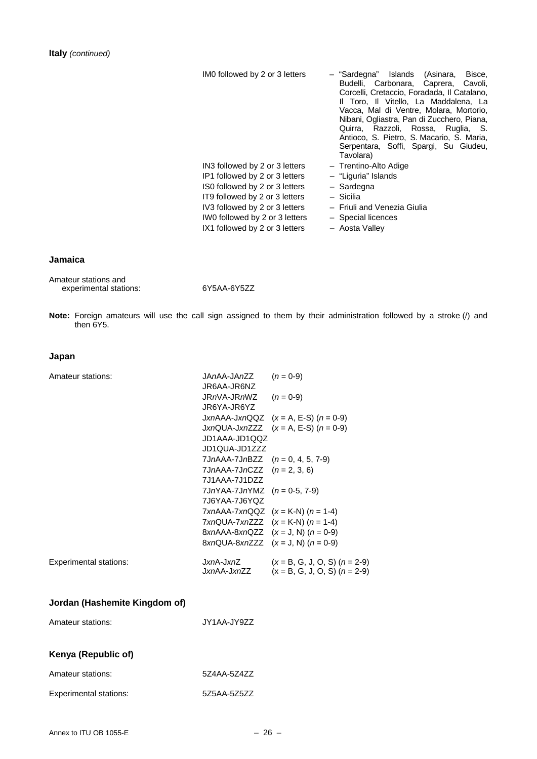| IMO followed by 2 or 3 letters                                   | Islands<br>Bisce,<br>- "Sardegna"<br>(Asinara,<br>Budelli, Carbonara,<br>Caprera,<br>Cavoli.<br>Corcelli, Cretaccio, Foradada, Il Catalano,<br>Il Toro, Il Vitello, La Maddalena, La<br>Vacca, Mal di Ventre, Molara, Mortorio,<br>Nibani, Ogliastra, Pan di Zucchero, Piana,<br>Quirra, Razzoli, Rossa, Ruglia, S.<br>Antioco, S. Pietro, S. Macario, S. Maria,<br>Serpentara, Soffi, Spargi, Su Giudeu,<br>Tavolara) |
|------------------------------------------------------------------|------------------------------------------------------------------------------------------------------------------------------------------------------------------------------------------------------------------------------------------------------------------------------------------------------------------------------------------------------------------------------------------------------------------------|
| IN3 followed by 2 or 3 letters                                   | - Trentino-Alto Adige                                                                                                                                                                                                                                                                                                                                                                                                  |
| IP1 followed by 2 or 3 letters                                   | - "Liguria" Islands                                                                                                                                                                                                                                                                                                                                                                                                    |
| IS0 followed by 2 or 3 letters                                   | - Sardegna                                                                                                                                                                                                                                                                                                                                                                                                             |
| IT9 followed by 2 or 3 letters                                   | - Sicilia                                                                                                                                                                                                                                                                                                                                                                                                              |
| IV3 followed by 2 or 3 letters<br>IWO followed by 2 or 3 letters | - Friuli and Venezia Giulia<br>- Special licences                                                                                                                                                                                                                                                                                                                                                                      |
| IX1 followed by 2 or 3 letters                                   | - Aosta Valley                                                                                                                                                                                                                                                                                                                                                                                                         |

### **Jamaica**

| Amateur stations and   |  |
|------------------------|--|
| experimental stations: |  |

experimental stations: 6Y5AA-6Y5ZZ

**Note:** Foreign amateurs will use the call sign assigned to them by their administration followed by a stroke (/) and then 6Y5.

### **Japan**

| Amateur stations:                                  | JAnAA-JAnZZ<br>JR6AA-JR6NZ<br>JRnVA-JRnWZ<br>JR6YA-JR6YZ<br>JD1AAA-JD1QQZ<br>JD1QUA-JD1ZZZ<br>$7JnAAA-7JnBZZ$ $(n = 0, 4, 5, 7-9)$<br>7JnAAA-7JnCZZ $(n = 2, 3, 6)$<br>7.J1AAA-7.J1DZZ<br>$7JnYAA-7JnYMZ$ (n = 0-5, 7-9) | $(n = 0-9)$<br>$(n = 0-9)$<br>JxnAAA-JxnQQZ $(x = A, E-S)$ $(n = 0.9)$<br>$JxnQUA-JxnZZZ$ $(x = A, E-S)$ $(n = 0-9)$                                                                                    |
|----------------------------------------------------|--------------------------------------------------------------------------------------------------------------------------------------------------------------------------------------------------------------------------|---------------------------------------------------------------------------------------------------------------------------------------------------------------------------------------------------------|
| <b>Experimental stations:</b>                      | 7J6YAA-7J6YQZ<br>J <i>xn</i> A-J <i>xn</i> Z                                                                                                                                                                             | $7xnAAA-7xnQQZ$ $(x = K-N)(n = 1-4)$<br>$TxnQUA-7xnZZZ$ $(x = K-N)(n = 1-4)$<br>8xnAAA-8xnQZZ $(x = J, N)$ $(n = 0.9)$<br>$8xnQUA-8xnZZZ$ $(x = J, N)$ $(n = 0-9)$<br>$(x = B, G, J, O, S)$ $(n = 2-9)$ |
| Jordan (Hashemite Kingdom of)<br>Amateur stations: | J <i>xn</i> AA-J <i>xn</i> ZZ<br>JY1AA-JY9ZZ                                                                                                                                                                             | $(x = B, G, J, O, S)$ $(n = 2-9)$                                                                                                                                                                       |

### **Kenya (Republic of)**

| Amateur stations:      | 5Z4AA-5Z4ZZ |
|------------------------|-------------|
| Experimental stations: | 5Z5AA-5Z5ZZ |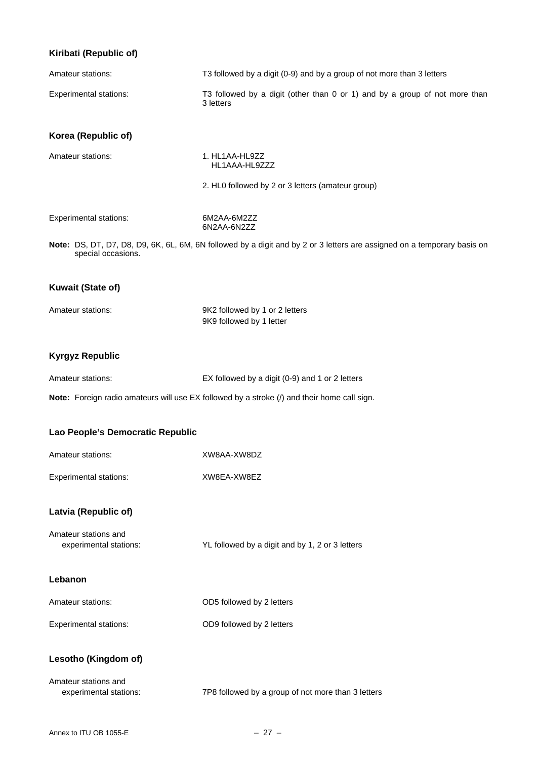### **Kiribati (Republic of)**

| Amateur stations:                              | T3 followed by a digit (0-9) and by a group of not more than 3 letters                                                  |
|------------------------------------------------|-------------------------------------------------------------------------------------------------------------------------|
| <b>Experimental stations:</b>                  | T3 followed by a digit (other than 0 or 1) and by a group of not more than<br>3 letters                                 |
| Korea (Republic of)                            |                                                                                                                         |
| Amateur stations:                              | 1. HL1AA-HL9ZZ<br>HL1AAA-HL9ZZZ                                                                                         |
|                                                | 2. HL0 followed by 2 or 3 letters (amateur group)                                                                       |
| <b>Experimental stations:</b>                  | 6M2AA-6M2ZZ<br>6N2AA-6N2ZZ                                                                                              |
| special occasions.                             | Note: DS, DT, D7, D8, D9, 6K, 6L, 6M, 6N followed by a digit and by 2 or 3 letters are assigned on a temporary basis on |
| <b>Kuwait (State of)</b>                       |                                                                                                                         |
| Amateur stations:                              | 9K2 followed by 1 or 2 letters<br>9K9 followed by 1 letter                                                              |
|                                                |                                                                                                                         |
| <b>Kyrgyz Republic</b>                         |                                                                                                                         |
| Amateur stations:                              | EX followed by a digit (0-9) and 1 or 2 letters                                                                         |
|                                                | Note: Foreign radio amateurs will use EX followed by a stroke (/) and their home call sign.                             |
| Lao People's Democratic Republic               |                                                                                                                         |
| Amateur stations:                              | XW8AA-XW8DZ                                                                                                             |
| <b>Experimental stations:</b>                  | XW8EA-XW8EZ                                                                                                             |
| Latvia (Republic of)                           |                                                                                                                         |
| Amateur stations and<br>experimental stations: | YL followed by a digit and by 1, 2 or 3 letters                                                                         |
| Lebanon                                        |                                                                                                                         |
| Amateur stations:                              | OD5 followed by 2 letters                                                                                               |

### **Lesotho (Kingdom of)**

| Amateur stations and   |                                                    |
|------------------------|----------------------------------------------------|
| experimental stations: | 7P8 followed by a group of not more than 3 letters |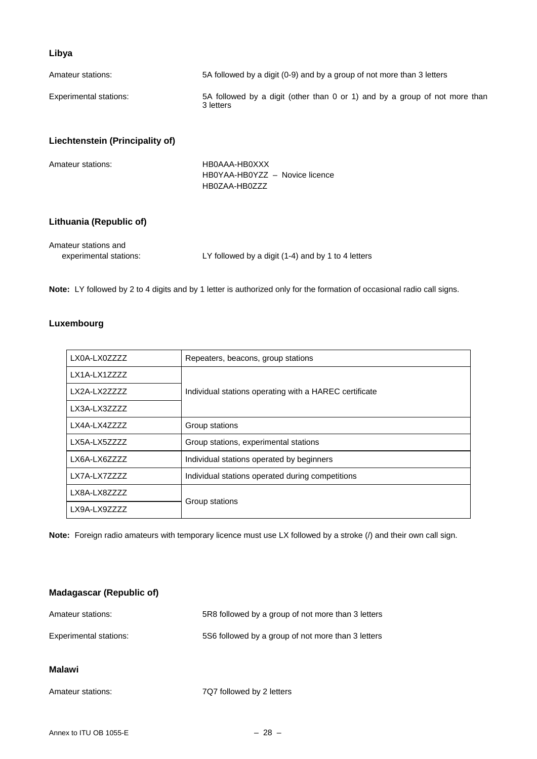### **Libya**

| Amateur stations:                              | 5A followed by a digit (0-9) and by a group of not more than 3 letters                  |  |
|------------------------------------------------|-----------------------------------------------------------------------------------------|--|
| <b>Experimental stations:</b>                  | 5A followed by a digit (other than 0 or 1) and by a group of not more than<br>3 letters |  |
| Liechtenstein (Principality of)                |                                                                                         |  |
| Amateur stations:                              | HB0AAA-HB0XXX<br>HB0YAA-HB0YZZ - Novice licence<br>HB0ZAA-HB0ZZZ                        |  |
| Lithuania (Republic of)                        |                                                                                         |  |
| Amateur stations and<br>experimental stations: | LY followed by a digit (1-4) and by 1 to 4 letters                                      |  |

**Note:** LY followed by 2 to 4 digits and by 1 letter is authorized only for the formation of occasional radio call signs.

### **Luxembourg**

| LX0A-LX0ZZZZ  | Repeaters, beacons, group stations                     |  |
|---------------|--------------------------------------------------------|--|
| LX1A-LX1ZZZZ  |                                                        |  |
| LX2A-LX2ZZZZZ | Individual stations operating with a HAREC certificate |  |
| LX3A-LX3ZZZZ  |                                                        |  |
| LX4A-LX4ZZZZ  | Group stations                                         |  |
| LX5A-LX5ZZZZ  | Group stations, experimental stations                  |  |
| LX6A-LX6ZZZZ  | Individual stations operated by beginners              |  |
| LX7A-LX7ZZZZ  | Individual stations operated during competitions       |  |
| LX8A-LX8ZZZZ  | Group stations                                         |  |
| LX9A-LX9ZZZZ  |                                                        |  |

**Note:** Foreign radio amateurs with temporary licence must use LX followed by a stroke (/) and their own call sign.

# **Madagascar (Republic of)**  Amateur stations: 5R8 followed by a group of not more than 3 letters Experimental stations: 5S6 followed by a group of not more than 3 letters **Malawi**  Amateur stations: 7Q7 followed by 2 letters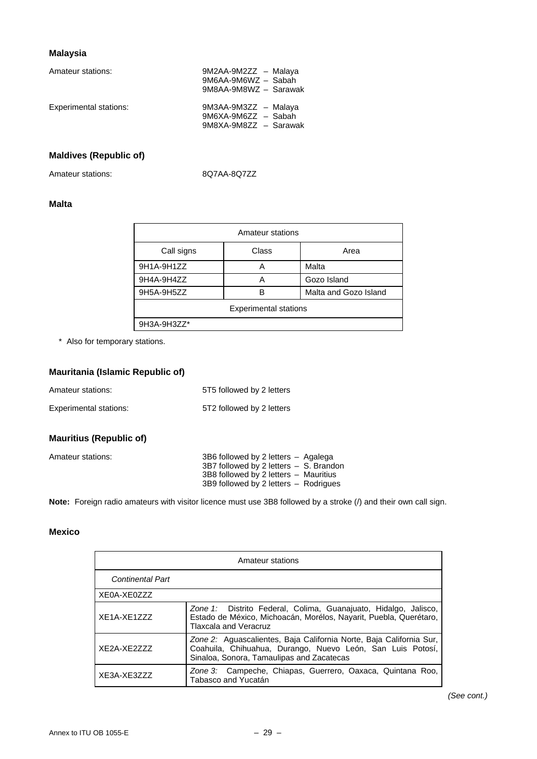### **Malaysia**

| Amateur stations:      | 9M2AA-9M2ZZ - Malaya<br>9M6AA-9M6WZ - Sabah<br>9M8AA-9M8WZ - Sarawak |
|------------------------|----------------------------------------------------------------------|
| Experimental stations: | 9M3AA-9M3ZZ - Malaya<br>9M6XA-9M6ZZ - Sabah<br>9M8XA-9M8ZZ - Sarawak |

### **Maldives (Republic of)**

Amateur stations: 8Q7AA-8Q7ZZ

### **Malta**

| Amateur stations             |       |                       |
|------------------------------|-------|-----------------------|
| Call signs                   | Class | Area                  |
| 9H1A-9H1ZZ                   | А     | Malta                 |
| 9H4A-9H4ZZ                   | А     | Gozo Island           |
| 9H5A-9H5ZZ                   | R     | Malta and Gozo Island |
| <b>Experimental stations</b> |       |                       |
| 9H3A-9H3ZZ*                  |       |                       |

\* Also for temporary stations.

### **Mauritania (Islamic Republic of)**

| Amateur stations:      | 5T5 followed by 2 letters |
|------------------------|---------------------------|
| Experimental stations: | 5T2 followed by 2 letters |

### **Mauritius (Republic of)**

| Amateur stations: | 3B6 followed by 2 letters - Agalega        |  |
|-------------------|--------------------------------------------|--|
|                   | $3B7$ followed by 2 letters $-$ S. Brandon |  |
|                   | 3B8 followed by 2 letters - Mauritius      |  |
|                   | 3B9 followed by 2 letters - Rodrigues      |  |

**Note:** Foreign radio amateurs with visitor licence must use 3B8 followed by a stroke (/) and their own call sign.

### **Mexico**

| Amateur stations        |                                                                                                                                                                                |
|-------------------------|--------------------------------------------------------------------------------------------------------------------------------------------------------------------------------|
| <b>Continental Part</b> |                                                                                                                                                                                |
| XE0A-XE0ZZZ             |                                                                                                                                                                                |
| XE1A-XE1ZZZ             | Zone 1: Distrito Federal, Colima, Guanajuato, Hidalgo, Jalisco,<br>Estado de México, Michoacán, Morélos, Nayarit, Puebla, Querétaro,<br><b>Tlaxcala and Veracruz</b>           |
| XF2A-XF2777             | Zone 2: Aguascalientes, Baja California Norte, Baja California Sur,<br>Coahuila, Chihuahua, Durango, Nuevo León, San Luis Potosí,<br>Sinaloa, Sonora, Tamaulipas and Zacatecas |
| XE3A-XE3ZZZ             | Zone 3: Campeche, Chiapas, Guerrero, Oaxaca, Quintana Roo,<br>Tabasco and Yucatán                                                                                              |

*(See cont.)*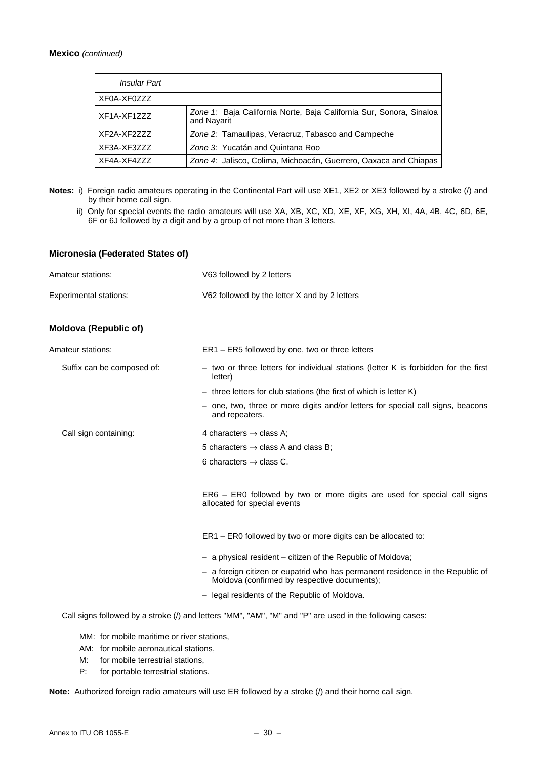#### **Mexico** *(continued)*

| Insular Part |                                                                                    |
|--------------|------------------------------------------------------------------------------------|
| XF0A-XF0ZZZ  |                                                                                    |
| XF1A-XF1ZZZ  | Zone 1: Baja California Norte, Baja California Sur, Sonora, Sinaloa<br>and Navarit |
| XF2A-XF2ZZZ  | Zone 2: Tamaulipas, Veracruz, Tabasco and Campeche                                 |
| XF3A-XF3ZZZ  | Zone 3: Yucatán and Quintana Roo                                                   |
| XF4A-XF4ZZZ  | Zone 4: Jalisco, Colima, Michoacán, Guerrero, Oaxaca and Chiapas                   |

- Notes: i) Foreign radio amateurs operating in the Continental Part will use XE1, XE2 or XE3 followed by a stroke (/) and by their home call sign.
	- ii) Only for special events the radio amateurs will use XA, XB, XC, XD, XE, XF, XG, XH, XI, 4A, 4B, 4C, 6D, 6E, 6F or 6J followed by a digit and by a group of not more than 3 letters.

#### **Micronesia (Federated States of)**

| Amateur stations:             | V63 followed by 2 letters                                                                                                      |
|-------------------------------|--------------------------------------------------------------------------------------------------------------------------------|
| <b>Experimental stations:</b> | V62 followed by the letter X and by 2 letters                                                                                  |
| <b>Moldova (Republic of)</b>  |                                                                                                                                |
| Amateur stations:             | ER1 – ER5 followed by one, two or three letters                                                                                |
| Suffix can be composed of:    | - two or three letters for individual stations (letter K is forbidden for the first<br>letter)                                 |
|                               | $-$ three letters for club stations (the first of which is letter K)                                                           |
|                               | - one, two, three or more digits and/or letters for special call signs, beacons<br>and repeaters.                              |
| Call sign containing:         | 4 characters $\rightarrow$ class A;                                                                                            |
|                               | 5 characters $\rightarrow$ class A and class B:                                                                                |
|                               | 6 characters $\rightarrow$ class C.                                                                                            |
|                               | ER6 – ER0 followed by two or more digits are used for special call signs<br>allocated for special events                       |
|                               | ER1 - ER0 followed by two or more digits can be allocated to:                                                                  |
|                               | - a physical resident – citizen of the Republic of Moldova;                                                                    |
|                               | - a foreign citizen or eupatrid who has permanent residence in the Republic of<br>Moldova (confirmed by respective documents); |
|                               | - legal residents of the Republic of Moldova.                                                                                  |
|                               |                                                                                                                                |

Call signs followed by a stroke (/) and letters "MM", "AM", "M" and "P" are used in the following cases:

MM: for mobile maritime or river stations,

- AM: for mobile aeronautical stations,
- M: for mobile terrestrial stations,
- P: for portable terrestrial stations.

**Note:** Authorized foreign radio amateurs will use ER followed by a stroke (/) and their home call sign.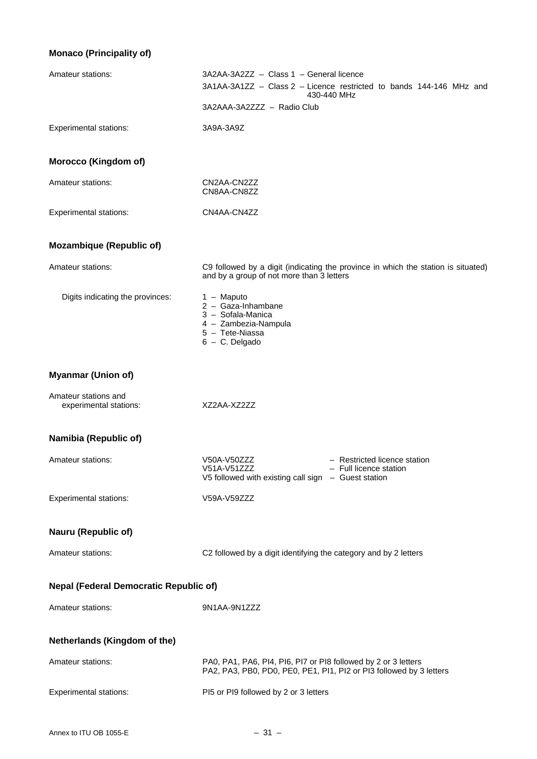### **Monaco (Principality of)**

| Amateur stations:                              | 3A2AA-3A2ZZ - Class 1 - General licence<br>3A1AA-3A1ZZ - Class 2 - Licence restricted to bands 144-146 MHz and<br>430-440 MHz               |
|------------------------------------------------|---------------------------------------------------------------------------------------------------------------------------------------------|
|                                                | 3A2AAA-3A2ZZZ - Radio Club                                                                                                                  |
| <b>Experimental stations:</b>                  | 3A9A-3A9Z                                                                                                                                   |
| Morocco (Kingdom of)                           |                                                                                                                                             |
| Amateur stations:                              | CN2AA-CN2ZZ<br>CN8AA-CN8ZZ                                                                                                                  |
| <b>Experimental stations:</b>                  | CN4AA-CN4ZZ                                                                                                                                 |
| <b>Mozambique (Republic of)</b>                |                                                                                                                                             |
| Amateur stations:                              | C9 followed by a digit (indicating the province in which the station is situated)<br>and by a group of not more than 3 letters              |
| Digits indicating the provinces:               | $1 -$ Maputo<br>2 - Gaza-Inhambane<br>3 - Sofala-Manica<br>4 - Zambezia-Nampula<br>5 - Tete-Niassa<br>$6 - C$ . Delgado                     |
| <b>Myanmar (Union of)</b>                      |                                                                                                                                             |
| Amateur stations and<br>experimental stations: | XZ2AA-XZ2ZZ                                                                                                                                 |
| Namibia (Republic of)                          |                                                                                                                                             |
| Amateur stations:                              | - Restricted licence station<br>V50A-V50ZZZ<br>V51A-V51ZZZ<br>- Full licence station<br>V5 followed with existing call sign - Guest station |
| <b>Experimental stations:</b>                  | V59A-V59ZZZ                                                                                                                                 |
| Nauru (Republic of)                            |                                                                                                                                             |
| Amateur stations:                              | C2 followed by a digit identifying the category and by 2 letters                                                                            |
| <b>Nepal (Federal Democratic Republic of)</b>  |                                                                                                                                             |
| Amateur stations:                              | 9N1AA-9N1ZZZ                                                                                                                                |
| Netherlands (Kingdom of the)                   |                                                                                                                                             |
| Amateur stations:                              | PA0, PA1, PA6, PI4, PI6, PI7 or PI8 followed by 2 or 3 letters<br>PA2, PA3, PB0, PD0, PE0, PE1, PI1, PI2 or PI3 followed by 3 letters       |
| <b>Experimental stations:</b>                  | PI5 or PI9 followed by 2 or 3 letters                                                                                                       |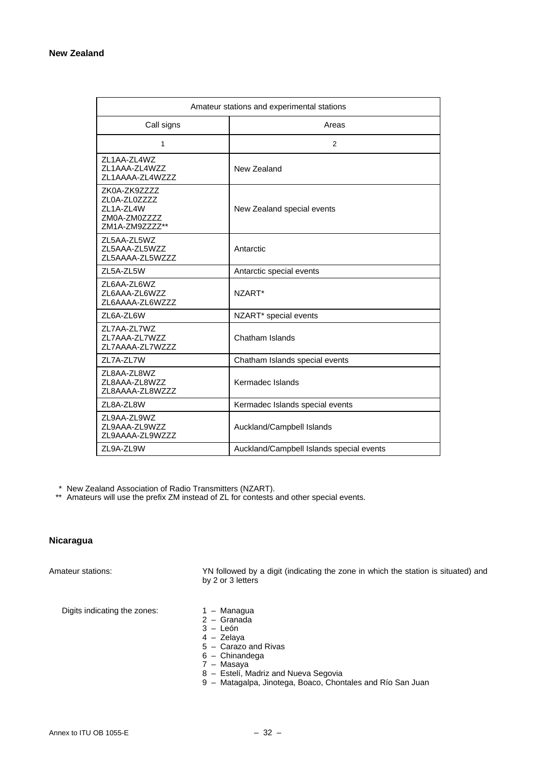| Amateur stations and experimental stations                                  |                                          |
|-----------------------------------------------------------------------------|------------------------------------------|
| Call signs                                                                  | Areas                                    |
| 1                                                                           | $\overline{2}$                           |
| ZL1AA-ZL4WZ<br>ZL1AAA-ZL4WZZ<br>ZL1AAAA-ZL4WZZZ                             | New Zealand                              |
| ZK0A-ZK9ZZZZ<br>ZL0A-ZL0ZZZZ<br>ZL1A-ZL4W<br>ZM0A-ZM0ZZZZ<br>ZM1A-ZM9ZZZZ** | New Zealand special events               |
| ZL5AA-ZL5WZ<br>ZL5AAA-ZL5WZZ<br>ZL5AAAA-ZL5WZZZ                             | Antarctic                                |
| ZL5A-ZL5W                                                                   | Antarctic special events                 |
| ZL6AA-ZL6WZ<br>ZL6AAA-ZL6WZZ<br>ZL6AAAA-ZL6WZZZ                             | NZART*                                   |
| ZL6A-ZL6W                                                                   | NZART* special events                    |
| ZL7AA-ZL7WZ<br>ZL7AAA-ZL7WZZ<br>ZL7AAAA-ZL7WZZZ                             | Chatham Islands                          |
| ZL7A-ZL7W                                                                   | Chatham Islands special events           |
| ZL8AA-ZL8WZ<br>ZL8AAA-ZL8WZZ<br>ZL8AAAA-ZL8WZZZ                             | Kermadec Islands                         |
| ZL8A-ZL8W                                                                   | Kermadec Islands special events          |
| ZL9AA-ZL9WZ<br>ZL9AAA-ZL9WZZ<br>ZL9AAAA-ZL9WZZZ                             | Auckland/Campbell Islands                |
| ZL9A-ZL9W                                                                   | Auckland/Campbell Islands special events |

\* New Zealand Association of Radio Transmitters (NZART).

\*\* Amateurs will use the prefix ZM instead of ZL for contests and other special events.

### **Nicaragua**

Amateur stations: YN followed by a digit (indicating the zone in which the station is situated) and by 2 or 3 letters

Digits indicating the zones:  $1 -$  Managua

- 
- 2 Granada
- 3 León
- 4 Zelaya
- 5 Carazo and Rivas
- 6 Chinandega
- 7 Masaya
- 8 Estelí, Madriz and Nueva Segovia
- 9 Matagalpa, Jinotega, Boaco, Chontales and Río San Juan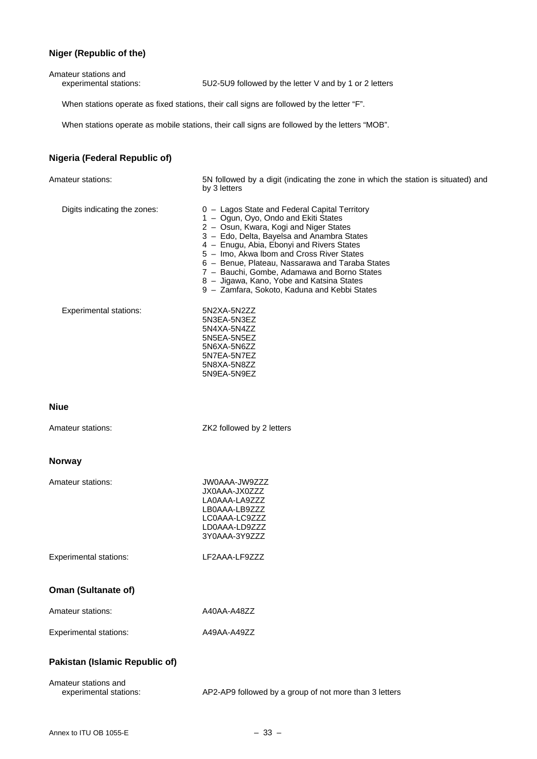### **Niger (Republic of the)**

| Amateur stations and<br>experimental stations: | 5U2-5U9 followed by the letter V and by 1 or 2 letters                                            |
|------------------------------------------------|---------------------------------------------------------------------------------------------------|
|                                                | When stations operate as fixed stations, their call signs are followed by the letter "F".         |
|                                                | When stations operate as mobile stations, their call signs are followed by the letters "MOB".     |
| Nigeria (Federal Republic of)                  |                                                                                                   |
| Amateur stations:                              | 5N followed by a digit (indicating the zone in which the station is situated) and<br>by 3 letters |
| Digits indicating the zones:                   | 0 - Lagos State and Federal Capital Territory                                                     |

5N3EA-5N3EZ 5N4XA-5N4ZZ 5N5EA-5N5EZ 5N6XA-5N6ZZ 5N7EA-5N7EZ 5N8XA-5N8ZZ 5N9EA-5N9EZ

- 1 Ogun, Oyo, Ondo and Ekiti States
- 2 Osun, Kwara, Kogi and Niger States
- 3 Edo, Delta, Bayelsa and Anambra States
- 4 Enugu, Abia, Ebonyi and Rivers States
- 5 Imo, Akwa lbom and Cross River States
- 6 Benue, Plateau, Nassarawa and Taraba States
- 7 Bauchi, Gombe, Adamawa and Borno States
- 8 Jigawa, Kano, Yobe and Katsina States
- 9 Zamfara, Sokoto, Kaduna and Kebbi States

Experimental stations: 5N2XA-5N2ZZ

#### **Niue**

Amateur stations: ZK2 followed by 2 letters

### **Norway**

| Amateur stations: | JW0AAA-JW9ZZZ |
|-------------------|---------------|
|                   | JX0AAA-JX0ZZZ |
|                   | LA0AAA-LA9777 |
|                   | LB0AAA-LB9ZZZ |
|                   | LC0AAA-LC9ZZZ |
|                   | LD0AAA-LD9ZZZ |
|                   | 3Y0AAA-3Y9ZZZ |

#### Experimental stations: LF2AAA-LF9ZZZ

### **Oman (Sultanate of)**

| Amateur stations:      | A40AA-A48ZZ |
|------------------------|-------------|
| Experimental stations: | A49AA-A49ZZ |

### **Pakistan (Islamic Republic of)**

| Amateur stations and   |                                                        |
|------------------------|--------------------------------------------------------|
| experimental stations: | AP2-AP9 followed by a group of not more than 3 letters |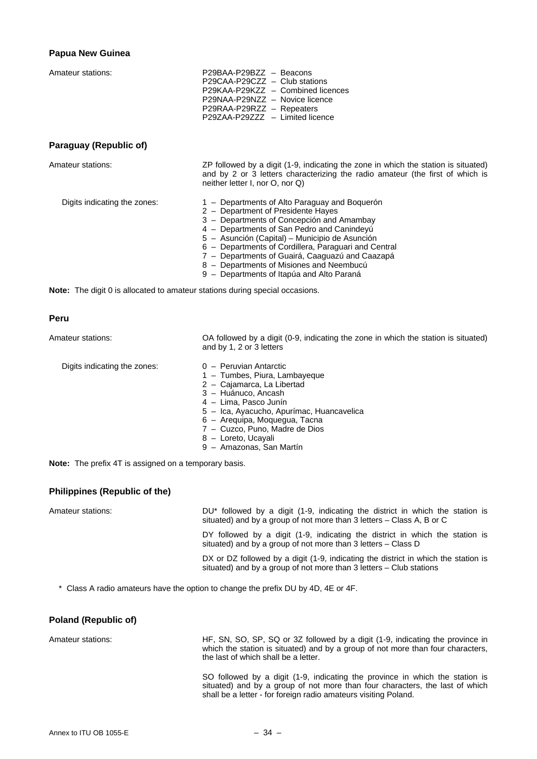#### **Papua New Guinea**

Amateur stations:

| P29BAA-P29BZZ - Beacons           |  |
|-----------------------------------|--|
| P29CAA-P29CZZ - Club stations     |  |
| P29KAA-P29KZZ - Combined licences |  |
| P29NAA-P29NZZ - Novice licence    |  |
| P29RAA-P29RZZ - Repeaters         |  |
| P29ZAA-P29ZZZ - Limited licence   |  |

### **Paraguay (Republic of)**

Amateur stations: ZP followed by a digit (1-9, indicating the zone in which the station is situated) and by 2 or 3 letters characterizing the radio amateur (the first of which is neither letter I, nor O, nor Q)

- Digits indicating the zones: 1 Departments of Alto Paraguay and Boquerón
	- 2 Department of Presidente Hayes
	- 3 Departments of Concepción and Amambay
	- 4 Departments of San Pedro and Canindeyú
	- 5 Asunción (Capital) Municipio de Asunción
	- 6 Departments of Cordillera, Paraguari and Central
	- 7 Departments of Guairá, Caaguazú and Caazapá
	- 8 Departments of Misiones and Neembucú
	- 9 Departments of Itapúa and Alto Paraná

**Note:** The digit 0 is allocated to amateur stations during special occasions.

#### **Peru**

Amateur stations: OA followed by a digit (0-9, indicating the zone in which the station is situated) and by 1, 2 or 3 letters Digits indicating the zones:  $0 -$  Peruvian Antarctic

- 1 Tumbes, Piura, Lambayeque
- 2 Cajamarca, La Libertad
- 3 Huánuco, Ancash
- 4 Lima, Pasco Junín
- 5 Ica, Ayacucho, Apurímac, Huancavelica
- 6 Arequipa, Moquegua, Tacna
- 7 Cuzco, Puno, Madre de Dios
- 8 Loreto, Ucayali
- 9 Amazonas, San Martín

**Note:** The prefix 4T is assigned on a temporary basis.

#### **Philippines (Republic of the)**

Amateur stations: **DU**<sup>\*</sup> followed by a digit (1-9, indicating the district in which the station is situated) and by a group of not more than 3 letters – Class A, B or C

> DY followed by a digit (1-9, indicating the district in which the station is situated) and by a group of not more than 3 letters – Class D

> DX or DZ followed by a digit (1-9, indicating the district in which the station is situated) and by a group of not more than 3 letters – Club stations

\* Class A radio amateurs have the option to change the prefix DU by 4D, 4E or 4F.

#### **Poland (Republic of)**

Amateur stations: HF, SN, SO, SP, SQ or 3Z followed by a digit (1-9, indicating the province in which the station is situated) and by a group of not more than four characters, the last of which shall be a letter.

> SO followed by a digit (1-9, indicating the province in which the station is situated) and by a group of not more than four characters, the last of which shall be a letter - for foreign radio amateurs visiting Poland.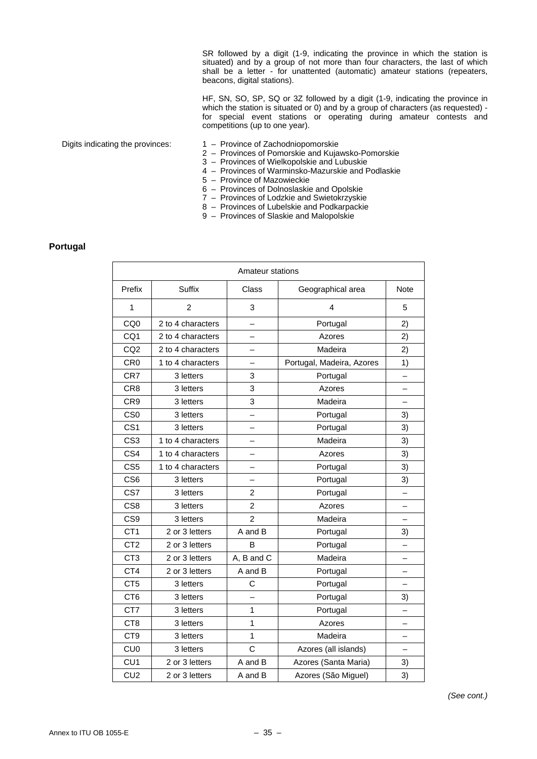SR followed by a digit (1-9, indicating the province in which the station is situated) and by a group of not more than four characters, the last of which shall be a letter - for unattented (automatic) amateur stations (repeaters, beacons, digital stations).

> HF, SN, SO, SP, SQ or 3Z followed by a digit (1-9, indicating the province in which the station is situated or 0) and by a group of characters (as requested) for special event stations or operating during amateur contests and competitions (up to one year).

- Digits indicating the provinces: 1 Province of Zachodniopomorskie
	- 2 Provinces of Pomorskie and Kujawsko-Pomorskie
	- 3 Provinces of Wielkopolskie and Lubuskie
	- 4 Provinces of Warminsko-Mazurskie and Podlaskie
	- 5 Province of Mazowieckie
	- 6 Provinces of Dolnoslaskie and Opolskie
	- 7 Provinces of Lodzkie and Swietokrzyskie
	- 8 Provinces of Lubelskie and Podkarpackie
	- 9 Provinces of Slaskie and Malopolskie

#### **Portugal**

| Amateur stations |                   |                            |                           |             |
|------------------|-------------------|----------------------------|---------------------------|-------------|
| Prefix           | <b>Suffix</b>     | Class<br>Geographical area |                           | <b>Note</b> |
| 1                | $\overline{c}$    | 3                          | 4                         | 5           |
| CQ <sub>0</sub>  | 2 to 4 characters |                            | Portugal                  | 2)          |
| CQ1              | 2 to 4 characters | $\overline{\phantom{0}}$   | Azores                    | 2)          |
| CQ <sub>2</sub>  | 2 to 4 characters | <u>.</u>                   | Madeira                   | 2)          |
| CR <sub>0</sub>  | 1 to 4 characters |                            | Portugal, Madeira, Azores | 1)          |
| CR7              | 3 letters         | 3                          | Portugal                  |             |
| CR <sub>8</sub>  | 3 letters         | 3                          | Azores                    |             |
| CR <sub>9</sub>  | 3 letters         | 3                          | Madeira                   |             |
| CS <sub>0</sub>  | 3 letters         |                            | Portugal                  | 3)          |
| CS <sub>1</sub>  | 3 letters         |                            | Portugal                  | 3)          |
| CS <sub>3</sub>  | 1 to 4 characters |                            | Madeira                   | 3)          |
| CS4              | 1 to 4 characters |                            | Azores                    | 3)          |
| CS <sub>5</sub>  | 1 to 4 characters |                            | Portugal                  | 3)          |
| CS <sub>6</sub>  | 3 letters         | $\overline{\phantom{0}}$   | Portugal                  | 3)          |
| CS7              | 3 letters         | $\overline{2}$             | Portugal                  |             |
| CS <sub>8</sub>  | 3 letters         | $\overline{2}$<br>Azores   |                           |             |
| CS <sub>9</sub>  | 3 letters         | $\overline{2}$             | Madeira                   |             |
| CT <sub>1</sub>  | 2 or 3 letters    | A and B                    | Portugal                  | 3)          |
| CT <sub>2</sub>  | 2 or 3 letters    | B                          | Portugal                  |             |
| CT <sub>3</sub>  | 2 or 3 letters    | A, B and C                 | Madeira                   |             |
| CT4              | 2 or 3 letters    | A and B                    | Portugal                  |             |
| CT <sub>5</sub>  | 3 letters         | C                          | Portugal                  |             |
| CT <sub>6</sub>  | 3 letters         |                            | Portugal                  | 3)          |
| CT7              | 3 letters         | 1                          | Portugal                  |             |
| CT <sub>8</sub>  | 3 letters         | $\mathbf{1}$               | Azores                    |             |
| CT <sub>9</sub>  | 3 letters         | $\mathbf{1}$               | Madeira                   |             |
| CU <sub>0</sub>  | 3 letters         | $\overline{C}$             | Azores (all islands)      | ▃           |
| CU <sub>1</sub>  | 2 or 3 letters    | A and B                    | Azores (Santa Maria)      | 3)          |
| CU2              | 2 or 3 letters    | A and B                    | Azores (São Miguel)       | 3)          |

*(See cont.)*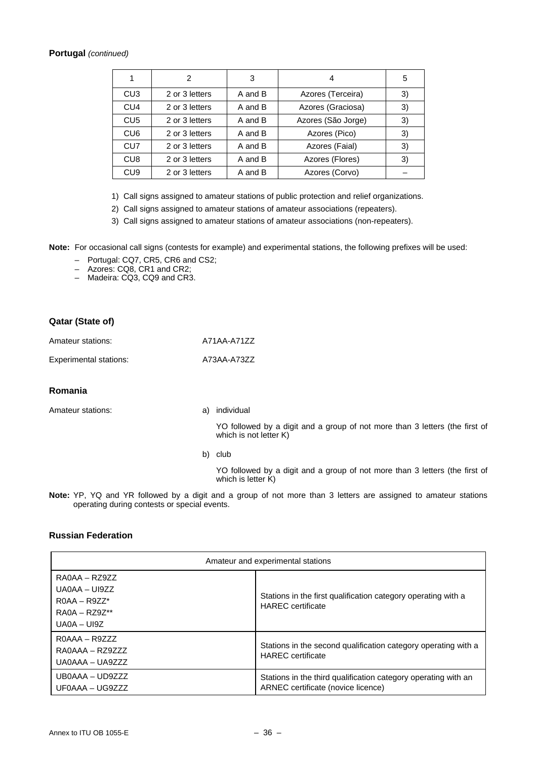### **Portugal** *(continued)*

| 1               | 2              | 3       | 4                  | 5  |
|-----------------|----------------|---------|--------------------|----|
| CU <sub>3</sub> | 2 or 3 letters | A and B | Azores (Terceira)  | 3) |
| CU <sub>4</sub> | 2 or 3 letters | A and B | Azores (Graciosa)  | 3) |
| CU <sub>5</sub> | 2 or 3 letters | A and B | Azores (São Jorge) | 3) |
| CU <sub>6</sub> | 2 or 3 letters | A and B | Azores (Pico)      | 3) |
| CU <sub>7</sub> | 2 or 3 letters | A and B | Azores (Faial)     | 3) |
| CU <sub>8</sub> | 2 or 3 letters | A and B | Azores (Flores)    | 3) |
| CU <sub>9</sub> | 2 or 3 letters | A and B | Azores (Corvo)     |    |

1) Call signs assigned to amateur stations of public protection and relief organizations.

2) Call signs assigned to amateur stations of amateur associations (repeaters).

3) Call signs assigned to amateur stations of amateur associations (non-repeaters).

**Note:** For occasional call signs (contests for example) and experimental stations, the following prefixes will be used:

- Portugal: CQ7, CR5, CR6 and CS2;
- Azores: CQ8, CR1 and CR2;
- Madeira: CQ3, CQ9 and CR3.

### **Qatar (State of)**

| Amateur stations: | A71AA-A71ZZ |  |
|-------------------|-------------|--|
|                   |             |  |

Experimental stations: A73AA-A73ZZ

### **Romania**

Amateur stations: a) individual

 YO followed by a digit and a group of not more than 3 letters (the first of which is not letter K)

b) club

 YO followed by a digit and a group of not more than 3 letters (the first of which is letter K)

**Note:** YP, YQ and YR followed by a digit and a group of not more than 3 letters are assigned to amateur stations operating during contests or special events.

### **Russian Federation**

| Amateur and experimental stations                                                      |                                                                                                      |  |
|----------------------------------------------------------------------------------------|------------------------------------------------------------------------------------------------------|--|
| RA0AA - RZ9ZZ<br>$UAOAA - UI9ZZ$<br>$ROAA - R977*$<br>$RAOA - RZ9Z**$<br>$UAOA - UI9Z$ | Stations in the first qualification category operating with a<br><b>HAREC</b> certificate            |  |
| $ROAAA - R9ZZZ$<br>$RA0AAA - RZ9777$<br>UA0AAA - UA9ZZZ                                | Stations in the second qualification category operating with a<br><b>HAREC</b> certificate           |  |
| UB0AAA - UD9ZZZ<br>UF0AAA – UG9ZZZ                                                     | Stations in the third qualification category operating with an<br>ARNEC certificate (novice licence) |  |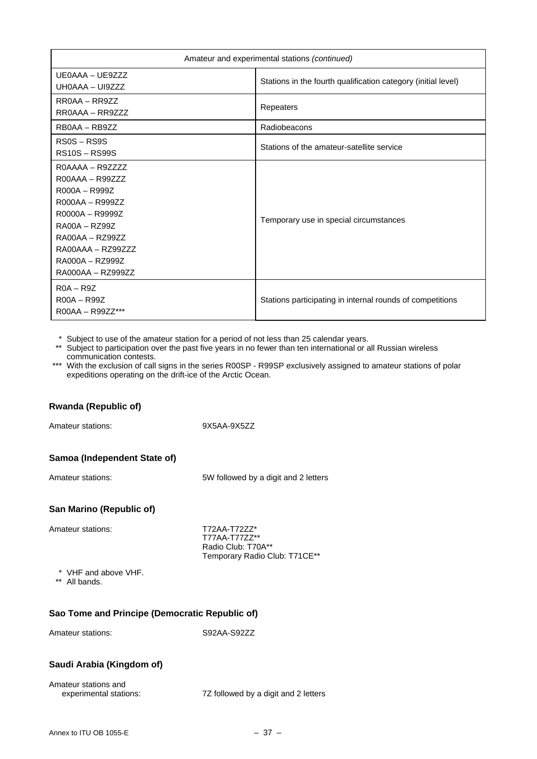| Amateur and experimental stations (continued)                                                                                                                                                      |                                                               |
|----------------------------------------------------------------------------------------------------------------------------------------------------------------------------------------------------|---------------------------------------------------------------|
| UE0AAA - UE9ZZZ<br>UH0AAA - UI9ZZZ                                                                                                                                                                 | Stations in the fourth qualification category (initial level) |
| $RROAA - RR977$<br>RROAAA - RR9ZZZ                                                                                                                                                                 | Repeaters                                                     |
| RB0AA - RB9ZZ                                                                                                                                                                                      | Radiobeacons                                                  |
| $RSOS - RSS9S$<br><b>RS10S-RS99S</b>                                                                                                                                                               | Stations of the amateur-satellite service                     |
| $ROAAAA - R9ZZZZ$<br>$ROOAAA - R99ZZZ$<br>R000A - R999Z<br>R000AA - R999ZZ<br>R0000A - R9999Z<br>$RA00A - RZ99Z$<br>RA00AA - RZ99ZZ<br>$RA00AAA - RZ99ZZZ$<br>RA000A - RZ999Z<br>RA000AA - RZ999ZZ | Temporary use in special circumstances                        |
| $ROA - R9Z$<br>$ROOA - R99Z$<br>$ROOAA - R99ZZ***$                                                                                                                                                 | Stations participating in internal rounds of competitions     |

\* Subject to use of the amateur station for a period of not less than 25 calendar years.

- \*\* Subject to participation over the past five years in no fewer than ten international or all Russian wireless communication contests.
- \*\*\* With the exclusion of call signs in the series R00SP R99SP exclusively assigned to amateur stations of polar expeditions operating on the drift-ice of the Arctic Ocean.

### **Rwanda (Republic of)**

Amateur stations: 9X5AA-9X5ZZ

### **Samoa (Independent State of)**

Amateur stations: 5W followed by a digit and 2 letters

### **San Marino (Republic of)**

Amateur stations: T72AA-T72ZZ\*

T77AA-T77ZZ\*\* Radio Club: T70A\*\* Temporary Radio Club: T71CE\*\*

\* VHF and above VHF.

\*\* All bands.

### **Sao Tome and Principe (Democratic Republic of)**

Amateur stations: S92AA-S92ZZ

### **Saudi Arabia (Kingdom of)**

| Amateur stations and   |                                      |
|------------------------|--------------------------------------|
| experimental stations: | 7Z followed by a digit and 2 letters |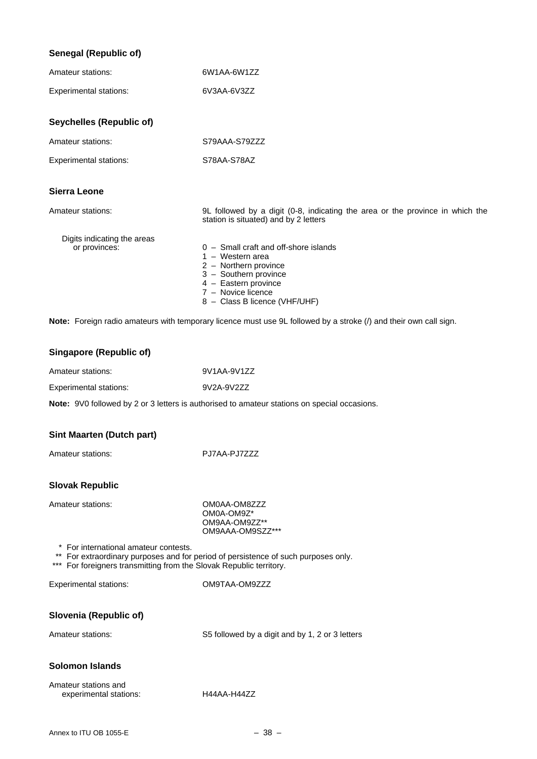|  | <b>Senegal (Republic of)</b> |  |
|--|------------------------------|--|
|--|------------------------------|--|

| Amateur stations:             | 6W1AA-6W1ZZ                                                                                                                                                                                    |
|-------------------------------|------------------------------------------------------------------------------------------------------------------------------------------------------------------------------------------------|
| <b>Experimental stations:</b> | 6V3AA-6V3ZZ                                                                                                                                                                                    |
| Seychelles (Republic of)      |                                                                                                                                                                                                |
| Amateur stations:             | S79AAA-S79ZZZ                                                                                                                                                                                  |
| <b>Experimental stations:</b> | S78AA-S78AZ                                                                                                                                                                                    |
| Sierra Leone                  |                                                                                                                                                                                                |
| Amateur stations:             | 9L followed by a digit (0-8, indicating the area or the province in which the<br>station is situated) and by 2 letters                                                                         |
| Digits indicating the areas   |                                                                                                                                                                                                |
| or provinces:                 | $0 -$ Small craft and off-shore islands<br>$1 -$ Western area<br>2 - Northern province<br>3 - Southern province<br>4 - Eastern province<br>7 - Novice licence<br>8 - Class B licence (VHF/UHF) |
|                               | Note: Foreign radio amateurs with temporary licence must use 9L followed by a stroke (/) and their own call sign.                                                                              |

### **Singapore (Republic of)**

| Amateur stations:      | 9V1AA-9V1ZZ |
|------------------------|-------------|
| Experimental stations: | 9V2A-9V2ZZ  |

**Note:** 9V0 followed by 2 or 3 letters is authorised to amateur stations on special occasions.

### **Sint Maarten (Dutch part)**

Amateur stations: PJ7AA-PJ7ZZZ

#### **Slovak Republic**

Amateur stations: COMOAA-OM8ZZZ

OM0A-OM9Z\* OM9AA-OM9ZZ\*\* OM9AAA-OM9SZZ\*\*\*

\* For international amateur contests.

\*\* For extraordinary purposes and for period of persistence of such purposes only.

\*\*\* For foreigners transmitting from the Slovak Republic territory.

Experimental stations: OM9TAA-OM9ZZZ

### **Slovenia (Republic of)**

Amateur stations: S5 followed by a digit and by 1, 2 or 3 letters

### **Solomon Islands**

| Amateur stations and   |             |
|------------------------|-------------|
| experimental stations: | H44AA-H4477 |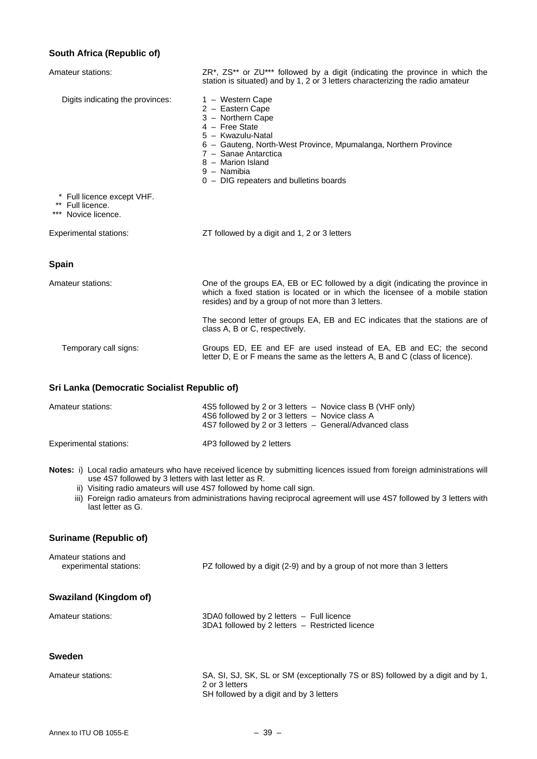### **South Africa (Republic of)**

| Amateur stations:                                                     | $ZR^*$ , $ZS^{**}$ or $ZU^{***}$ followed by a digit (indicating the province in which the<br>station is situated) and by 1, 2 or 3 letters characterizing the radio amateur                                                                                              |
|-----------------------------------------------------------------------|---------------------------------------------------------------------------------------------------------------------------------------------------------------------------------------------------------------------------------------------------------------------------|
| Digits indicating the provinces:                                      | 1 - Western Cape<br>2 - Eastern Cape<br>3 - Northern Cape<br>4 - Free State<br>5 - Kwazulu-Natal<br>6 - Gauteng, North-West Province, Mpumalanga, Northern Province<br>7 - Sanae Antarctica<br>8 - Marion Island<br>9 - Namibia<br>0 - DIG repeaters and bulletins boards |
| * Full licence except VHF.<br>** Full licence.<br>*** Novice licence. |                                                                                                                                                                                                                                                                           |
| <b>Experimental stations:</b>                                         | ZT followed by a digit and 1, 2 or 3 letters                                                                                                                                                                                                                              |
| <b>Spain</b>                                                          |                                                                                                                                                                                                                                                                           |
| Amateur stations:                                                     | One of the groups EA, EB or EC followed by a digit (indicating the province in<br>which a fixed station is located or in which the licensee of a mobile station<br>resides) and by a group of not more than 3 letters.                                                    |
|                                                                       | The second letter of groups EA, EB and EC indicates that the stations are of<br>class A, B or C, respectively.                                                                                                                                                            |
| Temporary call signs:                                                 | Groups ED, EE and EF are used instead of EA, EB and EC; the second<br>letter D, E or F means the same as the letters A, B and C (class of licence).                                                                                                                       |

### **Sri Lanka (Democratic Socialist Republic of)**

| Amateur stations:      | 4S5 followed by 2 or 3 letters $-$ Novice class B (VHF only)<br>4S6 followed by 2 or 3 letters - Novice class A<br>4S7 followed by 2 or 3 letters - General/Advanced class |
|------------------------|----------------------------------------------------------------------------------------------------------------------------------------------------------------------------|
| Experimental stations: | 4P3 followed by 2 letters                                                                                                                                                  |

- **Notes:** i) Local radio amateurs who have received licence by submitting licences issued from foreign administrations will use 4S7 followed by 3 letters with last letter as R.
- ii) Visiting radio amateurs will use 4S7 followed by home call sign.
	- iii) Foreign radio amateurs from administrations having reciprocal agreement will use 4S7 followed by 3 letters with last letter as G.

### **Suriname (Republic of)**

| Amateur stations and<br>experimental stations: | PZ followed by a digit (2-9) and by a group of not more than 3 letters                                                                       |
|------------------------------------------------|----------------------------------------------------------------------------------------------------------------------------------------------|
| Swaziland (Kingdom of)                         |                                                                                                                                              |
| Amateur stations:                              | 3DA0 followed by 2 letters - Full licence<br>3DA1 followed by 2 letters - Restricted licence                                                 |
| Sweden                                         |                                                                                                                                              |
| Amateur stations:                              | SA, SI, SJ, SK, SL or SM (exceptionally 7S or 8S) followed by a digit and by 1,<br>2 or 3 letters<br>SH followed by a digit and by 3 letters |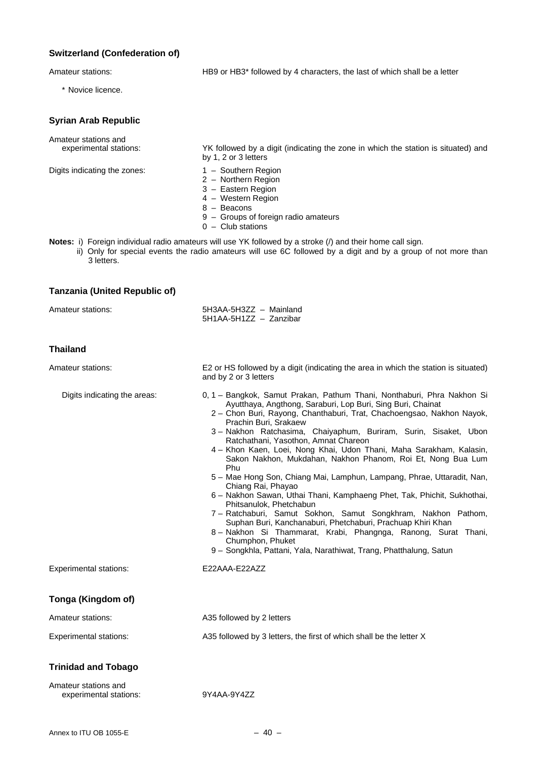### **Switzerland (Confederation of)**

\* Novice licence.

Amateur stations: HB9 or HB3\* followed by 4 characters, the last of which shall be a letter

#### **Syrian Arab Republic**

Amateur stations and

Digits indicating the zones: 1 – Southern Region

- experimental stations: YK followed by a digit (indicating the zone in which the station is situated) and by 1, 2 or 3 letters
	-
	- 2 Northern Region
	- 3 Eastern Region
	- 4 Western Region
- expression of the set of the Beacons and the Beacons of the Beacons of the Beacons of the Beacons of the Beacons of the Beacons of the Beacons of the Beacons of the Beacons of the Beacons of the Beacons of the Beacons of t
	- 9 Groups of foreign radio amateurs
	- 0 Club stations
- **Notes:** i) Foreign individual radio amateurs will use YK followed by a stroke (/) and their home call sign.
	- ii) Only for special events the radio amateurs will use 6C followed by a digit and by a group of not more than 3 letters.

### **Tanzania (United Republic of)**

| Amateur stations: | 5H3AA-5H3ZZ - Mainland |  |
|-------------------|------------------------|--|
|                   | 5H1AA-5H1ZZ - Zanzibar |  |

#### **Thailand**

| Amateur stations:                              | E2 or HS followed by a digit (indicating the area in which the station is situated)<br>and by 2 or 3 letters                                                                                                                                                                                                                                                                                                                                                                                                                                                                                                                                                                                                                                                                                                                                                                                                                                                                                       |  |
|------------------------------------------------|----------------------------------------------------------------------------------------------------------------------------------------------------------------------------------------------------------------------------------------------------------------------------------------------------------------------------------------------------------------------------------------------------------------------------------------------------------------------------------------------------------------------------------------------------------------------------------------------------------------------------------------------------------------------------------------------------------------------------------------------------------------------------------------------------------------------------------------------------------------------------------------------------------------------------------------------------------------------------------------------------|--|
| Digits indicating the areas:                   | 0, 1 – Bangkok, Samut Prakan, Pathum Thani, Nonthaburi, Phra Nakhon Si<br>Ayutthaya, Angthong, Saraburi, Lop Buri, Sing Buri, Chainat<br>2 – Chon Buri, Rayong, Chanthaburi, Trat, Chachoengsao, Nakhon Nayok,<br>Prachin Buri, Srakaew<br>3 - Nakhon Ratchasima, Chaiyaphum, Buriram, Surin, Sisaket, Ubon<br>Ratchathani, Yasothon, Amnat Chareon<br>4 - Khon Kaen, Loei, Nong Khai, Udon Thani, Maha Sarakham, Kalasin,<br>Sakon Nakhon, Mukdahan, Nakhon Phanom, Roi Et, Nong Bua Lum<br>Phu<br>5 - Mae Hong Son, Chiang Mai, Lamphun, Lampang, Phrae, Uttaradit, Nan,<br>Chiang Rai, Phayao<br>6 - Nakhon Sawan, Uthai Thani, Kamphaeng Phet, Tak, Phichit, Sukhothai,<br>Phitsanulok, Phetchabun<br>7 - Ratchaburi, Samut Sokhon, Samut Songkhram, Nakhon Pathom,<br>Suphan Buri, Kanchanaburi, Phetchaburi, Prachuap Khiri Khan<br>8 - Nakhon Si Thammarat, Krabi, Phangnga, Ranong, Surat Thani,<br>Chumphon, Phuket<br>9 - Songkhla, Pattani, Yala, Narathiwat, Trang, Phatthalung, Satun |  |
| <b>Experimental stations:</b>                  | E22AAA-E22AZZ                                                                                                                                                                                                                                                                                                                                                                                                                                                                                                                                                                                                                                                                                                                                                                                                                                                                                                                                                                                      |  |
| Tonga (Kingdom of)                             |                                                                                                                                                                                                                                                                                                                                                                                                                                                                                                                                                                                                                                                                                                                                                                                                                                                                                                                                                                                                    |  |
| Amateur stations:                              | A35 followed by 2 letters                                                                                                                                                                                                                                                                                                                                                                                                                                                                                                                                                                                                                                                                                                                                                                                                                                                                                                                                                                          |  |
| <b>Experimental stations:</b>                  | A35 followed by 3 letters, the first of which shall be the letter X                                                                                                                                                                                                                                                                                                                                                                                                                                                                                                                                                                                                                                                                                                                                                                                                                                                                                                                                |  |
| <b>Trinidad and Tobago</b>                     |                                                                                                                                                                                                                                                                                                                                                                                                                                                                                                                                                                                                                                                                                                                                                                                                                                                                                                                                                                                                    |  |
| Amateur stations and<br>experimental stations: | 9Y4AA-9Y4ZZ                                                                                                                                                                                                                                                                                                                                                                                                                                                                                                                                                                                                                                                                                                                                                                                                                                                                                                                                                                                        |  |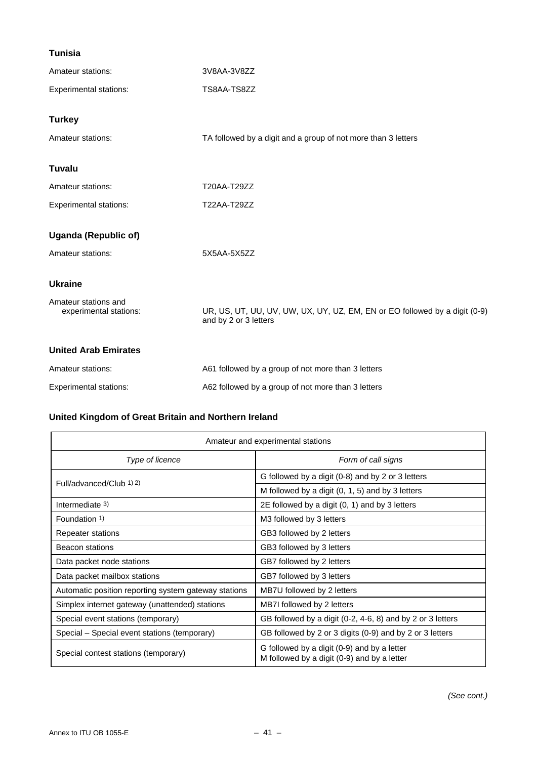### **Tunisia**

| Amateur stations:                              | 3V8AA-3V8ZZ                                                                                         |
|------------------------------------------------|-----------------------------------------------------------------------------------------------------|
| <b>Experimental stations:</b>                  | TS8AA-TS8ZZ                                                                                         |
| <b>Turkey</b>                                  |                                                                                                     |
| Amateur stations:                              | TA followed by a digit and a group of not more than 3 letters                                       |
| <b>Tuvalu</b>                                  |                                                                                                     |
| Amateur stations:                              | T20AA-T29ZZ                                                                                         |
| <b>Experimental stations:</b>                  | T22AA-T29ZZ                                                                                         |
| <b>Uganda (Republic of)</b>                    |                                                                                                     |
| Amateur stations:                              | 5X5AA-5X5ZZ                                                                                         |
| <b>Ukraine</b>                                 |                                                                                                     |
| Amateur stations and<br>experimental stations: | UR, US, UT, UU, UV, UW, UX, UY, UZ, EM, EN or EO followed by a digit (0-9)<br>and by 2 or 3 letters |
| <b>United Arab Emirates</b>                    |                                                                                                     |
| Amateur stations:                              | A61 followed by a group of not more than 3 letters                                                  |
| Experimental stations:                         | A62 followed by a group of not more than 3 letters                                                  |

### **United Kingdom of Great Britain and Northern Ireland**

| Amateur and experimental stations                                                                                                  |                                                          |  |
|------------------------------------------------------------------------------------------------------------------------------------|----------------------------------------------------------|--|
| Type of licence                                                                                                                    | Form of call signs                                       |  |
| Full/advanced/Club 1) 2)                                                                                                           | G followed by a digit (0-8) and by 2 or 3 letters        |  |
|                                                                                                                                    | M followed by a digit (0, 1, 5) and by 3 letters         |  |
| Intermediate 3)                                                                                                                    | 2E followed by a digit (0, 1) and by 3 letters           |  |
| Foundation 1)                                                                                                                      | M3 followed by 3 letters                                 |  |
| Repeater stations                                                                                                                  | GB3 followed by 2 letters                                |  |
| Beacon stations                                                                                                                    | GB3 followed by 3 letters                                |  |
| Data packet node stations                                                                                                          | GB7 followed by 2 letters                                |  |
| Data packet mailbox stations                                                                                                       | GB7 followed by 3 letters                                |  |
| Automatic position reporting system gateway stations                                                                               | MB7U followed by 2 letters                               |  |
| Simplex internet gateway (unattended) stations                                                                                     | MB7I followed by 2 letters                               |  |
| GB followed by a digit (0-2, 4-6, 8) and by 2 or 3 letters<br>Special event stations (temporary)                                   |                                                          |  |
| Special – Special event stations (temporary)                                                                                       | GB followed by 2 or 3 digits (0-9) and by 2 or 3 letters |  |
| G followed by a digit (0-9) and by a letter<br>Special contest stations (temporary)<br>M followed by a digit (0-9) and by a letter |                                                          |  |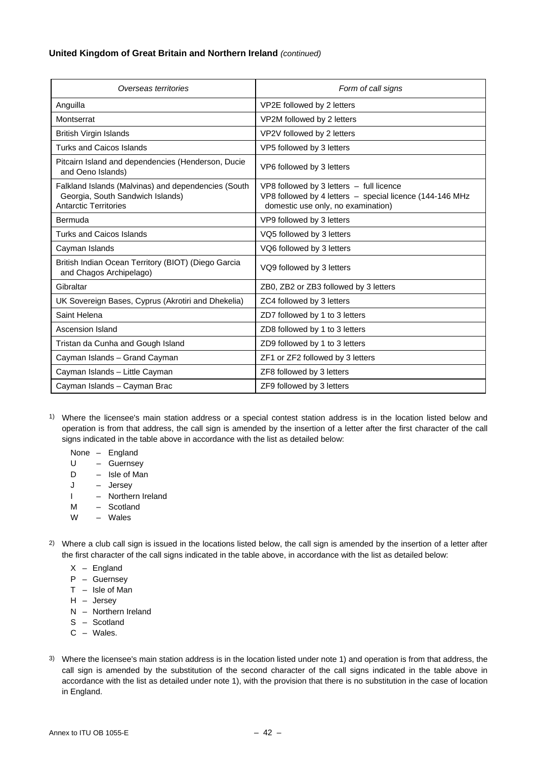### **United Kingdom of Great Britain and Northern Ireland** *(continued)*

| Overseas territories                                                                                                    | Form of call signs                                                                                                                         |
|-------------------------------------------------------------------------------------------------------------------------|--------------------------------------------------------------------------------------------------------------------------------------------|
| Anguilla                                                                                                                | VP2E followed by 2 letters                                                                                                                 |
| Montserrat                                                                                                              | VP2M followed by 2 letters                                                                                                                 |
| British Virgin Islands                                                                                                  | VP2V followed by 2 letters                                                                                                                 |
| <b>Turks and Caicos Islands</b>                                                                                         | VP5 followed by 3 letters                                                                                                                  |
| Pitcairn Island and dependencies (Henderson, Ducie<br>and Oeno Islands)                                                 | VP6 followed by 3 letters                                                                                                                  |
| Falkland Islands (Malvinas) and dependencies (South<br>Georgia, South Sandwich Islands)<br><b>Antarctic Territories</b> | VP8 followed by 3 letters - full licence<br>VP8 followed by 4 letters - special licence (144-146 MHz<br>domestic use only, no examination) |
| Bermuda                                                                                                                 | VP9 followed by 3 letters                                                                                                                  |
| <b>Turks and Caicos Islands</b>                                                                                         | VQ5 followed by 3 letters                                                                                                                  |
| Cayman Islands                                                                                                          | VQ6 followed by 3 letters                                                                                                                  |
| British Indian Ocean Territory (BIOT) (Diego Garcia<br>and Chagos Archipelago)                                          | VQ9 followed by 3 letters                                                                                                                  |
| Gibraltar                                                                                                               | ZB0, ZB2 or ZB3 followed by 3 letters                                                                                                      |
| UK Sovereign Bases, Cyprus (Akrotiri and Dhekelia)                                                                      | ZC4 followed by 3 letters                                                                                                                  |
| Saint Helena                                                                                                            | ZD7 followed by 1 to 3 letters                                                                                                             |
| Ascension Island                                                                                                        | ZD8 followed by 1 to 3 letters                                                                                                             |
| Tristan da Cunha and Gough Island                                                                                       | ZD9 followed by 1 to 3 letters                                                                                                             |
| Cayman Islands - Grand Cayman                                                                                           | ZF1 or ZF2 followed by 3 letters                                                                                                           |
| Cayman Islands - Little Cayman                                                                                          | ZF8 followed by 3 letters                                                                                                                  |
| Cayman Islands - Cayman Brac                                                                                            | ZF9 followed by 3 letters                                                                                                                  |

- 1) Where the licensee's main station address or a special contest station address is in the location listed below and operation is from that address, the call sign is amended by the insertion of a letter after the first character of the call signs indicated in the table above in accordance with the list as detailed below:
	- None England
	- U Guernsey
	- D Isle of Man
	- J Jersey
	- I Northern Ireland
	- M Scotland
	- W Wales
- 2) Where a club call sign is issued in the locations listed below, the call sign is amended by the insertion of a letter after the first character of the call signs indicated in the table above, in accordance with the list as detailed below:
	- $X -$  England
	- P Guernsey
	- $T -$  Isle of Man
	- H Jersey
	- N Northern Ireland
	- S Scotland
	- C Wales.
- 3) Where the licensee's main station address is in the location listed under note 1) and operation is from that address, the call sign is amended by the substitution of the second character of the call signs indicated in the table above in accordance with the list as detailed under note 1), with the provision that there is no substitution in the case of location in England.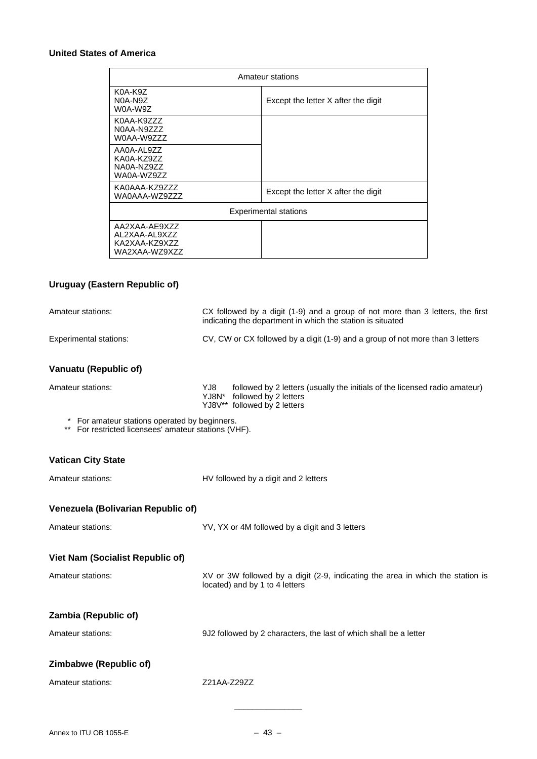### **United States of America**

| Amateur stations                                                 |                                     |  |
|------------------------------------------------------------------|-------------------------------------|--|
| K0A-K9Z<br>N0A-N9Z<br>W0A-W9Z                                    | Except the letter X after the digit |  |
| K0AA-K9ZZZ<br>N0AA-N9ZZZ<br>W0AA-W9ZZZ                           |                                     |  |
| AA0A-AL9ZZ<br>KA0A-KZ9ZZ<br>NA0A-NZ9ZZ<br>WA0A-WZ9ZZ             |                                     |  |
| KA0AAA-KZ9ZZZ<br>WA0AAA-WZ9ZZZ                                   | Except the letter X after the digit |  |
| <b>Experimental stations</b>                                     |                                     |  |
| AA2XAA-AE9XZZ<br>AL2XAA-AL9XZZ<br>KA2XAA-KZ9XZZ<br>WA2XAA-WZ9XZZ |                                     |  |

### **Uruguay (Eastern Republic of)**

| Amateur stations:                                                                                     | CX followed by a digit (1-9) and a group of not more than 3 letters, the first<br>indicating the department in which the station is situated      |  |
|-------------------------------------------------------------------------------------------------------|---------------------------------------------------------------------------------------------------------------------------------------------------|--|
| <b>Experimental stations:</b>                                                                         | CV, CW or CX followed by a digit (1-9) and a group of not more than 3 letters                                                                     |  |
| <b>Vanuatu (Republic of)</b>                                                                          |                                                                                                                                                   |  |
| Amateur stations:                                                                                     | YJ8.<br>followed by 2 letters (usually the initials of the licensed radio amateur)<br>YJ8N* followed by 2 letters<br>YJ8V** followed by 2 letters |  |
| * For amateur stations operated by beginners.<br>** For restricted licensees' amateur stations (VHF). |                                                                                                                                                   |  |
| <b>Vatican City State</b>                                                                             |                                                                                                                                                   |  |
| Amateur stations:                                                                                     | HV followed by a digit and 2 letters                                                                                                              |  |
| Venezuela (Bolivarian Republic of)                                                                    |                                                                                                                                                   |  |
| Amateur stations:                                                                                     | YV, YX or 4M followed by a digit and 3 letters                                                                                                    |  |
| <b>Viet Nam (Socialist Republic of)</b>                                                               |                                                                                                                                                   |  |
| Amateur stations:                                                                                     | XV or 3W followed by a digit (2-9, indicating the area in which the station is<br>located) and by 1 to 4 letters                                  |  |
| Zambia (Republic of)                                                                                  |                                                                                                                                                   |  |
| Amateur stations:                                                                                     | 9J2 followed by 2 characters, the last of which shall be a letter                                                                                 |  |
| Zimbabwe (Republic of)                                                                                |                                                                                                                                                   |  |
| Amateur stations:                                                                                     | Z21AA-Z29ZZ                                                                                                                                       |  |
|                                                                                                       |                                                                                                                                                   |  |